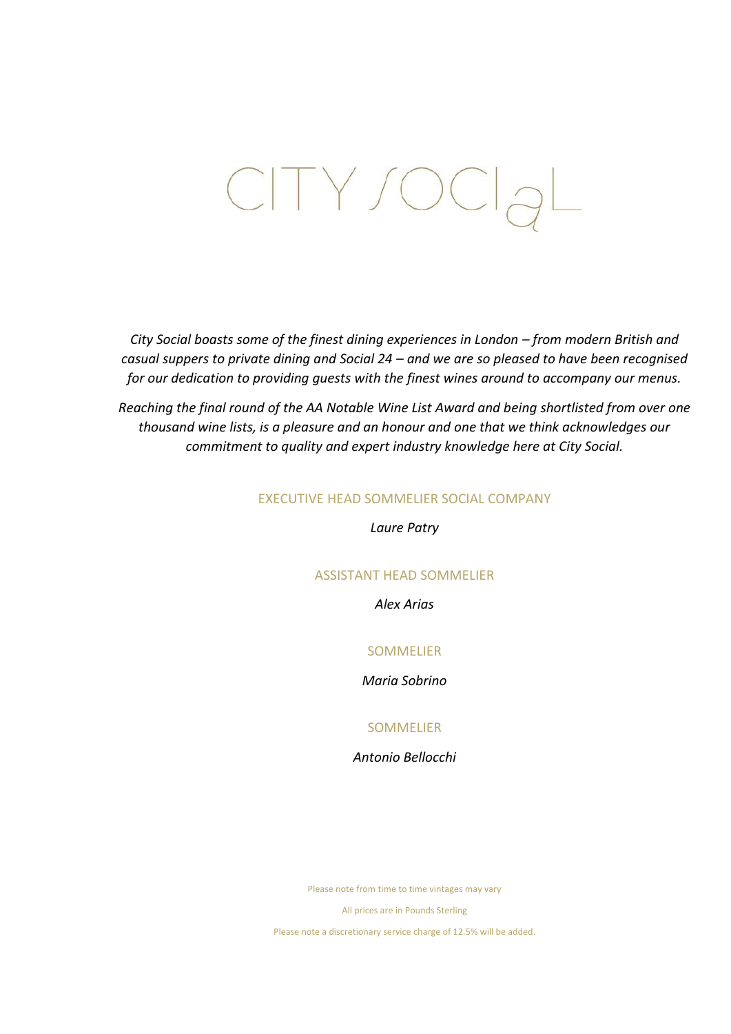# CITY/OCI<sub>a</sub>L

*City Social boasts some of the finest dining experiences in London – from modern British and casual suppers to private dining and Social 24 – and we are so pleased to have been recognised for our dedication to providing guests with the finest wines around to accompany our menus.*

*Reaching the final round of the AA Notable Wine List Award and being shortlisted from over one thousand wine lists, is a pleasure and an honour and one that we think acknowledges our commitment to quality and expert industry knowledge here at City Social.*

# EXECUTIVE HEAD SOMMELIER SOCIAL COMPANY

*Laure Patry*

# ASSISTANT HEAD SOMMELIER

*Alex Arias*

# SOMMELIER

# *Maria Sobrino*

# SOMMELIER

*Antonio Bellocchi*

Please note from time to time vintages may vary

All prices are in Pounds Sterling

Please note a discretionary service charge of 12.5% will be added.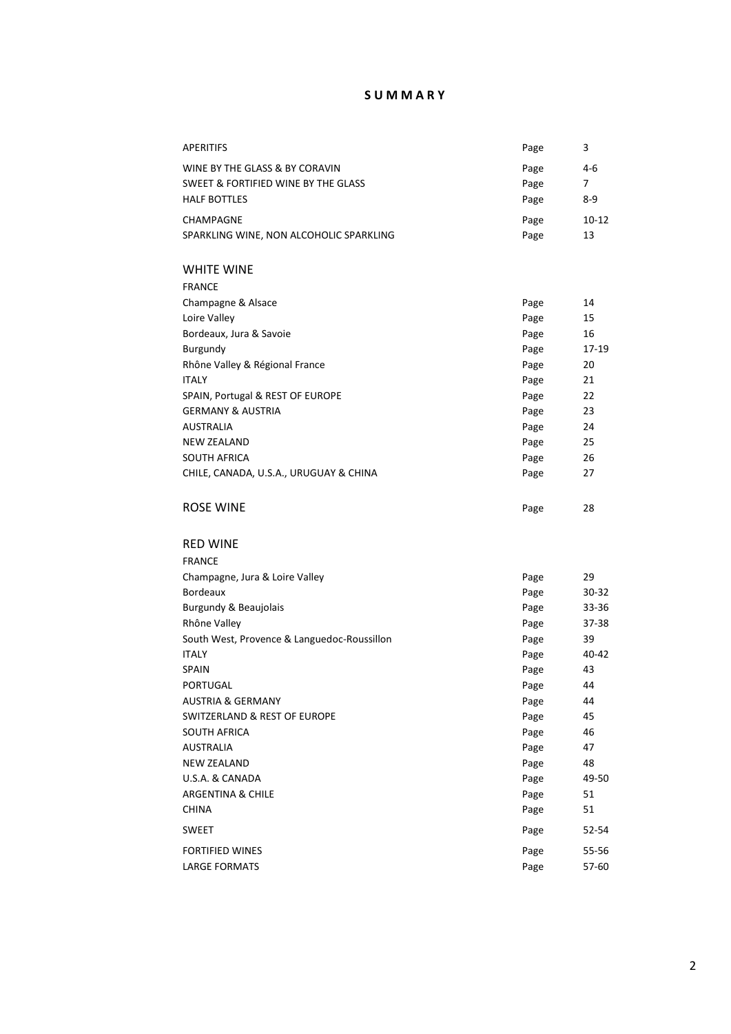# **S U M M A R Y**

| <b>APERITIFS</b>                            | Page | 3         |
|---------------------------------------------|------|-----------|
| WINE BY THE GLASS & BY CORAVIN              | Page | 4-6       |
| SWEET & FORTIFIED WINE BY THE GLASS         | Page | 7         |
| <b>HALF BOTTLES</b>                         | Page | 8-9       |
| CHAMPAGNE                                   | Page | 10-12     |
| SPARKLING WINE, NON ALCOHOLIC SPARKLING     | Page | 13        |
|                                             |      |           |
| <b>WHITE WINE</b>                           |      |           |
| <b>FRANCE</b>                               |      |           |
| Champagne & Alsace                          | Page | 14        |
| Loire Valley                                | Page | 15        |
| Bordeaux, Jura & Savoie                     | Page | 16        |
| Burgundy                                    | Page | 17-19     |
| Rhône Valley & Régional France              | Page | 20        |
| <b>ITALY</b>                                | Page | 21        |
| SPAIN, Portugal & REST OF EUROPE            | Page | 22        |
| <b>GERMANY &amp; AUSTRIA</b>                | Page | 23        |
| <b>AUSTRALIA</b>                            | Page | 24        |
| <b>NEW ZEALAND</b>                          | Page | 25        |
| <b>SOUTH AFRICA</b>                         | Page | 26        |
| CHILE, CANADA, U.S.A., URUGUAY & CHINA      | Page | 27        |
|                                             |      |           |
| ROSE WINE                                   | Page | 28        |
|                                             |      |           |
| <b>RED WINE</b>                             |      |           |
| <b>FRANCE</b>                               |      |           |
| Champagne, Jura & Loire Valley              | Page | 29        |
| <b>Bordeaux</b>                             | Page | $30 - 32$ |
| Burgundy & Beaujolais                       | Page | 33-36     |
| Rhône Valley                                | Page | 37-38     |
| South West, Provence & Languedoc-Roussillon | Page | 39        |
| <b>ITALY</b>                                | Page | 40-42     |
| <b>SPAIN</b>                                | Page | 43        |
| PORTUGAL                                    | Page | 44        |
| <b>AUSTRIA &amp; GERMANY</b>                | Page | 44        |
| SWITZERLAND & REST OF EUROPE                | Page | 45        |
| SOUTH AFRICA                                | Page | 46        |
| <b>AUSTRALIA</b>                            | Page | 47        |
| <b>NEW ZEALAND</b>                          | Page | 48        |
| U.S.A. & CANADA                             | Page | 49-50     |
| ARGENTINA & CHILE                           | Page | 51        |
| <b>CHINA</b>                                | Page | 51        |
| <b>SWEET</b>                                | Page | 52-54     |
| <b>FORTIFIED WINES</b>                      | Page | 55-56     |
| <b>LARGE FORMATS</b>                        | Page | 57-60     |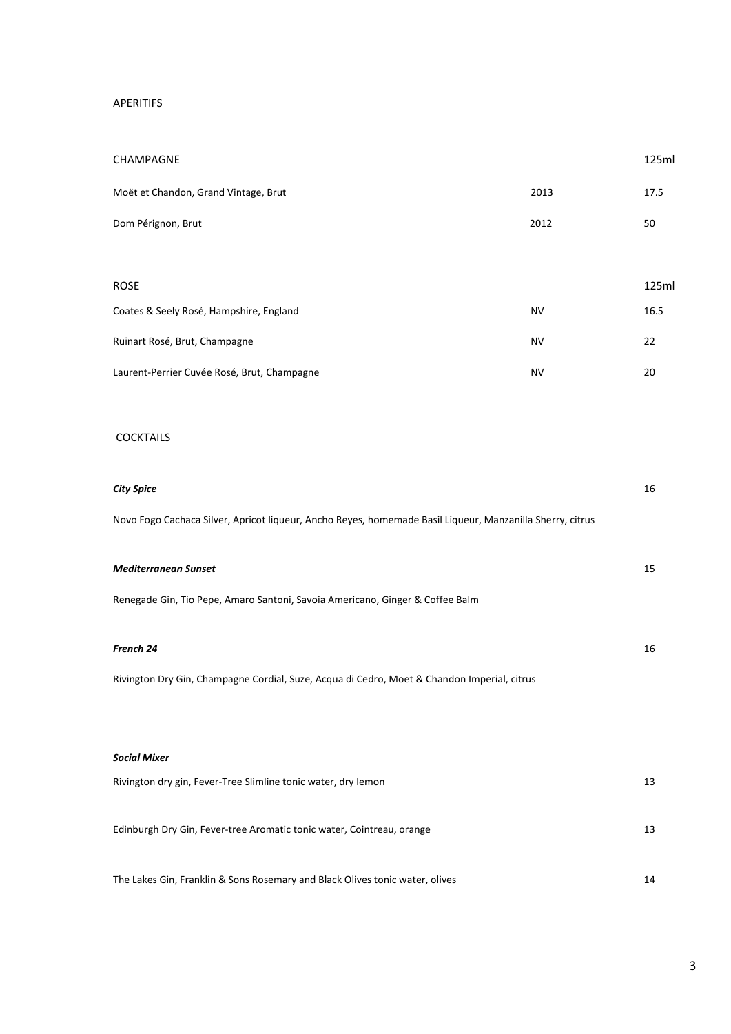# APERITIFS

| CHAMPAGNE                                   |           | 125ml |
|---------------------------------------------|-----------|-------|
| Moët et Chandon, Grand Vintage, Brut        | 2013      | 17.5  |
| Dom Pérignon, Brut                          | 2012      | 50    |
|                                             |           |       |
| <b>ROSE</b>                                 |           | 125ml |
| Coates & Seely Rosé, Hampshire, England     | <b>NV</b> | 16.5  |
| Ruinart Rosé, Brut, Champagne               | <b>NV</b> | 22    |
| Laurent-Perrier Cuvée Rosé, Brut, Champagne | <b>NV</b> | 20    |
|                                             |           |       |

# **COCKTAILS**

| <b>City Spice</b>                                                                                         | 16 |
|-----------------------------------------------------------------------------------------------------------|----|
| Novo Fogo Cachaca Silver, Apricot liqueur, Ancho Reyes, homemade Basil Liqueur, Manzanilla Sherry, citrus |    |
|                                                                                                           |    |
| <b>Mediterranean Sunset</b>                                                                               | 15 |
| Renegade Gin, Tio Pepe, Amaro Santoni, Savoia Americano, Ginger & Coffee Balm                             |    |
| French 24                                                                                                 | 16 |
| Rivington Dry Gin, Champagne Cordial, Suze, Acqua di Cedro, Moet & Chandon Imperial, citrus               |    |
|                                                                                                           |    |
| <b>Social Mixer</b>                                                                                       |    |
| Rivington dry gin, Fever-Tree Slimline tonic water, dry lemon                                             | 13 |
| Edinburgh Dry Gin, Fever-tree Aromatic tonic water, Cointreau, orange                                     | 13 |

The Lakes Gin, Franklin & Sons Rosemary and Black Olives tonic water, olives 14

# 3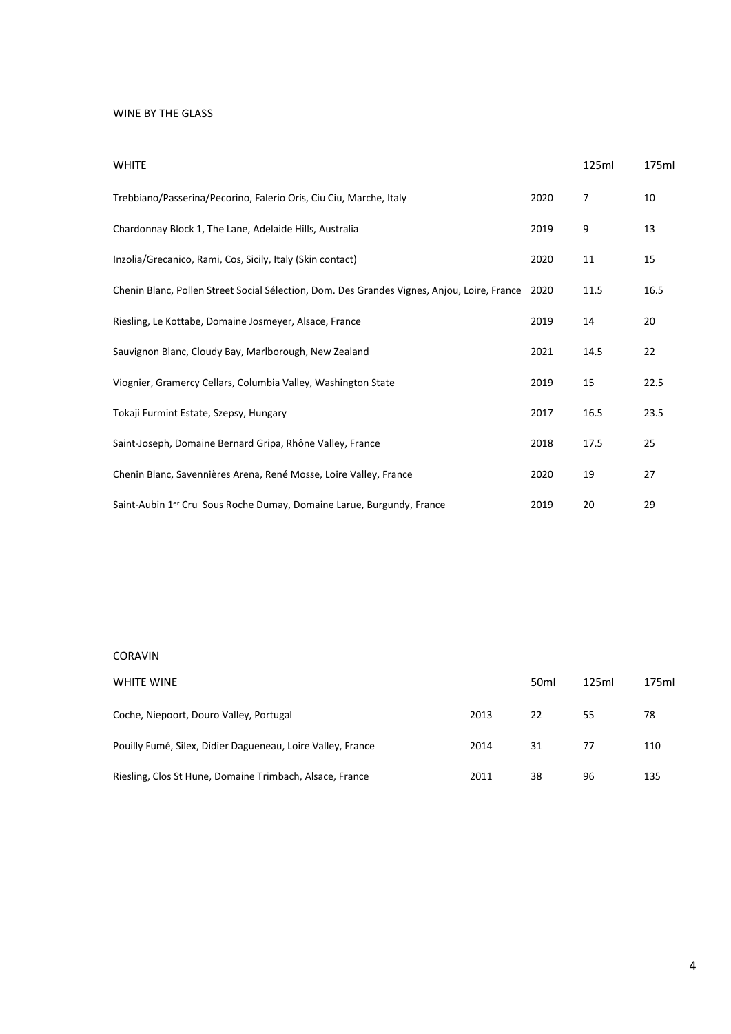#### WINE BY THE GLASS

| <b>WHITE</b>                                                                                |      | 125ml | 175ml |
|---------------------------------------------------------------------------------------------|------|-------|-------|
| Trebbiano/Passerina/Pecorino, Falerio Oris, Ciu Ciu, Marche, Italy                          | 2020 | 7     | 10    |
| Chardonnay Block 1, The Lane, Adelaide Hills, Australia                                     | 2019 | 9     | 13    |
| Inzolia/Grecanico, Rami, Cos, Sicily, Italy (Skin contact)                                  | 2020 | 11    | 15    |
| Chenin Blanc, Pollen Street Social Sélection, Dom. Des Grandes Vignes, Anjou, Loire, France | 2020 | 11.5  | 16.5  |
| Riesling, Le Kottabe, Domaine Josmeyer, Alsace, France                                      | 2019 | 14    | 20    |
| Sauvignon Blanc, Cloudy Bay, Marlborough, New Zealand                                       | 2021 | 14.5  | 22    |
| Viognier, Gramercy Cellars, Columbia Valley, Washington State                               | 2019 | 15    | 22.5  |
| Tokaji Furmint Estate, Szepsy, Hungary                                                      | 2017 | 16.5  | 23.5  |
| Saint-Joseph, Domaine Bernard Gripa, Rhône Valley, France                                   | 2018 | 17.5  | 25    |
| Chenin Blanc, Savennières Arena, René Mosse, Loire Valley, France                           | 2020 | 19    | 27    |
| Saint-Aubin 1 <sup>er</sup> Cru Sous Roche Dumay, Domaine Larue, Burgundy, France           | 2019 | 20    | 29    |

#### CORAVIN

| WHITE WINE                                                  |      | 50 <sub>ml</sub> | 125ml | 175ml |
|-------------------------------------------------------------|------|------------------|-------|-------|
| Coche, Niepoort, Douro Valley, Portugal                     | 2013 | 22               | 55    | 78    |
| Pouilly Fumé, Silex, Didier Dagueneau, Loire Valley, France | 2014 | 31               | 77    | 110   |
| Riesling, Clos St Hune, Domaine Trimbach, Alsace, France    | 2011 | 38               | 96    | 135   |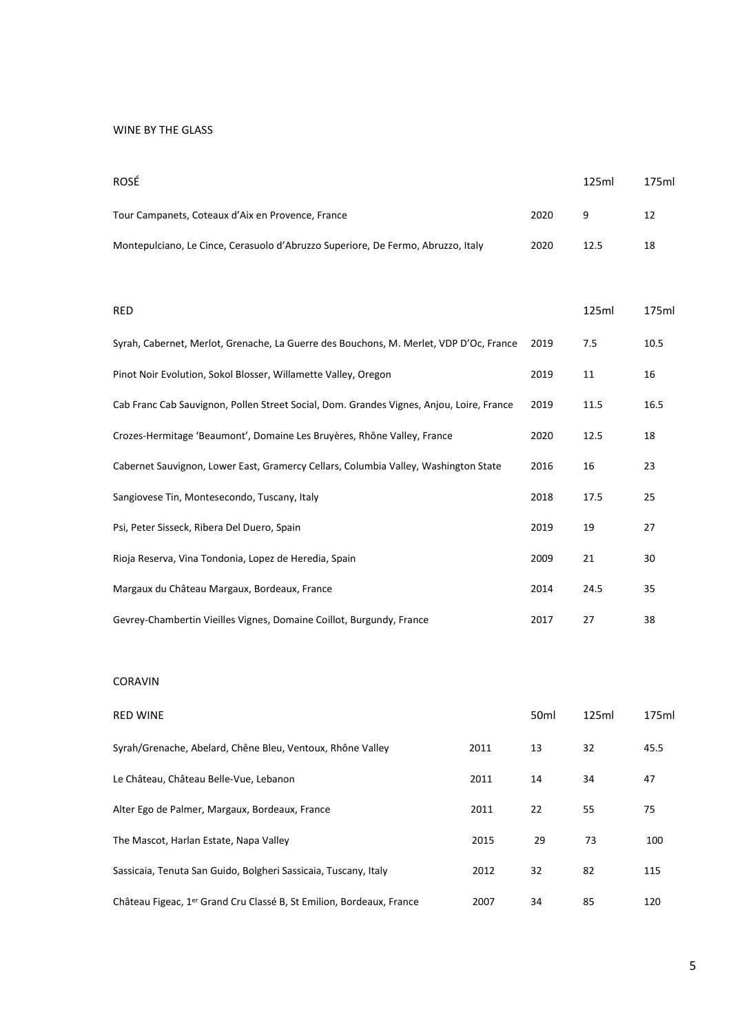# WINE BY THE GLASS

| ROSÉ                                                                                     |      | 125ml | 175ml |
|------------------------------------------------------------------------------------------|------|-------|-------|
| Tour Campanets, Coteaux d'Aix en Provence, France                                        | 2020 | 9     | 12    |
| Montepulciano, Le Cince, Cerasuolo d'Abruzzo Superiore, De Fermo, Abruzzo, Italy         | 2020 | 12.5  | 18    |
|                                                                                          |      |       |       |
| <b>RED</b>                                                                               |      | 125ml | 175ml |
| Syrah, Cabernet, Merlot, Grenache, La Guerre des Bouchons, M. Merlet, VDP D'Oc, France   | 2019 | 7.5   | 10.5  |
| Pinot Noir Evolution, Sokol Blosser, Willamette Valley, Oregon                           | 2019 | 11    | 16    |
| Cab Franc Cab Sauvignon, Pollen Street Social, Dom. Grandes Vignes, Anjou, Loire, France | 2019 | 11.5  | 16.5  |
| Crozes-Hermitage 'Beaumont', Domaine Les Bruyères, Rhône Valley, France                  | 2020 | 12.5  | 18    |
| Cabernet Sauvignon, Lower East, Gramercy Cellars, Columbia Valley, Washington State      | 2016 | 16    | 23    |
| Sangiovese Tin, Montesecondo, Tuscany, Italy                                             | 2018 | 17.5  | 25    |
| Psi, Peter Sisseck, Ribera Del Duero, Spain                                              | 2019 | 19    | 27    |
| Rioja Reserva, Vina Tondonia, Lopez de Heredia, Spain                                    | 2009 | 21    | 30    |
| Margaux du Château Margaux, Bordeaux, France                                             | 2014 | 24.5  | 35    |
|                                                                                          |      |       |       |

# CORAVIN

| <b>RED WINE</b>                                                                  |      | 50 <sub>ml</sub> | 125ml | 175ml |
|----------------------------------------------------------------------------------|------|------------------|-------|-------|
| Syrah/Grenache, Abelard, Chêne Bleu, Ventoux, Rhône Valley                       | 2011 | 13               | 32    | 45.5  |
| Le Château, Château Belle-Vue, Lebanon                                           | 2011 | 14               | 34    | 47    |
| Alter Ego de Palmer, Margaux, Bordeaux, France                                   | 2011 | 22               | 55    | 75    |
| The Mascot, Harlan Estate, Napa Valley                                           | 2015 | 29               | 73    | 100   |
| Sassicaia, Tenuta San Guido, Bolgheri Sassicaia, Tuscany, Italy                  | 2012 | 32               | 82    | 115   |
| Château Figeac, 1 <sup>er</sup> Grand Cru Classé B, St Emilion, Bordeaux, France | 2007 | 34               | 85    | 120   |

Gevrey-Chambertin Vieilles Vignes, Domaine Coillot, Burgundy, France 2017 27 38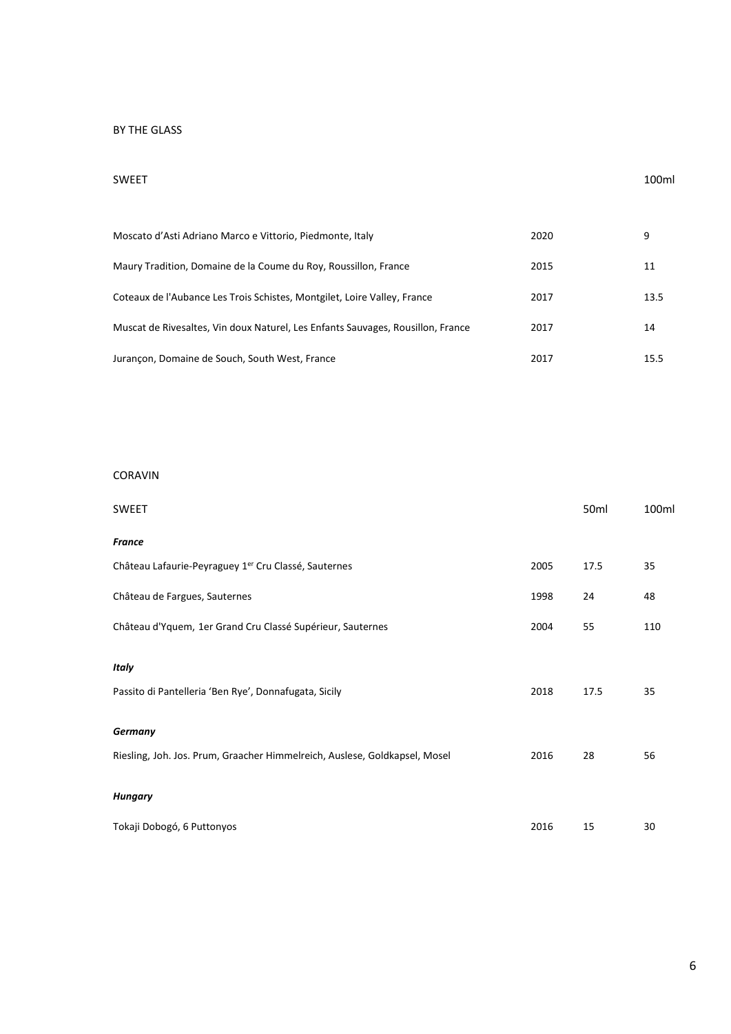# BY THE GLASS

#### SWEET 100ml

| Moscato d'Asti Adriano Marco e Vittorio, Piedmonte, Italy                       | 2020 | 9    |
|---------------------------------------------------------------------------------|------|------|
| Maury Tradition, Domaine de la Coume du Roy, Roussillon, France                 | 2015 | 11   |
| Coteaux de l'Aubance Les Trois Schistes, Montgilet, Loire Valley, France        | 2017 | 13.5 |
| Muscat de Rivesaltes, Vin doux Naturel, Les Enfants Sauvages, Rousillon, France | 2017 | 14   |
| Jurancon, Domaine de Souch, South West, France                                  | 2017 | 15.5 |

#### CORAVIN

| SWEET                                                                      |      | 50 <sub>ml</sub> | 100ml |
|----------------------------------------------------------------------------|------|------------------|-------|
| France                                                                     |      |                  |       |
| Château Lafaurie-Peyraguey 1 <sup>er</sup> Cru Classé, Sauternes           | 2005 | 17.5             | 35    |
| Château de Fargues, Sauternes                                              | 1998 | 24               | 48    |
| Château d'Yquem, 1er Grand Cru Classé Supérieur, Sauternes                 | 2004 | 55               | 110   |
| Italy                                                                      |      |                  |       |
| Passito di Pantelleria 'Ben Rye', Donnafugata, Sicily                      | 2018 | 17.5             | 35    |
| Germany                                                                    |      |                  |       |
| Riesling, Joh. Jos. Prum, Graacher Himmelreich, Auslese, Goldkapsel, Mosel | 2016 | 28               | 56    |
| Hungary                                                                    |      |                  |       |
| Tokaji Dobogó, 6 Puttonyos                                                 | 2016 | 15               | 30    |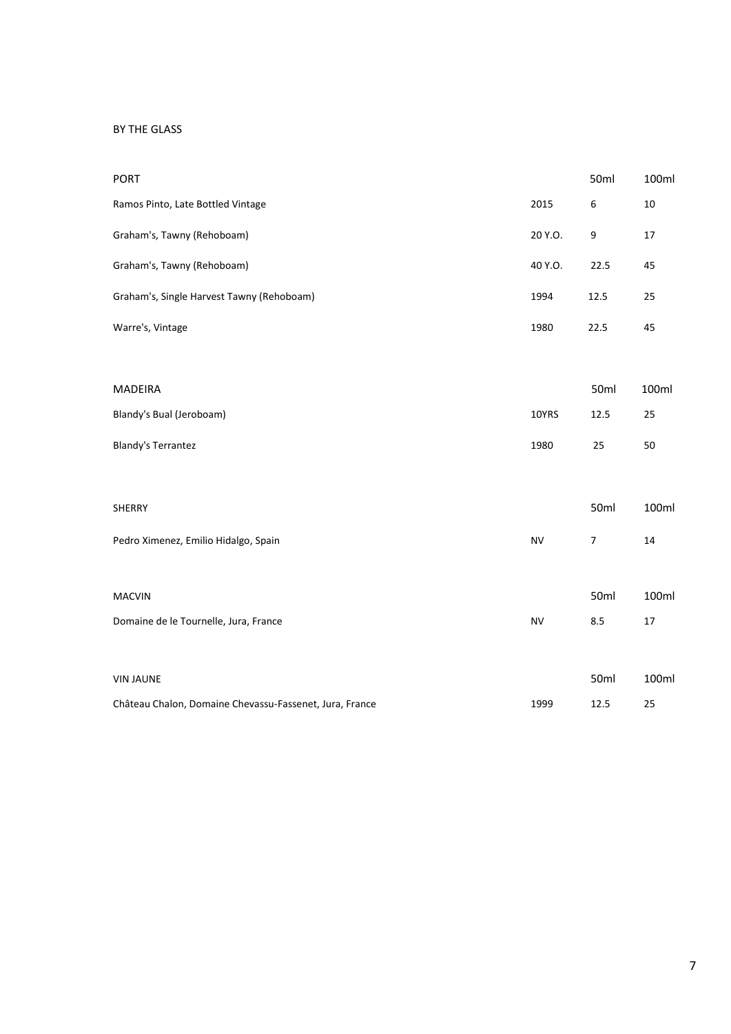#### BY THE GLASS

| <b>PORT</b>                                             |           | 50ml | 100ml |
|---------------------------------------------------------|-----------|------|-------|
| Ramos Pinto, Late Bottled Vintage                       | 2015      | 6    | 10    |
| Graham's, Tawny (Rehoboam)                              | 20 Y.O.   | 9    | 17    |
| Graham's, Tawny (Rehoboam)                              | 40 Y.O.   | 22.5 | 45    |
| Graham's, Single Harvest Tawny (Rehoboam)               | 1994      | 12.5 | 25    |
| Warre's, Vintage                                        | 1980      | 22.5 | 45    |
| <b>MADEIRA</b>                                          |           | 50ml | 100ml |
| Blandy's Bual (Jeroboam)                                | 10YRS     | 12.5 | 25    |
| <b>Blandy's Terrantez</b>                               | 1980      | 25   | 50    |
| <b>SHERRY</b>                                           |           | 50ml | 100ml |
| Pedro Ximenez, Emilio Hidalgo, Spain                    | <b>NV</b> | 7    | 14    |
| <b>MACVIN</b>                                           |           | 50ml | 100ml |
| Domaine de le Tournelle, Jura, France                   | <b>NV</b> | 8.5  | 17    |
| <b>VIN JAUNE</b>                                        |           | 50ml | 100ml |
| Château Chalon, Domaine Chevassu-Fassenet, Jura, France | 1999      | 12.5 | 25    |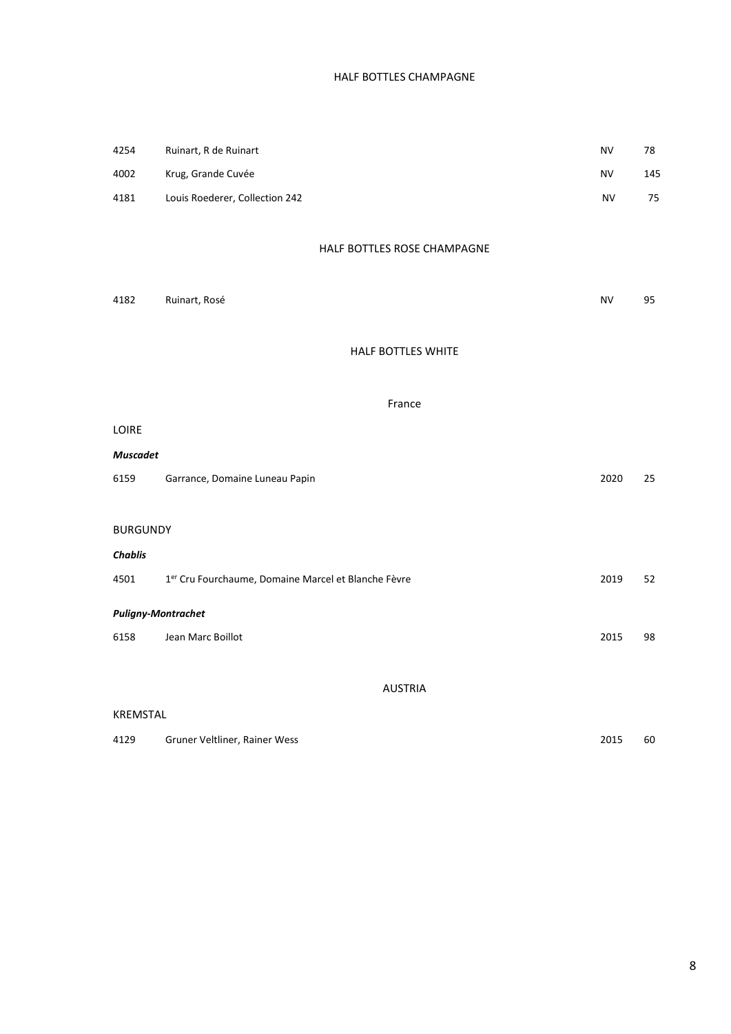# HALF BOTTLES CHAMPAGNE

| 4254                      | Ruinart, R de Ruinart                                           | NV        | 78  |
|---------------------------|-----------------------------------------------------------------|-----------|-----|
| 4002                      | Krug, Grande Cuvée                                              | NV        | 145 |
| 4181                      | Louis Roederer, Collection 242                                  | <b>NV</b> | 75  |
|                           |                                                                 |           |     |
|                           | HALF BOTTLES ROSE CHAMPAGNE                                     |           |     |
|                           |                                                                 |           |     |
| 4182                      | Ruinart, Rosé                                                   | <b>NV</b> | 95  |
|                           |                                                                 |           |     |
|                           | HALF BOTTLES WHITE                                              |           |     |
|                           |                                                                 |           |     |
|                           | France                                                          |           |     |
| LOIRE                     |                                                                 |           |     |
| <b>Muscadet</b>           |                                                                 |           |     |
| 6159                      | Garrance, Domaine Luneau Papin                                  | 2020      | 25  |
|                           |                                                                 |           |     |
| <b>BURGUNDY</b>           |                                                                 |           |     |
| <b>Chablis</b>            |                                                                 |           |     |
| 4501                      | 1 <sup>er</sup> Cru Fourchaume, Domaine Marcel et Blanche Fèvre | 2019      | 52  |
| <b>Puligny-Montrachet</b> |                                                                 |           |     |
| 6158                      | Jean Marc Boillot                                               | 2015      | 98  |
|                           |                                                                 |           |     |
|                           | <b>AUSTRIA</b>                                                  |           |     |
| KREMSTAL                  |                                                                 |           |     |
| 4129                      | Gruner Veltliner, Rainer Wess                                   | 2015      | 60  |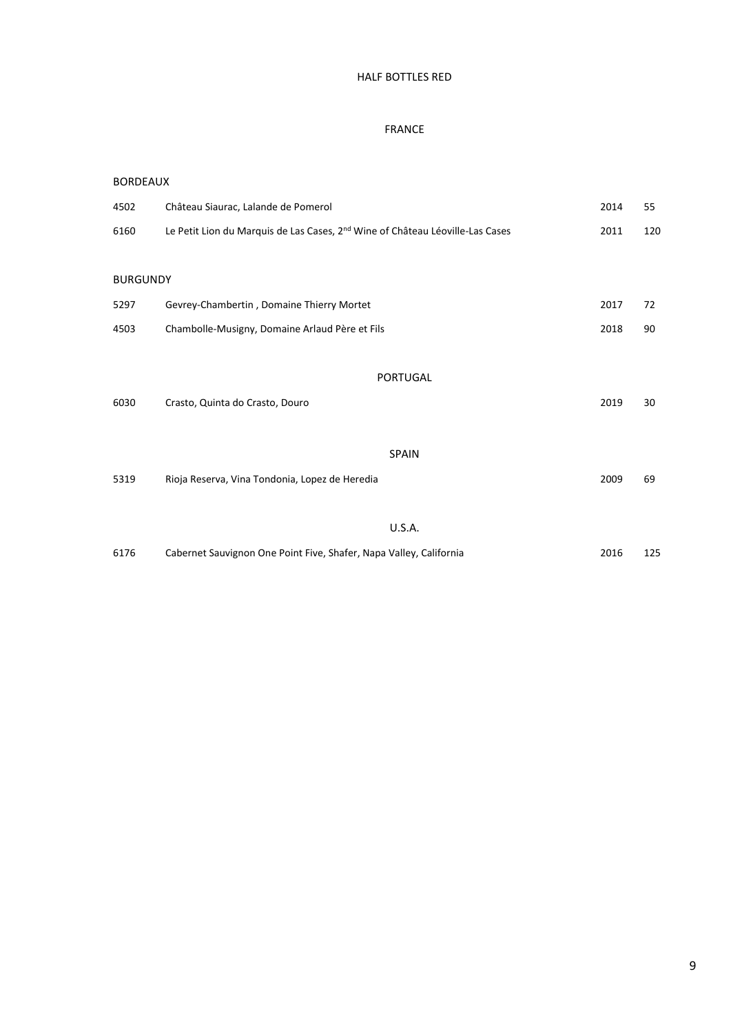# HALF BOTTLES RED

#### FRANCE

#### BORDEAUX

| 4502            | Château Siaurac, Lalande de Pomerol                                                       | 2014 | 55  |
|-----------------|-------------------------------------------------------------------------------------------|------|-----|
| 6160            | Le Petit Lion du Marquis de Las Cases, 2 <sup>nd</sup> Wine of Château Léoville-Las Cases | 2011 | 120 |
| <b>BURGUNDY</b> |                                                                                           |      |     |
| 5297            | Gevrey-Chambertin, Domaine Thierry Mortet                                                 | 2017 | 72  |
| 4503            | Chambolle-Musigny, Domaine Arlaud Père et Fils                                            | 2018 | 90  |
|                 |                                                                                           |      |     |
|                 | PORTUGAL                                                                                  |      |     |
| 6030            | Crasto, Quinta do Crasto, Douro                                                           | 2019 | 30  |
|                 |                                                                                           |      |     |
|                 | <b>SPAIN</b>                                                                              |      |     |
| 5319            | Rioja Reserva, Vina Tondonia, Lopez de Heredia                                            | 2009 | 69  |
|                 |                                                                                           |      |     |
|                 | <b>U.S.A.</b>                                                                             |      |     |
| 6176            | Cabernet Sauvignon One Point Five, Shafer, Napa Valley, California                        | 2016 | 125 |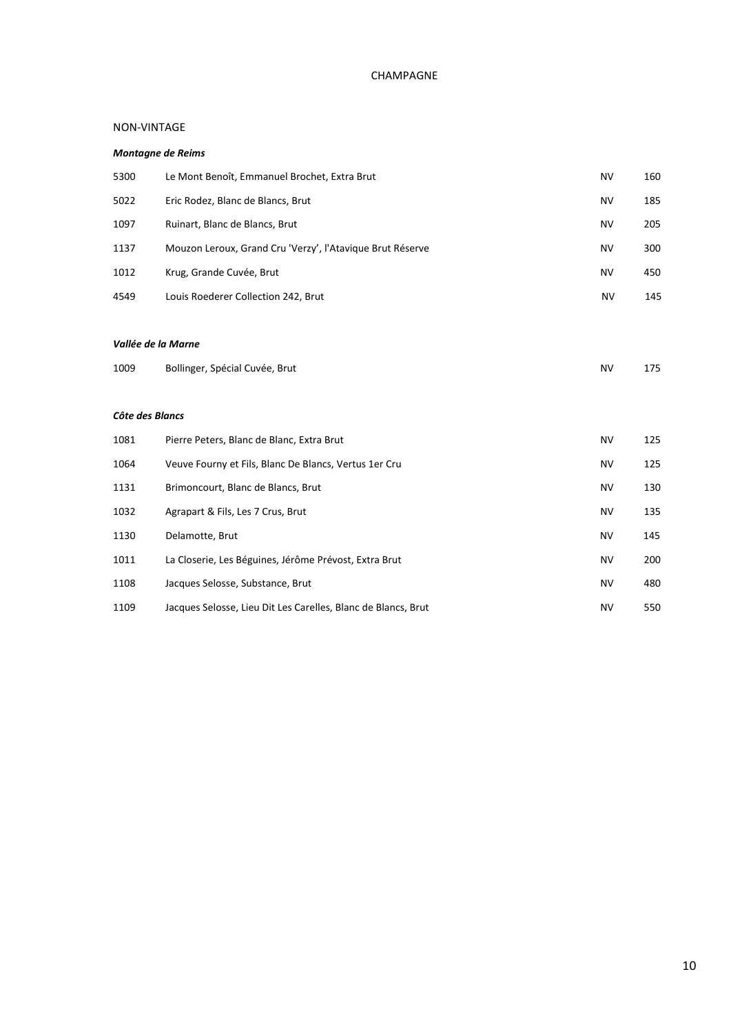# CHAMPAGNE

#### NON-VINTAGE

#### *Montagne de Reims*

| 5300 | Le Mont Benoît, Emmanuel Brochet, Extra Brut              | NV        | 160 |
|------|-----------------------------------------------------------|-----------|-----|
| 5022 | Eric Rodez, Blanc de Blancs, Brut                         | NV        | 185 |
| 1097 | Ruinart, Blanc de Blancs, Brut                            | NV        | 205 |
| 1137 | Mouzon Leroux, Grand Cru 'Verzy', l'Atavique Brut Réserve | NV        | 300 |
| 1012 | Krug, Grande Cuvée, Brut                                  | NV        | 450 |
| 4549 | Louis Roederer Collection 242, Brut                       | <b>NV</b> | 145 |
|      |                                                           |           |     |

#### *Vallée de la Marne*

| 1009 | Bollinger, Spécial Cuvée, Brut | NV | 175 |
|------|--------------------------------|----|-----|
|------|--------------------------------|----|-----|

#### *Côte des Blancs*

| 1081 | Pierre Peters, Blanc de Blanc, Extra Brut                     | NV        | 125 |
|------|---------------------------------------------------------------|-----------|-----|
| 1064 | Veuve Fourny et Fils, Blanc De Blancs, Vertus 1er Cru         | <b>NV</b> | 125 |
| 1131 | Brimoncourt, Blanc de Blancs, Brut                            | <b>NV</b> | 130 |
| 1032 | Agrapart & Fils, Les 7 Crus, Brut                             | NV        | 135 |
| 1130 | Delamotte, Brut                                               | <b>NV</b> | 145 |
| 1011 | La Closerie, Les Béguines, Jérôme Prévost, Extra Brut         | NV        | 200 |
| 1108 | Jacques Selosse, Substance, Brut                              | <b>NV</b> | 480 |
| 1109 | Jacques Selosse, Lieu Dit Les Carelles, Blanc de Blancs, Brut | NV        | 550 |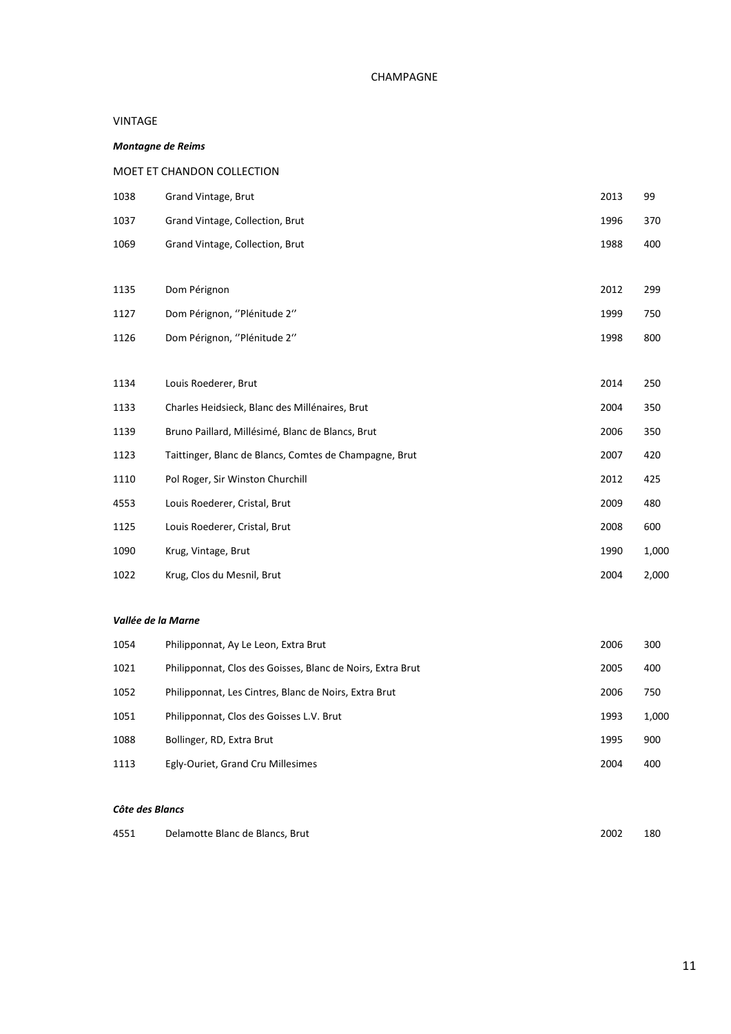#### CHAMPAGNE

#### VINTAGE

#### *Montagne de Reims*

#### MOET ET CHANDON COLLECTION

| 1038 | Grand Vintage, Brut                                    | 2013 | 99    |
|------|--------------------------------------------------------|------|-------|
| 1037 | Grand Vintage, Collection, Brut                        | 1996 | 370   |
| 1069 | Grand Vintage, Collection, Brut                        | 1988 | 400   |
|      |                                                        |      |       |
| 1135 | Dom Pérignon                                           | 2012 | 299   |
| 1127 | Dom Pérignon, "Plénitude 2"                            | 1999 | 750   |
| 1126 | Dom Pérignon, "Plénitude 2"                            | 1998 | 800   |
|      |                                                        |      |       |
| 1134 | Louis Roederer, Brut                                   | 2014 | 250   |
| 1133 | Charles Heidsieck, Blanc des Millénaires, Brut         | 2004 | 350   |
| 1139 | Bruno Paillard, Millésimé, Blanc de Blancs, Brut       | 2006 | 350   |
| 1123 | Taittinger, Blanc de Blancs, Comtes de Champagne, Brut | 2007 | 420   |
| 1110 | Pol Roger, Sir Winston Churchill                       | 2012 | 425   |
| 4553 | Louis Roederer, Cristal, Brut                          | 2009 | 480   |
| 1125 | Louis Roederer, Cristal, Brut                          | 2008 | 600   |
| 1090 | Krug, Vintage, Brut                                    | 1990 | 1,000 |
| 1022 | Krug, Clos du Mesnil, Brut                             | 2004 | 2,000 |

#### *Vallée de la Marne*

| 1054 | Philipponnat, Ay Le Leon, Extra Brut                       | 2006 | 300   |
|------|------------------------------------------------------------|------|-------|
| 1021 | Philipponnat, Clos des Goisses, Blanc de Noirs, Extra Brut | 2005 | 400   |
| 1052 | Philipponnat, Les Cintres, Blanc de Noirs, Extra Brut      | 2006 | 750   |
| 1051 | Philipponnat, Clos des Goisses L.V. Brut                   | 1993 | 1,000 |
| 1088 | Bollinger, RD, Extra Brut                                  | 1995 | 900   |
| 1113 | Egly-Ouriet, Grand Cru Millesimes                          | 2004 | 400   |

#### *Côte des Blancs*

| 2002<br>4551<br>Delamotte Blanc de Blancs, Brut | 180 |
|-------------------------------------------------|-----|
|-------------------------------------------------|-----|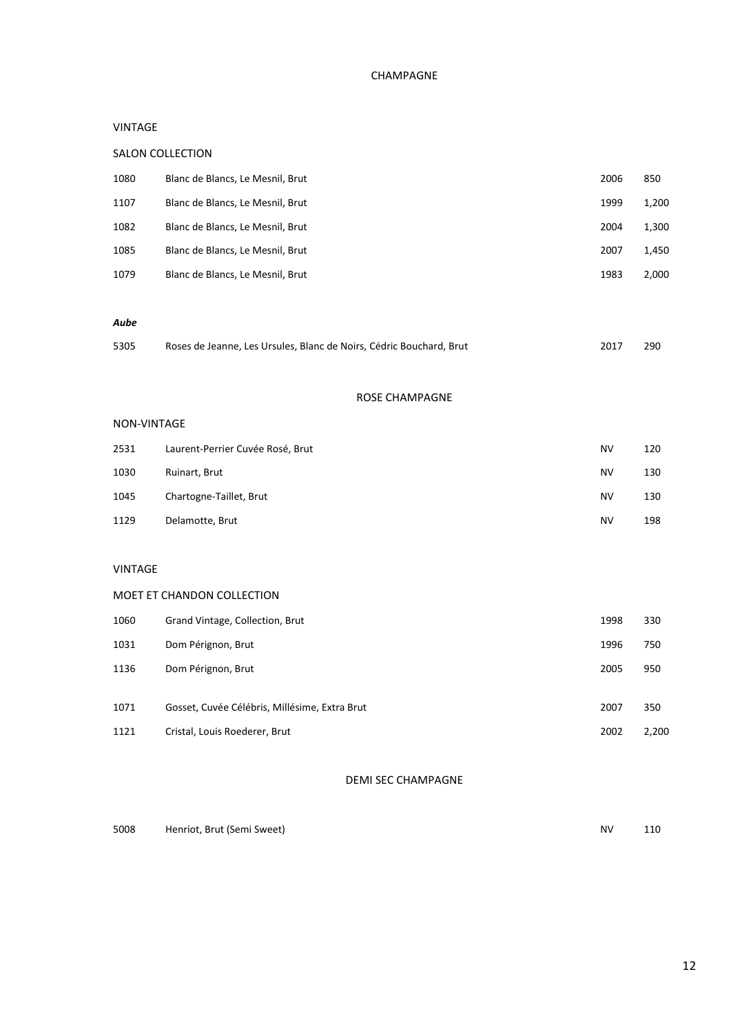# CHAMPAGNE

#### VINTAGE

# SALON COLLECTION

| 1080 | Blanc de Blancs, Le Mesnil, Brut | 2006 | 850   |
|------|----------------------------------|------|-------|
| 1107 | Blanc de Blancs, Le Mesnil, Brut | 1999 | 1,200 |
| 1082 | Blanc de Blancs, Le Mesnil, Brut | 2004 | 1,300 |
| 1085 | Blanc de Blancs, Le Mesnil, Brut | 2007 | 1,450 |
| 1079 | Blanc de Blancs, Le Mesnil, Brut | 1983 | 2,000 |
|      |                                  |      |       |

#### *Aube*

| Roses de Jeanne, Les Ursules, Blanc de Noirs, Cédric Bouchard, Brut | 2017 | 290 |
|---------------------------------------------------------------------|------|-----|
|                                                                     |      |     |

#### ROSE CHAMPAGNE

#### NON-VINTAGE

| 2531 | Laurent-Perrier Cuvée Rosé, Brut | NV | 120 |
|------|----------------------------------|----|-----|
| 1030 | Ruinart, Brut                    | NV | 130 |
| 1045 | Chartogne-Taillet, Brut          | NV | 130 |
| 1129 | Delamotte, Brut                  | NV | 198 |

#### VINTAGE

#### MOET ET CHANDON COLLECTION

| 1060 | Grand Vintage, Collection, Brut               | 1998 | 330   |
|------|-----------------------------------------------|------|-------|
| 1031 | Dom Pérignon, Brut                            | 1996 | 750   |
| 1136 | Dom Pérignon, Brut                            | 2005 | 950   |
|      |                                               |      |       |
| 1071 | Gosset, Cuvée Célébris, Millésime, Extra Brut | 2007 | 350   |
| 1121 | Cristal, Louis Roederer, Brut                 | 2002 | 2,200 |

# DEMI SEC CHAMPAGNE

| 5008 | Henriot, Brut (Semi Sweet) | 110 |
|------|----------------------------|-----|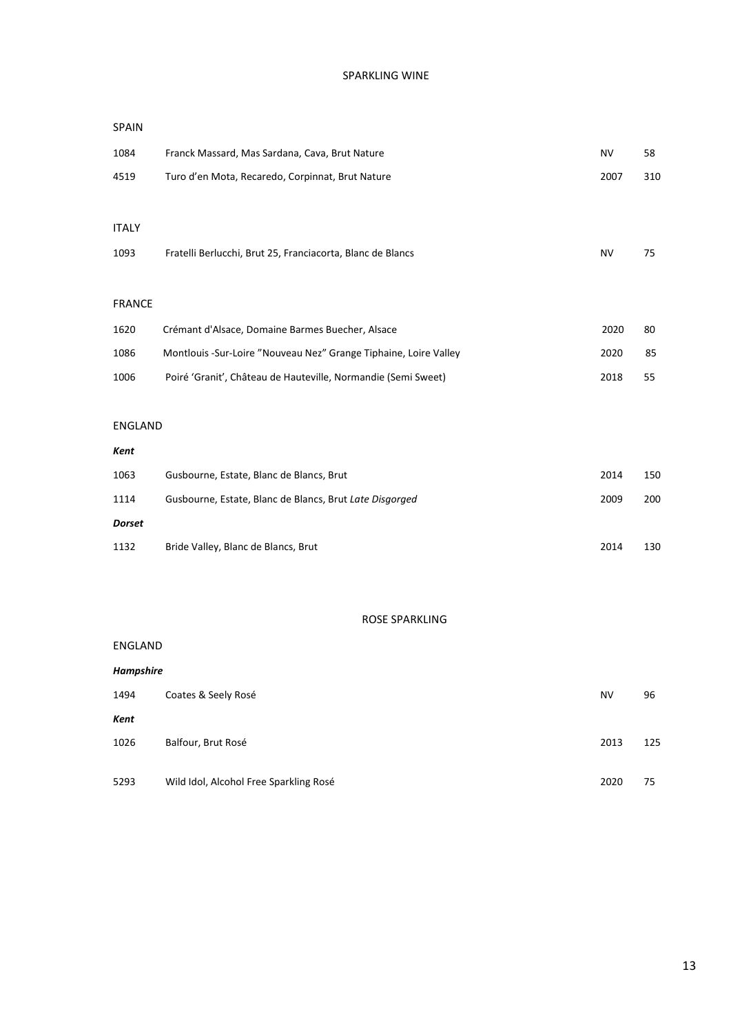# SPARKLING WINE

| 1084           | Franck Massard, Mas Sardana, Cava, Brut Nature                   | <b>NV</b> | 58  |
|----------------|------------------------------------------------------------------|-----------|-----|
| 4519           | Turo d'en Mota, Recaredo, Corpinnat, Brut Nature                 | 2007      | 310 |
|                |                                                                  |           |     |
| <b>ITALY</b>   |                                                                  |           |     |
| 1093           | Fratelli Berlucchi, Brut 25, Franciacorta, Blanc de Blancs       | <b>NV</b> | 75  |
|                |                                                                  |           |     |
| <b>FRANCE</b>  |                                                                  |           |     |
| 1620           | Crémant d'Alsace, Domaine Barmes Buecher, Alsace                 | 2020      | 80  |
| 1086           | Montlouis -Sur-Loire "Nouveau Nez" Grange Tiphaine, Loire Valley | 2020      | 85  |
| 1006           | Poiré 'Granit', Château de Hauteville, Normandie (Semi Sweet)    | 2018      | 55  |
|                |                                                                  |           |     |
| <b>ENGLAND</b> |                                                                  |           |     |
| Kent           |                                                                  |           |     |
| 1063           | Gusbourne, Estate, Blanc de Blancs, Brut                         | 2014      | 150 |
| 1114           | Gusbourne, Estate, Blanc de Blancs, Brut Late Disgorged          | 2009      | 200 |
| <b>Dorset</b>  |                                                                  |           |     |
| 1132           | Bride Valley, Blanc de Blancs, Brut                              | 2014      | 130 |

#### ROSE SPARKLING

ENGLAND

SPAIN

| <b>Hampshire</b> |                                        |      |     |  |
|------------------|----------------------------------------|------|-----|--|
| 1494             | Coates & Seely Rosé                    | NV   | 96  |  |
| Kent             |                                        |      |     |  |
| 1026             | Balfour, Brut Rosé                     | 2013 | 125 |  |
|                  |                                        |      |     |  |
| 5293             | Wild Idol, Alcohol Free Sparkling Rosé | 2020 | 75  |  |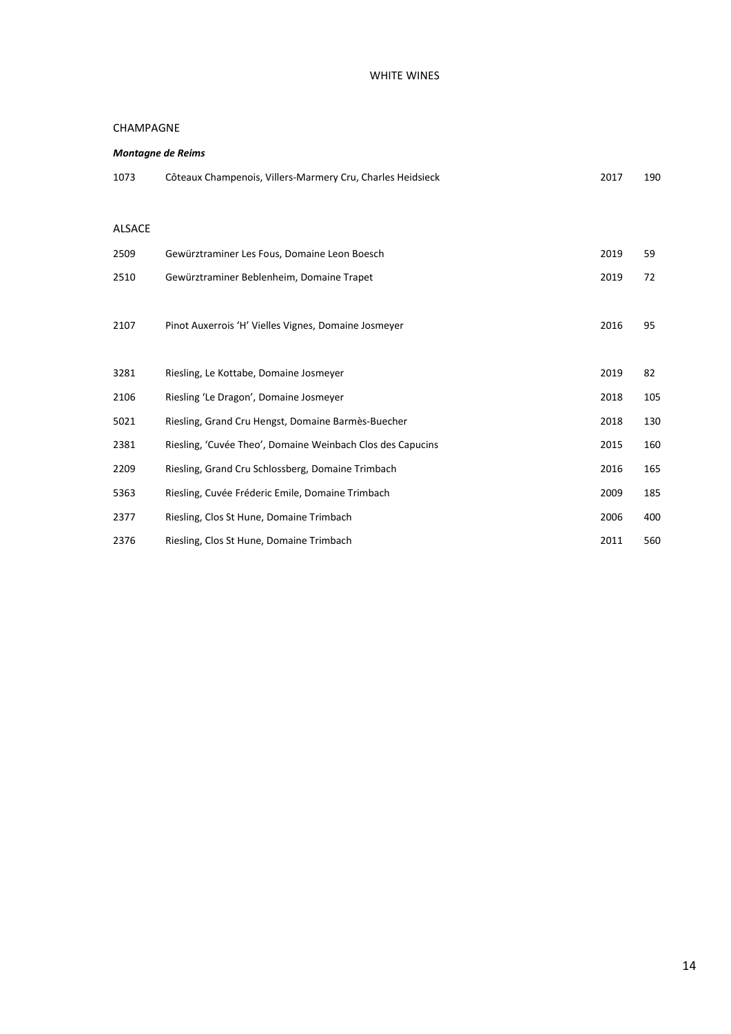# WHITE WINES

#### CHAMPAGNE

| <b>Montagne de Reims</b> |                                                            |      |     |  |  |
|--------------------------|------------------------------------------------------------|------|-----|--|--|
| 1073                     | Côteaux Champenois, Villers-Marmery Cru, Charles Heidsieck | 2017 | 190 |  |  |
|                          |                                                            |      |     |  |  |
| <b>ALSACE</b>            |                                                            |      |     |  |  |
| 2509                     | Gewürztraminer Les Fous, Domaine Leon Boesch               | 2019 | 59  |  |  |
| 2510                     | Gewürztraminer Beblenheim, Domaine Trapet                  | 2019 | 72  |  |  |
|                          |                                                            |      |     |  |  |
| 2107                     | Pinot Auxerrois 'H' Vielles Vignes, Domaine Josmeyer       | 2016 | 95  |  |  |
|                          |                                                            |      |     |  |  |
| 3281                     | Riesling, Le Kottabe, Domaine Josmeyer                     | 2019 | 82  |  |  |
| 2106                     | Riesling 'Le Dragon', Domaine Josmeyer                     | 2018 | 105 |  |  |
| 5021                     | Riesling, Grand Cru Hengst, Domaine Barmès-Buecher         | 2018 | 130 |  |  |
| 2381                     | Riesling, 'Cuvée Theo', Domaine Weinbach Clos des Capucins | 2015 | 160 |  |  |
| 2209                     | Riesling, Grand Cru Schlossberg, Domaine Trimbach          | 2016 | 165 |  |  |
| 5363                     | Riesling, Cuvée Fréderic Emile, Domaine Trimbach           | 2009 | 185 |  |  |
| 2377                     | Riesling, Clos St Hune, Domaine Trimbach                   | 2006 | 400 |  |  |
| 2376                     | Riesling, Clos St Hune, Domaine Trimbach                   | 2011 | 560 |  |  |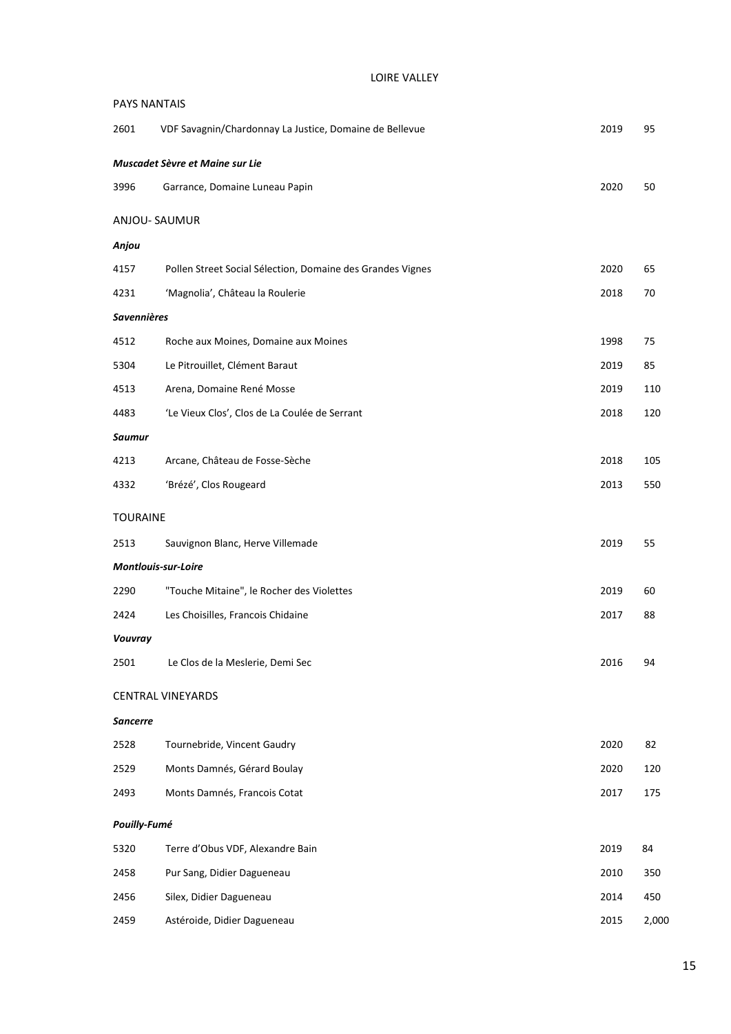|  | <b>LOIRE VALLEY</b> |
|--|---------------------|
|--|---------------------|

| <b>PAYS NANTAIS</b>        |                                                            |      |       |  |  |
|----------------------------|------------------------------------------------------------|------|-------|--|--|
| 2601                       | VDF Savagnin/Chardonnay La Justice, Domaine de Bellevue    | 2019 | 95    |  |  |
|                            | Muscadet Sèvre et Maine sur Lie                            |      |       |  |  |
| 3996                       | Garrance, Domaine Luneau Papin                             | 2020 | 50    |  |  |
| ANJOU-SAUMUR               |                                                            |      |       |  |  |
| Anjou                      |                                                            |      |       |  |  |
| 4157                       | Pollen Street Social Sélection, Domaine des Grandes Vignes | 2020 | 65    |  |  |
| 4231                       | 'Magnolia', Château la Roulerie                            | 2018 | 70    |  |  |
| <b>Savennières</b>         |                                                            |      |       |  |  |
| 4512                       | Roche aux Moines, Domaine aux Moines                       | 1998 | 75    |  |  |
| 5304                       | Le Pitrouillet, Clément Baraut                             | 2019 | 85    |  |  |
| 4513                       | Arena, Domaine René Mosse                                  | 2019 | 110   |  |  |
| 4483                       | 'Le Vieux Clos', Clos de La Coulée de Serrant              | 2018 | 120   |  |  |
| <b>Saumur</b>              |                                                            |      |       |  |  |
| 4213                       | Arcane, Château de Fosse-Sèche                             | 2018 | 105   |  |  |
| 4332                       | 'Brézé', Clos Rougeard                                     | 2013 | 550   |  |  |
| <b>TOURAINE</b>            |                                                            |      |       |  |  |
| 2513                       | Sauvignon Blanc, Herve Villemade                           | 2019 | 55    |  |  |
| <b>Montlouis-sur-Loire</b> |                                                            |      |       |  |  |
| 2290                       | "Touche Mitaine", le Rocher des Violettes                  | 2019 | 60    |  |  |
| 2424                       | Les Choisilles, Francois Chidaine                          | 2017 | 88    |  |  |
| Vouvray                    |                                                            |      |       |  |  |
| 2501                       | Le Clos de la Meslerie, Demi Sec                           | 2016 | 94    |  |  |
|                            | <b>CENTRAL VINEYARDS</b>                                   |      |       |  |  |
| <b>Sancerre</b>            |                                                            |      |       |  |  |
| 2528                       | Tournebride, Vincent Gaudry                                | 2020 | 82    |  |  |
| 2529                       | Monts Damnés, Gérard Boulay                                | 2020 | 120   |  |  |
| 2493                       | Monts Damnés, Francois Cotat                               | 2017 | 175   |  |  |
| Pouilly-Fumé               |                                                            |      |       |  |  |
| 5320                       | Terre d'Obus VDF, Alexandre Bain                           | 2019 | 84    |  |  |
| 2458                       | Pur Sang, Didier Dagueneau                                 | 2010 | 350   |  |  |
| 2456                       | Silex, Didier Dagueneau                                    | 2014 | 450   |  |  |
| 2459                       | Astéroide, Didier Dagueneau                                | 2015 | 2,000 |  |  |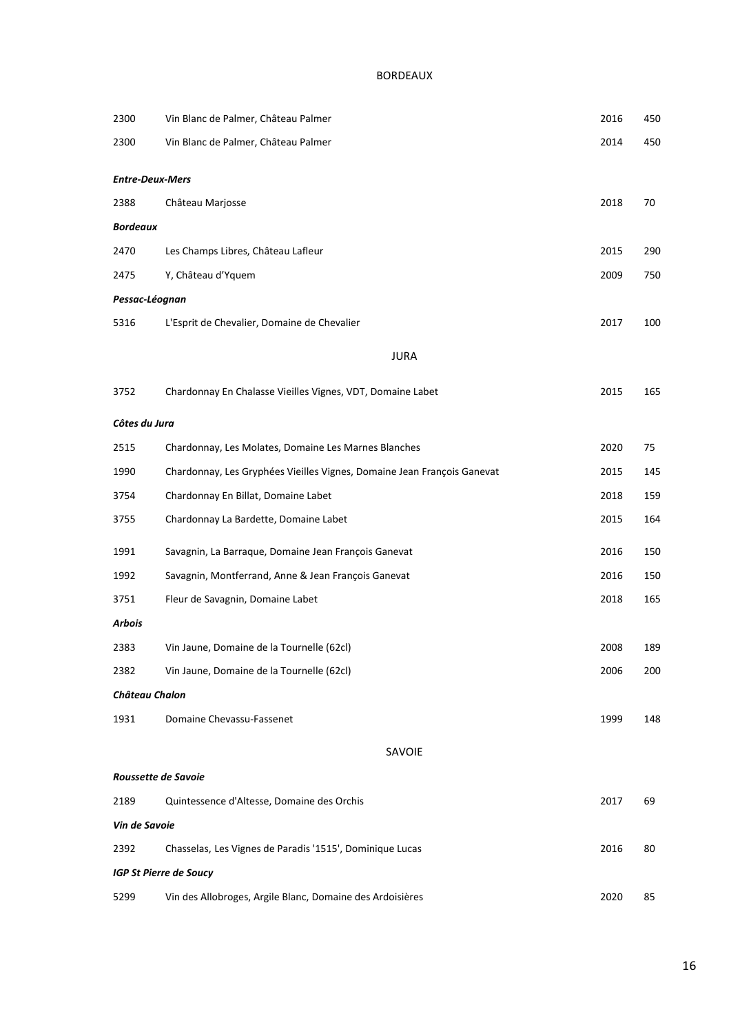| 2300                   | Vin Blanc de Palmer, Château Palmer                                     | 2016 | 450 |
|------------------------|-------------------------------------------------------------------------|------|-----|
| 2300                   | Vin Blanc de Palmer, Château Palmer                                     | 2014 | 450 |
|                        |                                                                         |      |     |
| <b>Entre-Deux-Mers</b> |                                                                         |      |     |
| 2388                   | Château Marjosse                                                        | 2018 | 70  |
| <b>Bordeaux</b>        |                                                                         |      |     |
| 2470                   | Les Champs Libres, Château Lafleur                                      | 2015 | 290 |
| 2475                   | Y, Château d'Yquem                                                      | 2009 | 750 |
| Pessac-Léognan         |                                                                         |      |     |
| 5316                   | L'Esprit de Chevalier, Domaine de Chevalier                             | 2017 | 100 |
|                        | <b>JURA</b>                                                             |      |     |
| 3752                   | Chardonnay En Chalasse Vieilles Vignes, VDT, Domaine Labet              | 2015 | 165 |
| Côtes du Jura          |                                                                         |      |     |
| 2515                   | Chardonnay, Les Molates, Domaine Les Marnes Blanches                    | 2020 | 75  |
| 1990                   | Chardonnay, Les Gryphées Vieilles Vignes, Domaine Jean François Ganevat | 2015 | 145 |
| 3754                   | Chardonnay En Billat, Domaine Labet                                     | 2018 | 159 |
| 3755                   | Chardonnay La Bardette, Domaine Labet                                   | 2015 | 164 |
| 1991                   | Savagnin, La Barraque, Domaine Jean François Ganevat                    | 2016 | 150 |
| 1992                   | Savagnin, Montferrand, Anne & Jean François Ganevat                     | 2016 | 150 |
| 3751                   | Fleur de Savagnin, Domaine Labet                                        | 2018 | 165 |
| <b>Arbois</b>          |                                                                         |      |     |
| 2383                   | Vin Jaune, Domaine de la Tournelle (62cl)                               | 2008 | 189 |
| 2382                   | Vin Jaune, Domaine de la Tournelle (62cl)                               | 2006 | 200 |
| Château Chalon         |                                                                         |      |     |
| 1931                   | Domaine Chevassu-Fassenet                                               | 1999 | 148 |
|                        | SAVOIE                                                                  |      |     |
| Roussette de Savoie    |                                                                         |      |     |
| 2189                   | Quintessence d'Altesse, Domaine des Orchis                              | 2017 | 69  |
| Vin de Savoie          |                                                                         |      |     |
| 2392                   | Chasselas, Les Vignes de Paradis '1515', Dominique Lucas                | 2016 | 80  |
|                        | <b>IGP St Pierre de Soucy</b>                                           |      |     |
| 5299                   | Vin des Allobroges, Argile Blanc, Domaine des Ardoisières               | 2020 | 85  |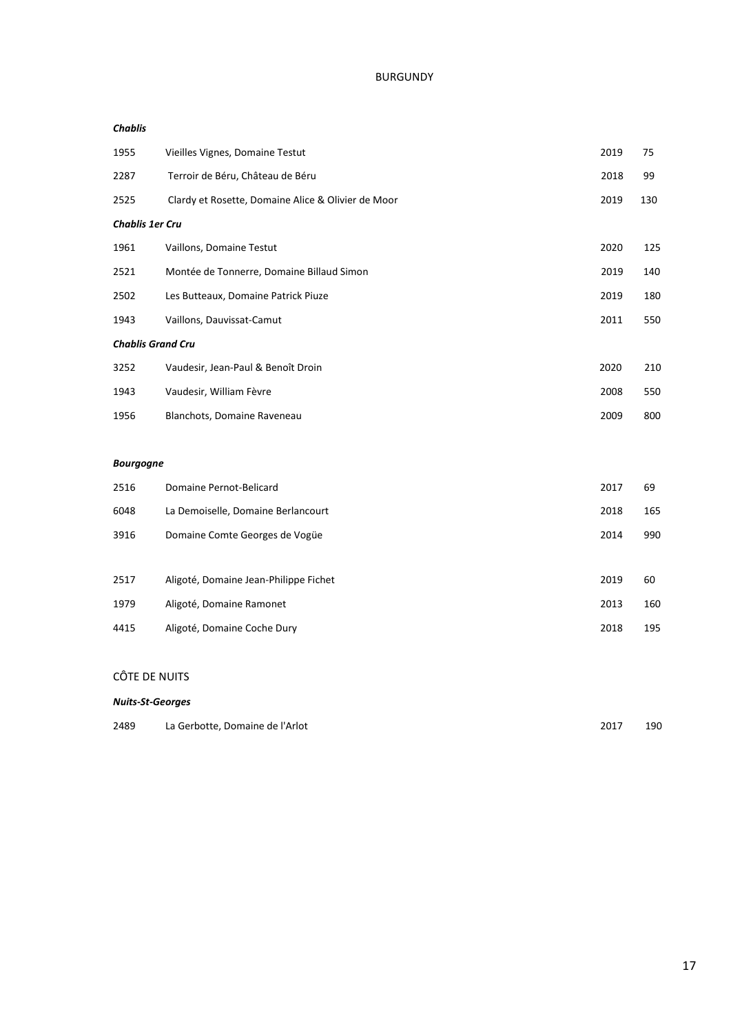#### *Chablis*

| 1955                     | Vieilles Vignes, Domaine Testut                    | 2019 | 75  |
|--------------------------|----------------------------------------------------|------|-----|
| 2287                     | Terroir de Béru, Château de Béru                   | 2018 | 99  |
| 2525                     | Clardy et Rosette, Domaine Alice & Olivier de Moor | 2019 | 130 |
| Chablis 1er Cru          |                                                    |      |     |
| 1961                     | Vaillons, Domaine Testut                           | 2020 | 125 |
| 2521                     | Montée de Tonnerre, Domaine Billaud Simon          | 2019 | 140 |
| 2502                     | Les Butteaux, Domaine Patrick Piuze                | 2019 | 180 |
| 1943                     | Vaillons, Dauvissat-Camut                          | 2011 | 550 |
| <b>Chablis Grand Cru</b> |                                                    |      |     |
| 3252                     | Vaudesir, Jean-Paul & Benoît Droin                 | 2020 | 210 |
| 1943                     | Vaudesir, William Fèvre                            | 2008 | 550 |
| 1956                     | Blanchots, Domaine Raveneau                        | 2009 | 800 |

#### *Bourgogne*

| 2516 | Domaine Pernot-Belicard               | 2017 | 69  |
|------|---------------------------------------|------|-----|
| 6048 | La Demoiselle, Domaine Berlancourt    | 2018 | 165 |
| 3916 | Domaine Comte Georges de Vogüe        | 2014 | 990 |
|      |                                       |      |     |
| 2517 | Aligoté, Domaine Jean-Philippe Fichet | 2019 | 60  |
| 1979 | Aligoté, Domaine Ramonet              | 2013 | 160 |
| 4415 | Aligoté, Domaine Coche Dury           | 2018 | 195 |

# CÔTE DE NUITS

#### *Nuits-St-Georges*

| 2489 | La Gerbotte, Domaine de l'Arlot | 2017 | 190 |
|------|---------------------------------|------|-----|
|      |                                 |      |     |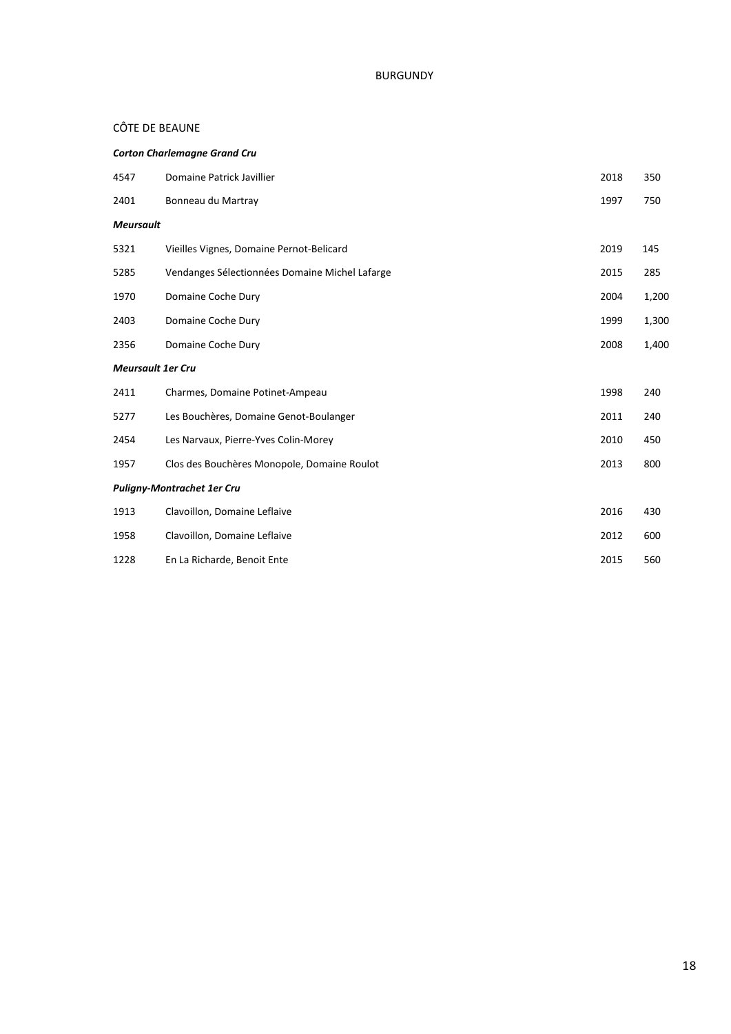# CÔTE DE BEAUNE

|                          | <b>Corton Charlemagne Grand Cru</b>            |      |       |  |  |  |  |
|--------------------------|------------------------------------------------|------|-------|--|--|--|--|
| 4547                     | Domaine Patrick Javillier                      | 2018 | 350   |  |  |  |  |
| 2401                     | Bonneau du Martray                             | 1997 | 750   |  |  |  |  |
| <b>Meursault</b>         |                                                |      |       |  |  |  |  |
| 5321                     | Vieilles Vignes, Domaine Pernot-Belicard       | 2019 | 145   |  |  |  |  |
| 5285                     | Vendanges Sélectionnées Domaine Michel Lafarge | 2015 | 285   |  |  |  |  |
| 1970                     | Domaine Coche Dury                             | 2004 | 1,200 |  |  |  |  |
| 2403                     | Domaine Coche Dury                             | 1999 | 1,300 |  |  |  |  |
| 2356                     | Domaine Coche Dury                             | 2008 | 1,400 |  |  |  |  |
| <b>Meursault 1er Cru</b> |                                                |      |       |  |  |  |  |
| 2411                     | Charmes, Domaine Potinet-Ampeau                | 1998 | 240   |  |  |  |  |
| 5277                     | Les Bouchères, Domaine Genot-Boulanger         | 2011 | 240   |  |  |  |  |
| 2454                     | Les Narvaux, Pierre-Yves Colin-Morey           | 2010 | 450   |  |  |  |  |
| 1957                     | Clos des Bouchères Monopole, Domaine Roulot    | 2013 | 800   |  |  |  |  |
|                          | <b>Puligny-Montrachet 1er Cru</b>              |      |       |  |  |  |  |
| 1913                     | Clavoillon, Domaine Leflaive                   | 2016 | 430   |  |  |  |  |
| 1958                     | Clavoillon, Domaine Leflaive                   | 2012 | 600   |  |  |  |  |
| 1228                     | En La Richarde, Benoit Ente                    | 2015 | 560   |  |  |  |  |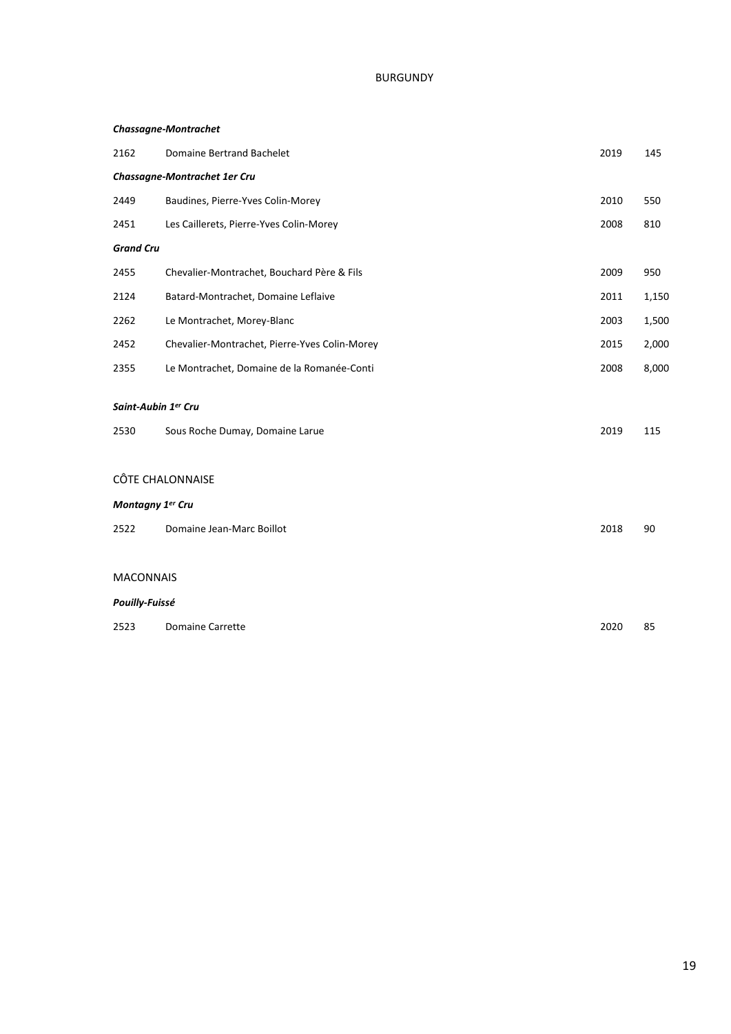#### *Chassagne-Montrachet*

| 2162                        | <b>Domaine Bertrand Bachelet</b>              | 2019 | 145   |  |  |
|-----------------------------|-----------------------------------------------|------|-------|--|--|
|                             | Chassagne-Montrachet 1er Cru                  |      |       |  |  |
| 2449                        | Baudines, Pierre-Yves Colin-Morey             | 2010 | 550   |  |  |
| 2451                        | Les Caillerets, Pierre-Yves Colin-Morey       | 2008 | 810   |  |  |
| <b>Grand Cru</b>            |                                               |      |       |  |  |
| 2455                        | Chevalier-Montrachet, Bouchard Père & Fils    | 2009 | 950   |  |  |
| 2124                        | Batard-Montrachet, Domaine Leflaive           | 2011 | 1,150 |  |  |
| 2262                        | Le Montrachet, Morey-Blanc                    | 2003 | 1,500 |  |  |
| 2452                        | Chevalier-Montrachet, Pierre-Yves Colin-Morey | 2015 | 2,000 |  |  |
| 2355                        | Le Montrachet, Domaine de la Romanée-Conti    | 2008 | 8,000 |  |  |
| Saint-Aubin 1er Cru<br>2530 | Sous Roche Dumay, Domaine Larue               | 2019 | 115   |  |  |
|                             | <b>CÔTE CHALONNAISE</b>                       |      |       |  |  |
| Montagny 1er Cru            |                                               |      |       |  |  |
| 2522                        | Domaine Jean-Marc Boillot                     | 2018 | 90    |  |  |
|                             |                                               |      |       |  |  |
| <b>MACONNAIS</b>            |                                               |      |       |  |  |
| Pouilly-Fuissé              |                                               |      |       |  |  |
| 2523                        | <b>Domaine Carrette</b>                       | 2020 | 85    |  |  |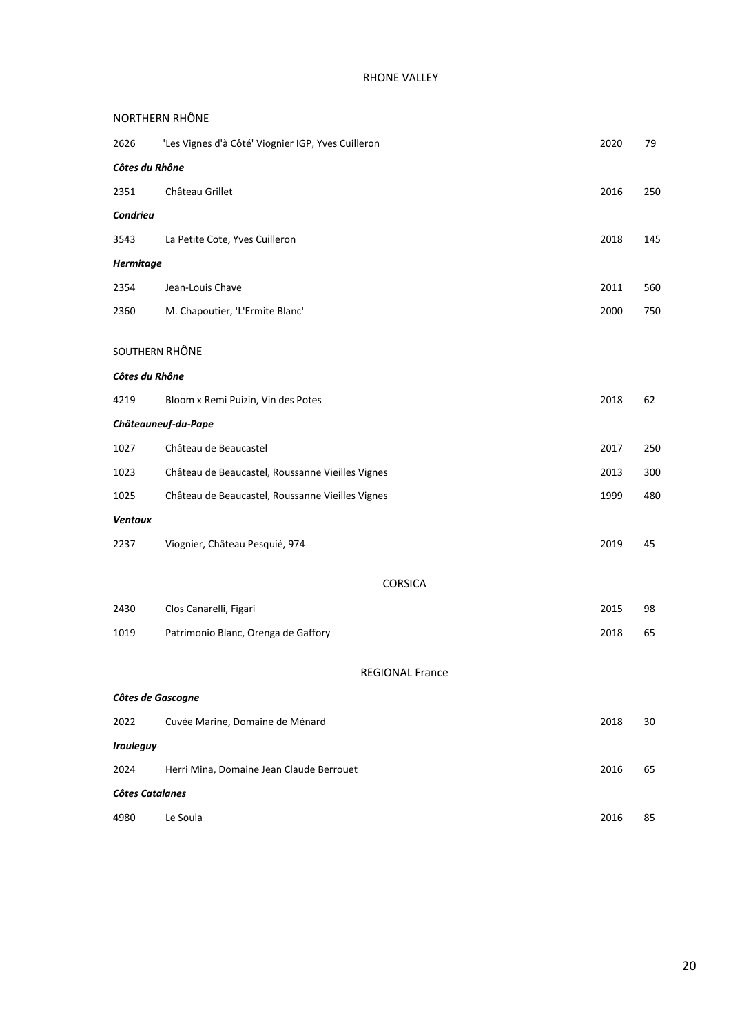# RHONE VALLEY

| NORTHERN RHÔNE         |                                                    |      |     |
|------------------------|----------------------------------------------------|------|-----|
| 2626                   | 'Les Vignes d'à Côté' Viognier IGP, Yves Cuilleron | 2020 | 79  |
| Côtes du Rhône         |                                                    |      |     |
| 2351                   | Château Grillet                                    | 2016 | 250 |
| Condrieu               |                                                    |      |     |
| 3543                   | La Petite Cote, Yves Cuilleron                     | 2018 | 145 |
| <b>Hermitage</b>       |                                                    |      |     |
| 2354                   | Jean-Louis Chave                                   | 2011 | 560 |
| 2360                   | M. Chapoutier, 'L'Ermite Blanc'                    | 2000 | 750 |
|                        |                                                    |      |     |
| SOUTHERN RHÔNE         |                                                    |      |     |
| Côtes du Rhône         |                                                    |      |     |
| 4219                   | Bloom x Remi Puizin, Vin des Potes                 | 2018 | 62  |
|                        | Châteauneuf-du-Pape                                |      |     |
| 1027                   | Château de Beaucastel                              | 2017 | 250 |
| 1023                   | Château de Beaucastel, Roussanne Vieilles Vignes   | 2013 | 300 |
| 1025                   | Château de Beaucastel, Roussanne Vieilles Vignes   | 1999 | 48C |
| <b>Ventoux</b>         |                                                    |      |     |
| 2237                   | Viognier, Château Pesquié, 974                     | 2019 | 45  |
|                        |                                                    |      |     |
|                        | <b>CORSICA</b>                                     |      |     |
| 2430                   | Clos Canarelli, Figari                             | 2015 | 98  |
| 1019                   | Patrimonio Blanc, Orenga de Gaffory                | 2018 | 65  |
|                        | <b>REGIONAL France</b>                             |      |     |
| Côtes de Gascogne      |                                                    |      |     |
| 2022                   | Cuvée Marine, Domaine de Ménard                    | 2018 | 30  |
| <b>Irouleguy</b>       |                                                    |      |     |
| 2024                   | Herri Mina, Domaine Jean Claude Berrouet           | 2016 | 65  |
| <b>Côtes Catalanes</b> |                                                    |      |     |
| 4980                   | Le Soula                                           | 2016 | 85  |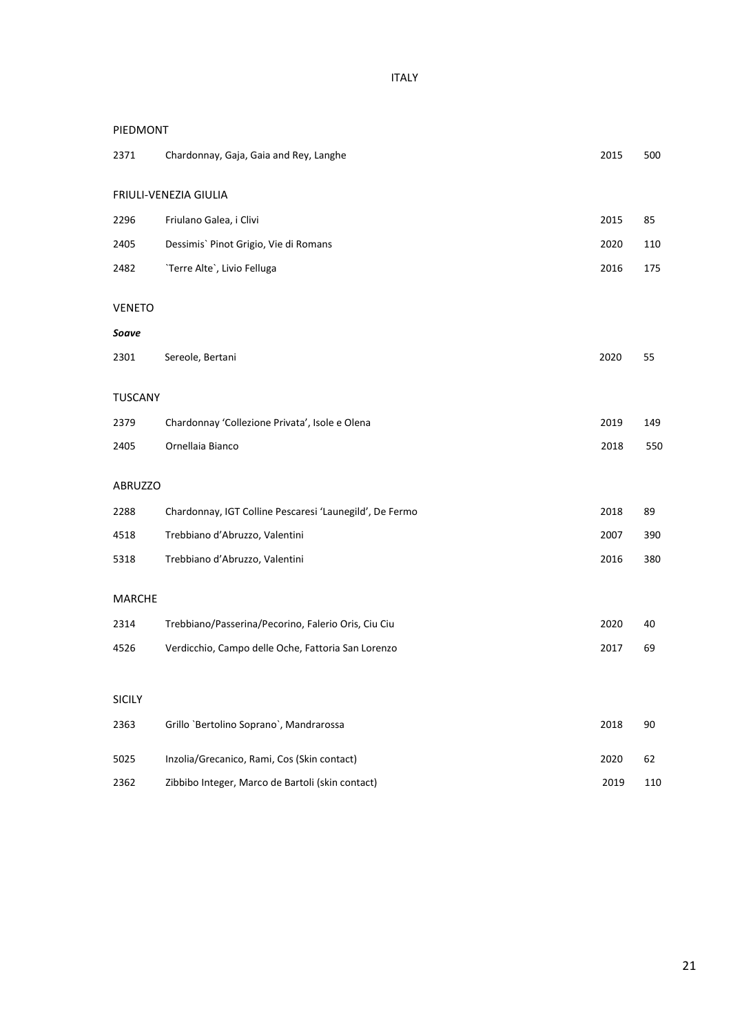ITALY

#### PIEDMONT

| 2371           | Chardonnay, Gaja, Gaia and Rey, Langhe                  | 2015 | 500    |
|----------------|---------------------------------------------------------|------|--------|
|                | FRIULI-VENEZIA GIULIA                                   |      |        |
| 2296           | Friulano Galea, i Clivi                                 | 2015 | 85     |
| 2405           | Dessimis' Pinot Grigio, Vie di Romans                   | 2020 | 110    |
| 2482           | 'Terre Alte', Livio Felluga                             | 2016 | 175    |
| <b>VENETO</b>  |                                                         |      |        |
| Soave          |                                                         |      |        |
| 2301           | Sereole, Bertani                                        | 2020 | 55     |
| <b>TUSCANY</b> |                                                         |      |        |
| 2379           | Chardonnay 'Collezione Privata', Isole e Olena          | 2019 | 149    |
| 2405           | Ornellaia Bianco                                        | 2018 | 550    |
| <b>ABRUZZO</b> |                                                         |      |        |
| 2288           | Chardonnay, IGT Colline Pescaresi 'Launegild', De Fermo | 2018 | 89     |
| 4518           | Trebbiano d'Abruzzo, Valentini                          | 2007 | 390    |
| 5318           | Trebbiano d'Abruzzo, Valentini                          | 2016 | 380    |
| <b>MARCHE</b>  |                                                         |      |        |
| 2314           | Trebbiano/Passerina/Pecorino, Falerio Oris, Ciu Ciu     | 2020 | 40     |
| 4526           | Verdicchio, Campo delle Oche, Fattoria San Lorenzo      | 2017 | 69     |
|                |                                                         |      |        |
| <b>SICILY</b>  |                                                         |      |        |
| 2363           | Grillo `Bertolino Soprano`, Mandrarossa                 | 2018 | $90\,$ |
| 5025           | Inzolia/Grecanico, Rami, Cos (Skin contact)             | 2020 | 62     |
| 2362           | Zibbibo Integer, Marco de Bartoli (skin contact)        | 2019 | 110    |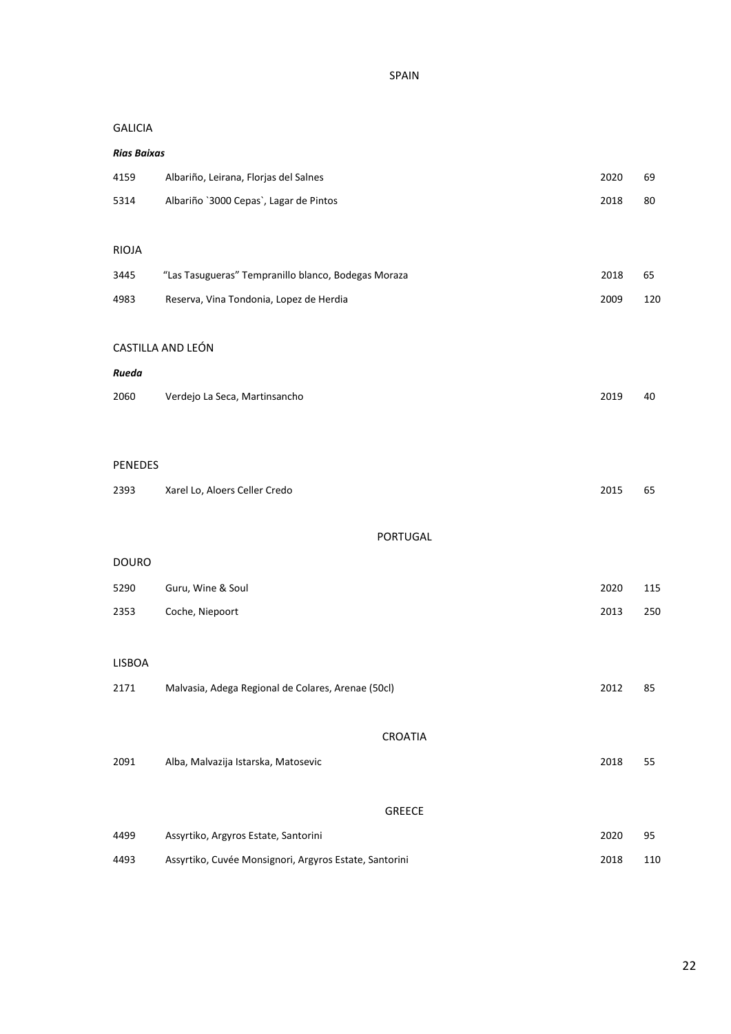SPAIN

# GALICIA

| <b>Rias Baixas</b> |                                                        |      |     |
|--------------------|--------------------------------------------------------|------|-----|
| 4159               | Albariño, Leirana, Florjas del Salnes                  | 2020 | 69  |
| 5314               | Albariño `3000 Cepas`, Lagar de Pintos                 | 2018 | 80  |
|                    |                                                        |      |     |
| <b>RIOJA</b>       |                                                        |      |     |
| 3445               | "Las Tasugueras" Tempranillo blanco, Bodegas Moraza    | 2018 | 65  |
| 4983               | Reserva, Vina Tondonia, Lopez de Herdia                | 2009 | 120 |
|                    |                                                        |      |     |
|                    | CASTILLA AND LEÓN                                      |      |     |
| Rueda              |                                                        |      |     |
| 2060               | Verdejo La Seca, Martinsancho                          | 2019 | 40  |
|                    |                                                        |      |     |
| <b>PENEDES</b>     |                                                        |      |     |
| 2393               | Xarel Lo, Aloers Celler Credo                          | 2015 | 65  |
|                    |                                                        |      |     |
|                    | PORTUGAL                                               |      |     |
| <b>DOURO</b>       |                                                        |      |     |
| 5290               | Guru, Wine & Soul                                      | 2020 | 115 |
| 2353               | Coche, Niepoort                                        | 2013 | 250 |
|                    |                                                        |      |     |
| LISBOA             |                                                        |      |     |
| 2171               | Malvasia, Adega Regional de Colares, Arenae (50cl)     | 2012 | 85  |
|                    |                                                        |      |     |
|                    | CROATIA                                                |      |     |
| 2091               | Alba, Malvazija Istarska, Matosevic                    | 2018 | 55  |
|                    |                                                        |      |     |
|                    | <b>GREECE</b>                                          |      |     |
| 4499               | Assyrtiko, Argyros Estate, Santorini                   | 2020 | 95  |
| 4493               | Assyrtiko, Cuvée Monsignori, Argyros Estate, Santorini | 2018 | 110 |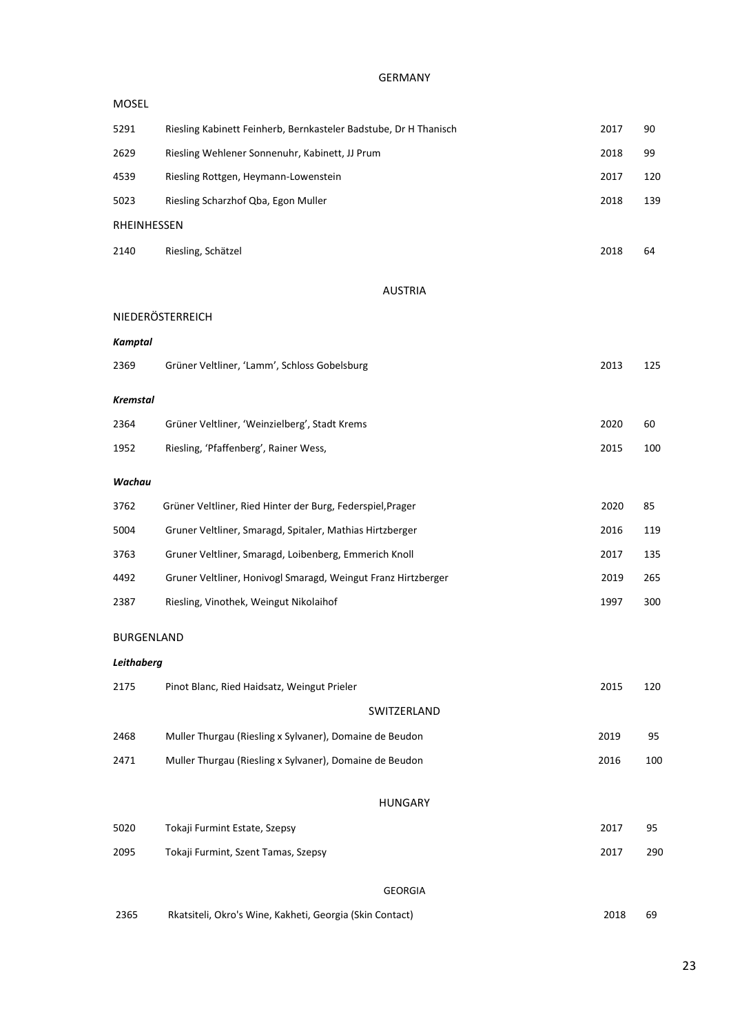#### GERMANY

| <b>MOSEL</b>      |                                                                  |      |     |
|-------------------|------------------------------------------------------------------|------|-----|
| 5291              | Riesling Kabinett Feinherb, Bernkasteler Badstube, Dr H Thanisch | 2017 | 90  |
| 2629              | Riesling Wehlener Sonnenuhr, Kabinett, JJ Prum                   | 2018 | 99  |
| 4539              | Riesling Rottgen, Heymann-Lowenstein                             | 2017 | 120 |
| 5023              | Riesling Scharzhof Qba, Egon Muller                              | 2018 | 139 |
| RHEINHESSEN       |                                                                  |      |     |
| 2140              | Riesling, Schätzel                                               | 2018 | 64  |
|                   | <b>AUSTRIA</b>                                                   |      |     |
|                   | NIEDERÖSTERREICH                                                 |      |     |
| Kamptal           |                                                                  |      |     |
| 2369              | Grüner Veltliner, 'Lamm', Schloss Gobelsburg                     | 2013 | 125 |
| <b>Kremstal</b>   |                                                                  |      |     |
| 2364              | Grüner Veltliner, 'Weinzielberg', Stadt Krems                    | 2020 | 60  |
| 1952              | Riesling, 'Pfaffenberg', Rainer Wess,                            | 2015 | 100 |
| Wachau            |                                                                  |      |     |
| 3762              | Grüner Veltliner, Ried Hinter der Burg, Federspiel, Prager       | 2020 | 85  |
| 5004              | Gruner Veltliner, Smaragd, Spitaler, Mathias Hirtzberger         | 2016 | 119 |
| 3763              | Gruner Veltliner, Smaragd, Loibenberg, Emmerich Knoll            | 2017 | 135 |
| 4492              | Gruner Veltliner, Honivogl Smaragd, Weingut Franz Hirtzberger    | 2019 | 265 |
| 2387              | Riesling, Vinothek, Weingut Nikolaihof                           | 1997 | 300 |
| <b>BURGENLAND</b> |                                                                  |      |     |
| Leithaberg        |                                                                  |      |     |
| 2175              | Pinot Blanc, Ried Haidsatz, Weingut Prieler                      | 2015 | 120 |
|                   | SWITZERLAND                                                      |      |     |
| 2468              | Muller Thurgau (Riesling x Sylvaner), Domaine de Beudon          | 2019 | 95  |
| 2471              | Muller Thurgau (Riesling x Sylvaner), Domaine de Beudon          | 2016 | 100 |
|                   | <b>HUNGARY</b>                                                   |      |     |
| 5020              | Tokaji Furmint Estate, Szepsy                                    | 2017 | 95  |
| 2095              | Tokaji Furmint, Szent Tamas, Szepsy                              | 2017 | 290 |
|                   | <b>GEORGIA</b>                                                   |      |     |
| 2365              | Rkatsiteli, Okro's Wine, Kakheti, Georgia (Skin Contact)         | 2018 | 69  |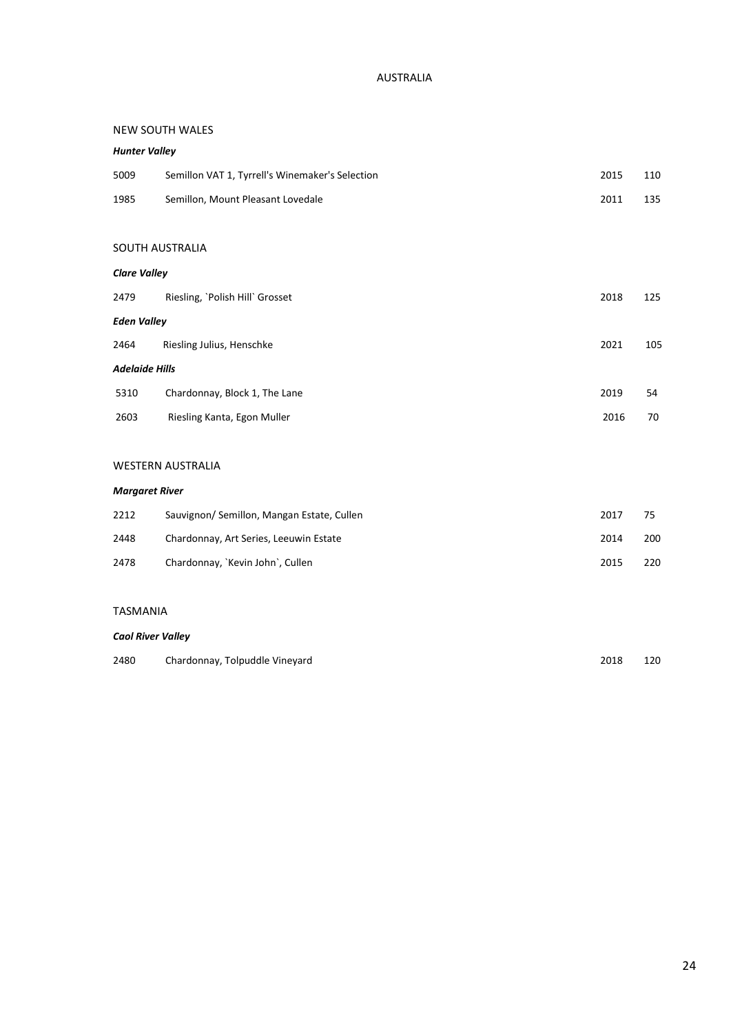# AUSTRALIA

#### NEW SOUTH WALES

| <b>Hunter Valley</b>  |                                                 |      |     |
|-----------------------|-------------------------------------------------|------|-----|
| 5009                  | Semillon VAT 1, Tyrrell's Winemaker's Selection | 2015 | 110 |
| 1985                  | Semillon, Mount Pleasant Lovedale               | 2011 | 135 |
|                       |                                                 |      |     |
|                       | SOUTH AUSTRALIA                                 |      |     |
| <b>Clare Valley</b>   |                                                 |      |     |
| 2479                  | Riesling, `Polish Hill` Grosset                 | 2018 | 125 |
| <b>Eden Valley</b>    |                                                 |      |     |
| 2464                  | Riesling Julius, Henschke                       | 2021 | 105 |
| <b>Adelaide Hills</b> |                                                 |      |     |
| 5310                  | Chardonnay, Block 1, The Lane                   | 2019 | 54  |
| 2603                  | Riesling Kanta, Egon Muller                     | 2016 | 70  |
|                       |                                                 |      |     |

# WESTERN AUSTRALIA

#### *Margaret River*

| 2212 | Sauvignon/ Semillon, Mangan Estate, Cullen | 2017 |     |
|------|--------------------------------------------|------|-----|
| 2448 | Chardonnay, Art Series, Leeuwin Estate     | 2014 | 200 |
| 2478 | Chardonnay, `Kevin John`, Cullen           | 2015 | 220 |

#### TASMANIA

#### *Caol River Valley*

| 2480 | Chardonnay, Tolpuddle Vineyard | 2018 | 120 |
|------|--------------------------------|------|-----|
|      |                                |      |     |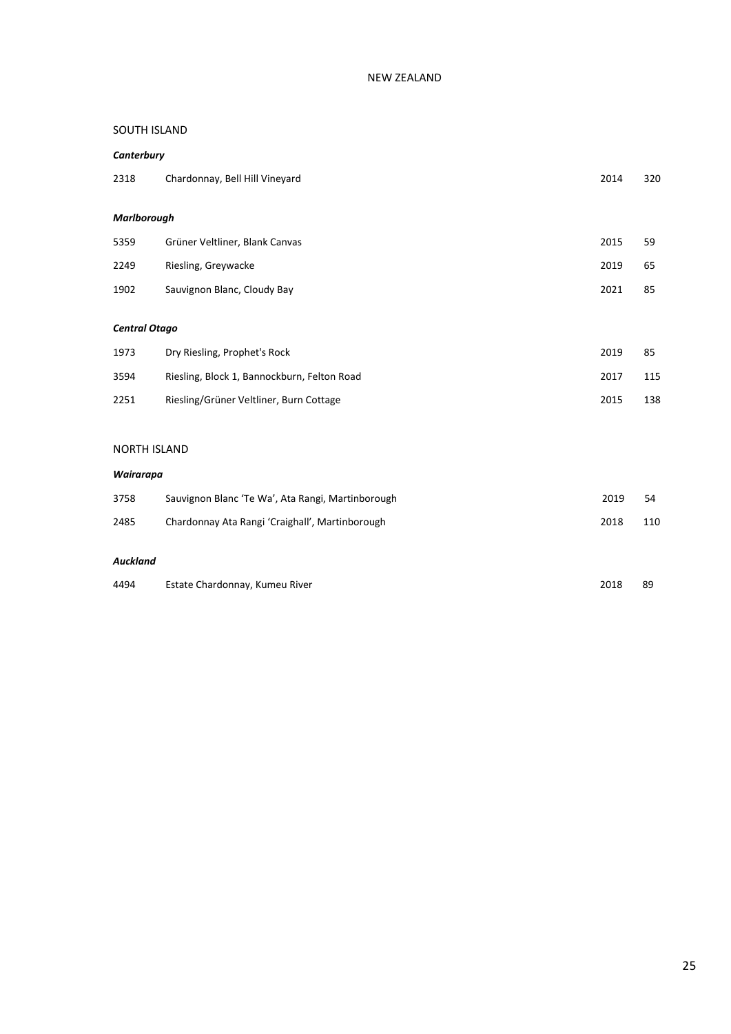# SOUTH ISLAND

# *Canterbury* 2318 Chardonnay, Bell Hill Vineyard 2014 320 *Marlborough* 5359 Grüner Veltliner, Blank Canvas 2015 59 2249 Riesling, Greywacke 2019 65 1902 Sauvignon Blanc, Cloudy Bay 2021 85 *Central Otago* 1973 Dry Riesling, Prophet's Rock 2019 85 3594 Riesling, Block 1, Bannockburn, Felton Road 2017 115 2251 Riesling/Grüner Veltliner, Burn Cottage 2015 138 NORTH ISLAND *Wairarapa*

| 3758 | Sauvignon Blanc 'Te Wa', Ata Rangi, Martinborough | 2019 | 54  |
|------|---------------------------------------------------|------|-----|
| 2485 | Chardonnay Ata Rangi 'Craighall', Martinborough   | 2018 | 110 |
|      |                                                   |      |     |

# *Auckland*

| 4494<br>Estate Chardonnay, Kumeu River<br>2018 | 89 |
|------------------------------------------------|----|
|------------------------------------------------|----|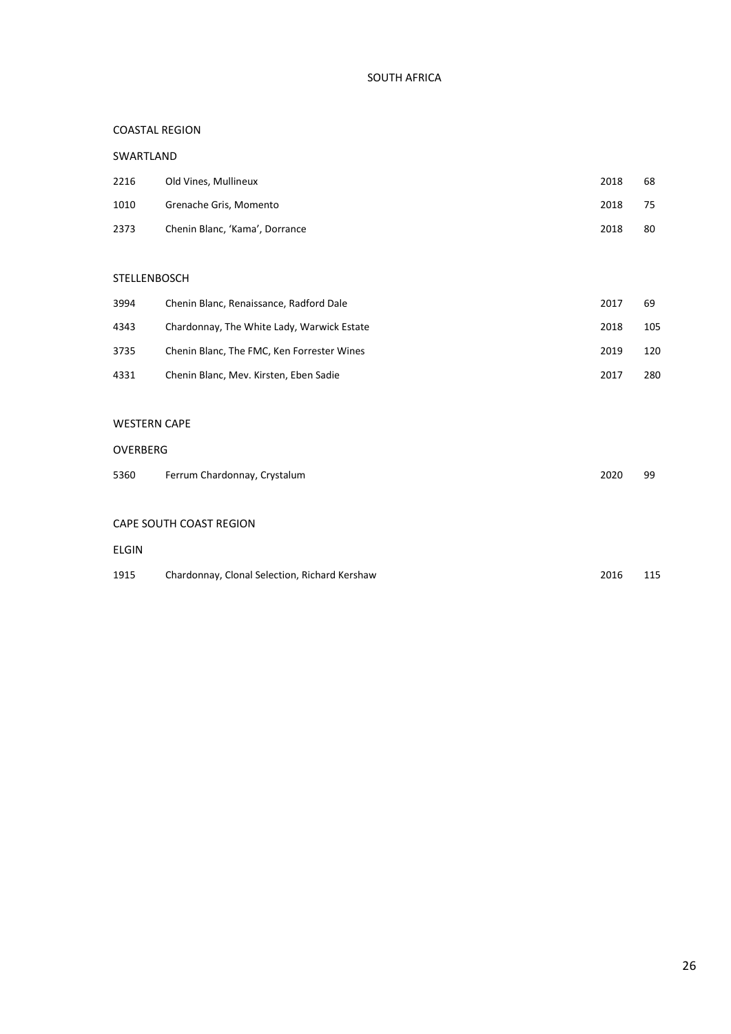# SOUTH AFRICA

# COASTAL REGION

#### SWARTLAND

| 2216 | Old Vines, Mullineux           | 2018 | 68 |
|------|--------------------------------|------|----|
| 1010 | Grenache Gris, Momento         | 2018 | 75 |
| 2373 | Chenin Blanc, 'Kama', Dorrance | 2018 | 80 |

#### STELLENBOSCH

| 3994 | Chenin Blanc, Renaissance, Radford Dale    | 2017 | 69  |
|------|--------------------------------------------|------|-----|
| 4343 | Chardonnay, The White Lady, Warwick Estate | 2018 | 105 |
| 3735 | Chenin Blanc, The FMC, Ken Forrester Wines | 2019 | 120 |
| 4331 | Chenin Blanc, Mev. Kirsten, Eben Sadie     | 2017 | 280 |

#### WESTERN CAPE

#### OVERBERG

| 5360 | Ferrum Chardonnay, Crystalum | 2020 | 99 |
|------|------------------------------|------|----|
|      |                              |      |    |

# CAPE SOUTH COAST REGION

# ELGIN

| 1915 | Chardonnay, Clonal Selection, Richard Kershaw | 2016 | 115 |
|------|-----------------------------------------------|------|-----|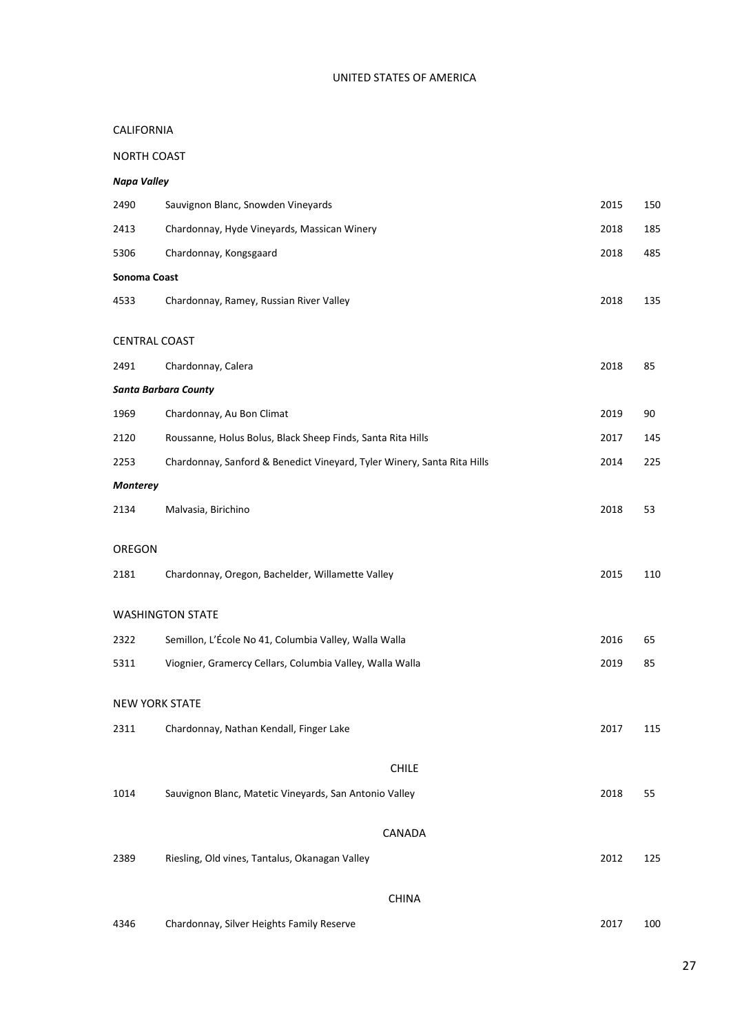# UNITED STATES OF AMERICA

# CALIFORNIA

# NORTH COAST

# *Napa Valley*

| 2490                  | Sauvignon Blanc, Snowden Vineyards                                      | 2015 | 150 |
|-----------------------|-------------------------------------------------------------------------|------|-----|
| 2413                  | Chardonnay, Hyde Vineyards, Massican Winery                             | 2018 | 185 |
| 5306                  | Chardonnay, Kongsgaard                                                  | 2018 | 485 |
| Sonoma Coast          |                                                                         |      |     |
| 4533                  | Chardonnay, Ramey, Russian River Valley                                 | 2018 | 135 |
| <b>CENTRAL COAST</b>  |                                                                         |      |     |
| 2491                  |                                                                         | 2018 | 85  |
|                       | Chardonnay, Calera                                                      |      |     |
|                       | <b>Santa Barbara County</b>                                             |      |     |
| 1969                  | Chardonnay, Au Bon Climat                                               | 2019 | 90  |
| 2120                  | Roussanne, Holus Bolus, Black Sheep Finds, Santa Rita Hills             | 2017 | 145 |
| 2253                  | Chardonnay, Sanford & Benedict Vineyard, Tyler Winery, Santa Rita Hills | 2014 | 225 |
| <b>Monterey</b>       |                                                                         |      |     |
| 2134                  | Malvasia, Birichino                                                     | 2018 | 53  |
| OREGON                |                                                                         |      |     |
| 2181                  | Chardonnay, Oregon, Bachelder, Willamette Valley                        | 2015 | 110 |
|                       | <b>WASHINGTON STATE</b>                                                 |      |     |
| 2322                  | Semillon, L'École No 41, Columbia Valley, Walla Walla                   | 2016 | 65  |
| 5311                  | Viognier, Gramercy Cellars, Columbia Valley, Walla Walla                | 2019 | 85  |
| <b>NEW YORK STATE</b> |                                                                         |      |     |
|                       |                                                                         |      |     |
| 2311                  | Chardonnay, Nathan Kendall, Finger Lake                                 | 2017 | 115 |
|                       | <b>CHILE</b>                                                            |      |     |
| 1014                  | Sauvignon Blanc, Matetic Vineyards, San Antonio Valley                  | 2018 | 55  |
|                       |                                                                         |      |     |
|                       | CANADA                                                                  |      |     |
| 2389                  | Riesling, Old vines, Tantalus, Okanagan Valley                          | 2012 | 125 |
|                       | <b>CHINA</b>                                                            |      |     |
| 4346                  | Chardonnay, Silver Heights Family Reserve                               | 2017 | 100 |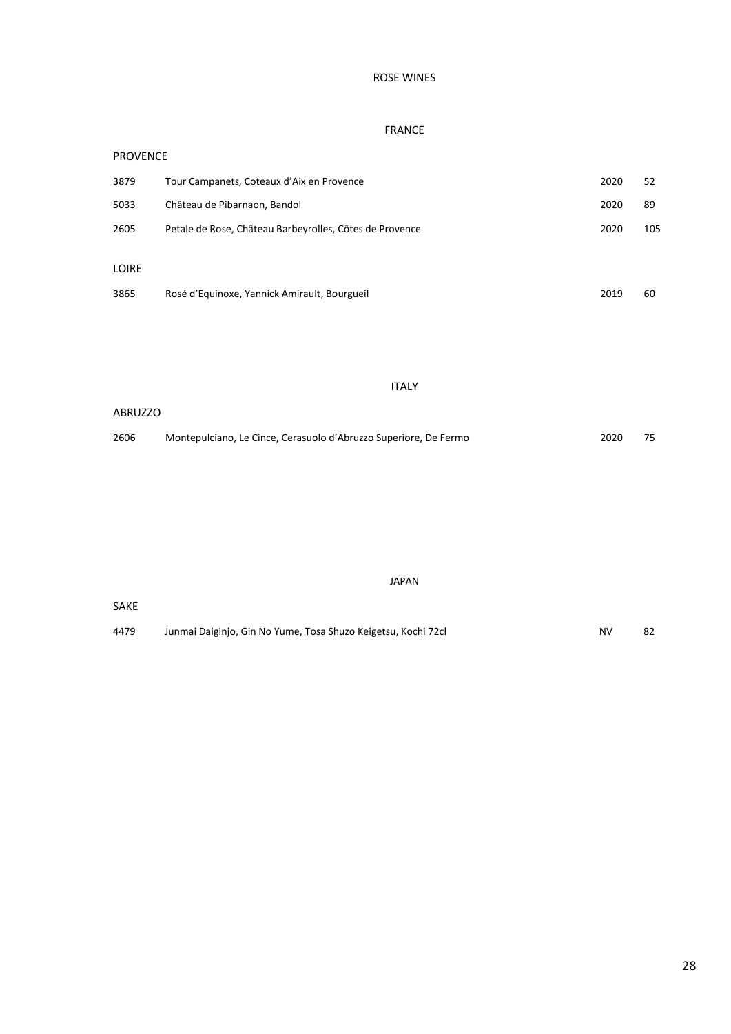# ROSE WINES

# FRANCE

| <b>PROVENCE</b> |                                                         |      |     |
|-----------------|---------------------------------------------------------|------|-----|
| 3879            | Tour Campanets, Coteaux d'Aix en Provence               | 2020 | 52  |
| 5033            | Château de Pibarnaon, Bandol                            | 2020 | 89  |
| 2605            | Petale de Rose, Château Barbeyrolles, Côtes de Provence | 2020 | 105 |
|                 |                                                         |      |     |
| LOIRE           |                                                         |      |     |
| 3865            | Rosé d'Equinoxe, Yannick Amirault, Bourgueil            | 2019 | 60  |

#### ITALY

# ABRUZZO 2606 Montepulciano, Le Cince, Cerasuolo d'Abruzzo Superiore, De Fermo 2020 75

SAKE 4479 Junmai Daiginjo, Gin No Yume, Tosa Shuzo Keigetsu, Kochi 72cl Mortum Channel Roman Roman Roman Roman Roma

JAPAN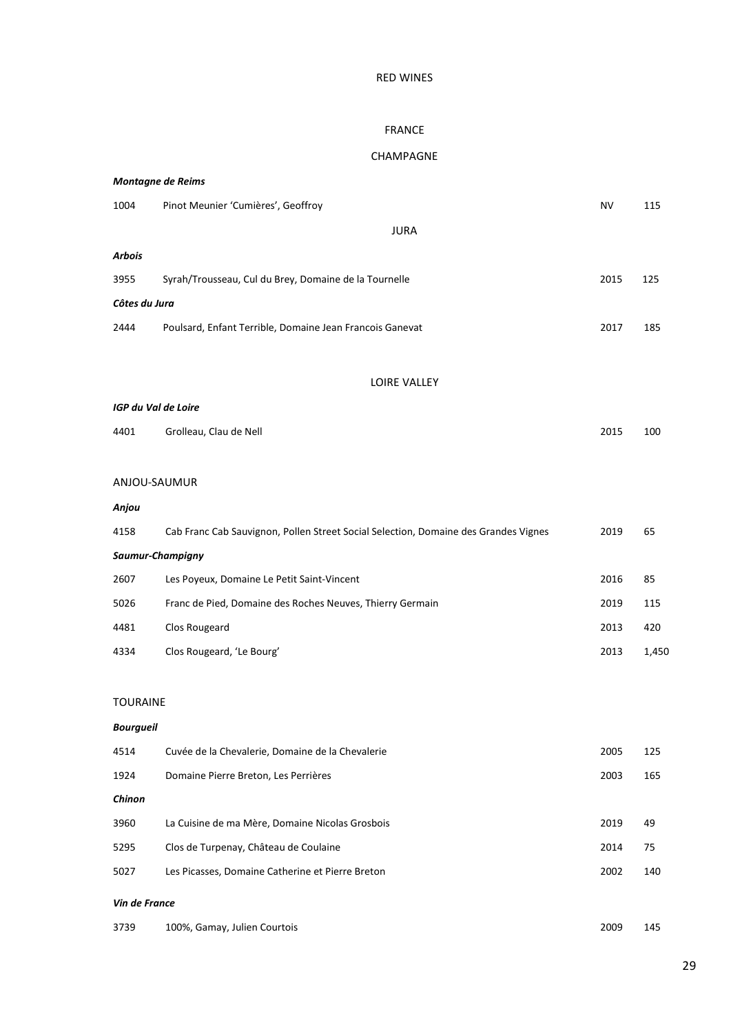# RED WINES

#### FRANCE

# CHAMPAGNE

|                     | <b>Montagne de Reims</b>                                                            |           |       |  |  |
|---------------------|-------------------------------------------------------------------------------------|-----------|-------|--|--|
| 1004                | Pinot Meunier 'Cumières', Geoffroy                                                  | <b>NV</b> | 115   |  |  |
|                     | <b>JURA</b>                                                                         |           |       |  |  |
| Arbois              |                                                                                     |           |       |  |  |
| 3955                | Syrah/Trousseau, Cul du Brey, Domaine de la Tournelle                               | 2015      | 125   |  |  |
| Côtes du Jura       |                                                                                     |           |       |  |  |
| 2444                | Poulsard, Enfant Terrible, Domaine Jean Francois Ganevat                            | 2017      | 185   |  |  |
|                     |                                                                                     |           |       |  |  |
|                     | <b>LOIRE VALLEY</b>                                                                 |           |       |  |  |
| IGP du Val de Loire |                                                                                     |           |       |  |  |
| 4401                | Grolleau, Clau de Nell                                                              | 2015      | 100   |  |  |
|                     |                                                                                     |           |       |  |  |
| ANJOU-SAUMUR        |                                                                                     |           |       |  |  |
| Anjou               |                                                                                     |           |       |  |  |
| 4158                | Cab Franc Cab Sauvignon, Pollen Street Social Selection, Domaine des Grandes Vignes | 2019      | 65    |  |  |
|                     | Saumur-Champigny                                                                    |           |       |  |  |
| 2607                | Les Poyeux, Domaine Le Petit Saint-Vincent                                          | 2016      | 85    |  |  |
| 5026                | Franc de Pied, Domaine des Roches Neuves, Thierry Germain                           | 2019      | 115   |  |  |
| 4481                | Clos Rougeard                                                                       | 2013      | 420   |  |  |
| 4334                | Clos Rougeard, 'Le Bourg'                                                           | 2013      | 1,450 |  |  |
|                     |                                                                                     |           |       |  |  |
| <b>TOURAINE</b>     |                                                                                     |           |       |  |  |
| <b>Bourgueil</b>    |                                                                                     |           |       |  |  |
| 4514                | Cuvée de la Chevalerie, Domaine de la Chevalerie                                    | 2005      | 125   |  |  |
| 1924                | Domaine Pierre Breton, Les Perrières                                                | 2003      | 165   |  |  |
| Chinon              |                                                                                     |           |       |  |  |
| 3960                | La Cuisine de ma Mère, Domaine Nicolas Grosbois                                     | 2019      | 49    |  |  |
| 5295                | Clos de Turpenay, Château de Coulaine                                               | 2014      | 75    |  |  |
| 5027                | Les Picasses, Domaine Catherine et Pierre Breton                                    | 2002      | 140   |  |  |
| Vin de France       |                                                                                     |           |       |  |  |
| 3739                | 100%, Gamay, Julien Courtois                                                        | 2009      | 145   |  |  |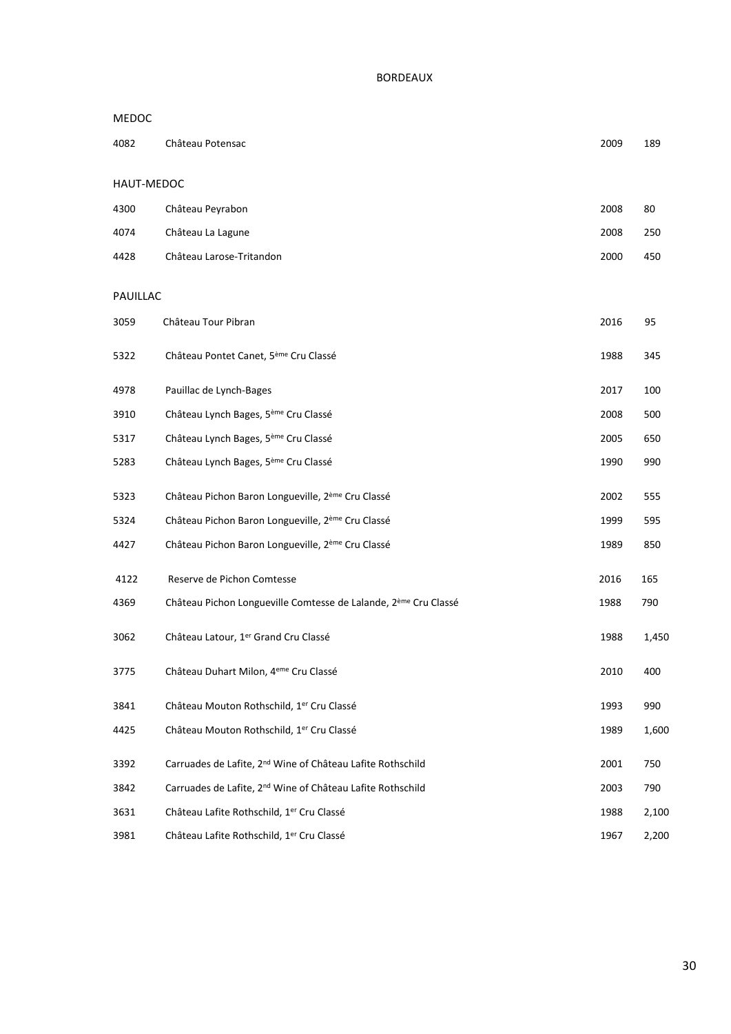| <b>MEDOC</b> |                                                                             |      |       |
|--------------|-----------------------------------------------------------------------------|------|-------|
| 4082         | Château Potensac                                                            | 2009 | 189   |
| HAUT-MEDOC   |                                                                             |      |       |
| 4300         | Château Peyrabon                                                            | 2008 | 80    |
| 4074         | Château La Lagune                                                           | 2008 | 250   |
| 4428         | Château Larose-Tritandon                                                    | 2000 | 450   |
| PAUILLAC     |                                                                             |      |       |
| 3059         | Château Tour Pibran                                                         | 2016 | 95    |
| 5322         | Château Pontet Canet, 5 <sup>ème</sup> Cru Classé                           | 1988 | 345   |
| 4978         | Pauillac de Lynch-Bages                                                     | 2017 | 100   |
| 3910         | Château Lynch Bages, 5 <sup>ème</sup> Cru Classé                            | 2008 | 500   |
| 5317         | Château Lynch Bages, 5 <sup>ème</sup> Cru Classé                            | 2005 | 650   |
| 5283         | Château Lynch Bages, 5 <sup>ème</sup> Cru Classé                            | 1990 | 990   |
| 5323         | Château Pichon Baron Longueville, 2 <sup>ème</sup> Cru Classé               | 2002 | 555   |
| 5324         | Château Pichon Baron Longueville, 2 <sup>ème</sup> Cru Classé               | 1999 | 595   |
| 4427         | Château Pichon Baron Longueville, 2 <sup>ème</sup> Cru Classé               | 1989 | 850   |
| 4122         | Reserve de Pichon Comtesse                                                  | 2016 | 165   |
| 4369         | Château Pichon Longueville Comtesse de Lalande, 2 <sup>ème</sup> Cru Classé | 1988 | 790   |
| 3062         | Château Latour, 1er Grand Cru Classé                                        | 1988 | 1,450 |
| 3775         | Château Duhart Milon, 4 <sup>eme</sup> Cru Classé                           | 2010 | 400   |
| 3841         | Château Mouton Rothschild, 1er Cru Classé                                   | 1993 | 990   |
| 4425         | Château Mouton Rothschild, 1er Cru Classé                                   | 1989 | 1,600 |
| 3392         | Carruades de Lafite, 2 <sup>nd</sup> Wine of Château Lafite Rothschild      | 2001 | 750   |
| 3842         | Carruades de Lafite, 2 <sup>nd</sup> Wine of Château Lafite Rothschild      | 2003 | 790   |
| 3631         | Château Lafite Rothschild, 1er Cru Classé                                   | 1988 | 2,100 |
| 3981         | Château Lafite Rothschild, 1er Cru Classé                                   | 1967 | 2,200 |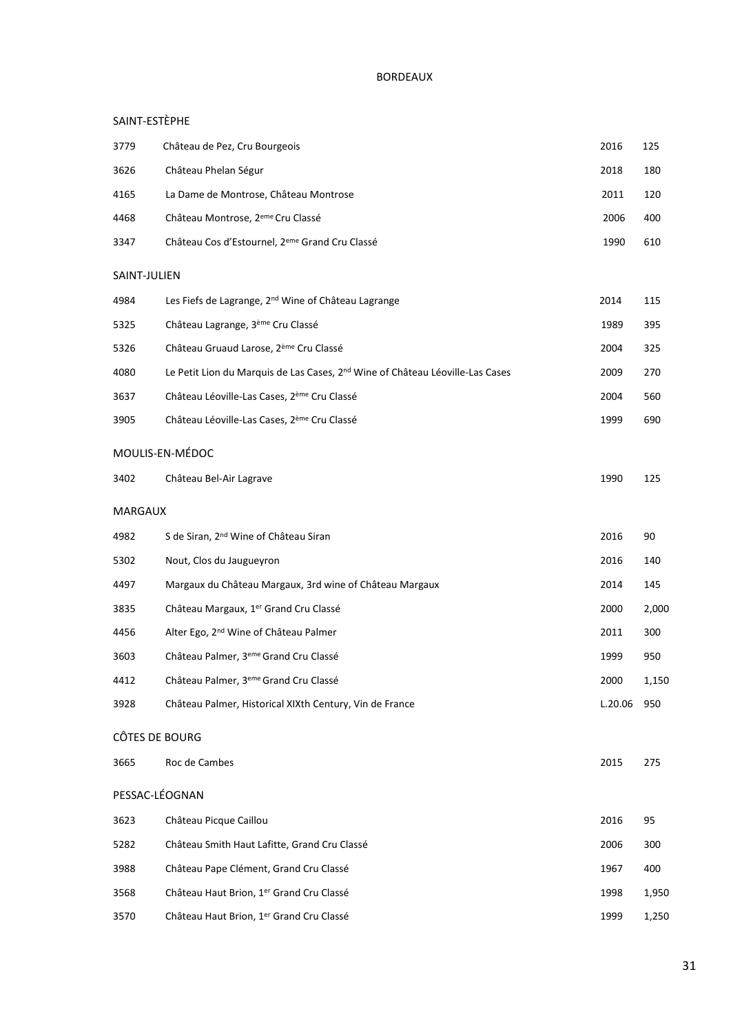# SAINT-ESTÈPHE

| 3779           | Château de Pez, Cru Bourgeois                                                             | 2016    | 125   |
|----------------|-------------------------------------------------------------------------------------------|---------|-------|
| 3626           | Château Phelan Ségur                                                                      | 2018    | 180   |
| 4165           | La Dame de Montrose, Château Montrose                                                     | 2011    | 120   |
| 4468           | Château Montrose, 2 <sup>eme</sup> Cru Classé                                             | 2006    | 400   |
| 3347           | Château Cos d'Estournel, 2 <sup>eme</sup> Grand Cru Classé                                | 1990    | 610   |
| SAINT-JULIEN   |                                                                                           |         |       |
| 4984           | Les Fiefs de Lagrange, 2 <sup>nd</sup> Wine of Château Lagrange                           | 2014    | 115   |
| 5325           | Château Lagrange, 3 <sup>ème</sup> Cru Classé                                             | 1989    | 395   |
| 5326           | Château Gruaud Larose, 2 <sup>ème</sup> Cru Classé                                        | 2004    | 325   |
| 4080           | Le Petit Lion du Marquis de Las Cases, 2 <sup>nd</sup> Wine of Château Léoville-Las Cases | 2009    | 270   |
| 3637           | Château Léoville-Las Cases, 2 <sup>ème</sup> Cru Classé                                   | 2004    | 560   |
| 3905           | Château Léoville-Las Cases, 2 <sup>ème</sup> Cru Classé                                   | 1999    | 690   |
|                | MOULIS-EN-MÉDOC                                                                           |         |       |
| 3402           | Château Bel-Air Lagrave                                                                   | 1990    | 125   |
| MARGAUX        |                                                                                           |         |       |
| 4982           | S de Siran, 2 <sup>nd</sup> Wine of Château Siran                                         | 2016    | 90    |
| 5302           | Nout, Clos du Jaugueyron                                                                  | 2016    | 140   |
| 4497           | Margaux du Château Margaux, 3rd wine of Château Margaux                                   | 2014    | 145   |
| 3835           | Château Margaux, 1 <sup>er</sup> Grand Cru Classé                                         | 2000    | 2,000 |
| 4456           | Alter Ego, 2 <sup>nd</sup> Wine of Château Palmer                                         | 2011    | 300   |
| 3603           | Château Palmer, 3 <sup>eme</sup> Grand Cru Classé                                         | 1999    | 950   |
| 4412           | Château Palmer, 3 <sup>eme</sup> Grand Cru Classé                                         | 2000    | 1,150 |
| 3928           | Château Palmer, Historical XIXth Century, Vin de France                                   | L.20.06 | 950   |
| CÔTES DE BOURG |                                                                                           |         |       |
| 3665           | Roc de Cambes                                                                             | 2015    | 275   |
| PESSAC-LÉOGNAN |                                                                                           |         |       |
| 3623           | Château Picque Caillou                                                                    | 2016    | 95    |
| 5282           | Château Smith Haut Lafitte, Grand Cru Classé                                              | 2006    | 300   |
| 3988           | Château Pape Clément, Grand Cru Classé                                                    | 1967    | 400   |
| 3568           | Château Haut Brion, 1er Grand Cru Classé                                                  | 1998    | 1,950 |
| 3570           | Château Haut Brion, 1er Grand Cru Classé                                                  | 1999    | 1,250 |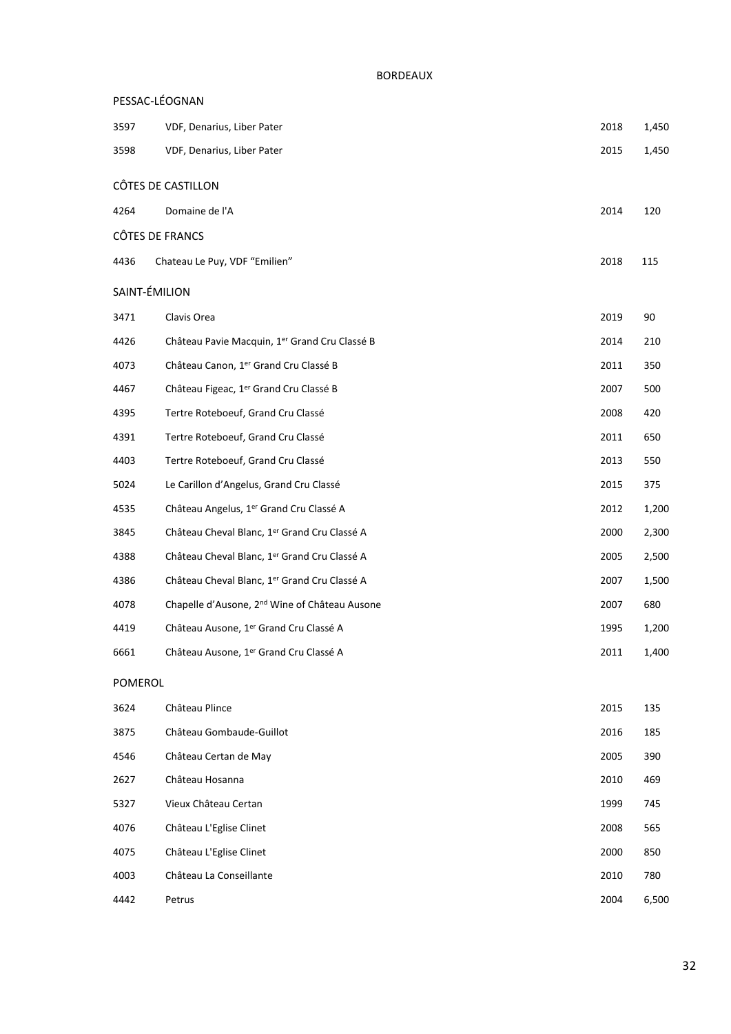| PESSAC-LÉOGNAN  |                                                           |      |       |
|-----------------|-----------------------------------------------------------|------|-------|
| 3597            | VDF, Denarius, Liber Pater                                | 2018 | 1,450 |
| 3598            | VDF, Denarius, Liber Pater                                | 2015 | 1,450 |
|                 | CÔTES DE CASTILLON                                        |      |       |
| 4264            | Domaine de l'A                                            | 2014 | 120   |
| CÔTES DE FRANCS |                                                           |      |       |
| 4436            | Chateau Le Puy, VDF "Emilien"                             | 2018 | 115   |
| SAINT-ÉMILION   |                                                           |      |       |
| 3471            | Clavis Orea                                               | 2019 | 90    |
| 4426            | Château Pavie Macquin, 1er Grand Cru Classé B             | 2014 | 210   |
| 4073            | Château Canon, 1er Grand Cru Classé B                     | 2011 | 350   |
| 4467            | Château Figeac, 1 <sup>er</sup> Grand Cru Classé B        | 2007 | 500   |
| 4395            | Tertre Roteboeuf, Grand Cru Classé                        | 2008 | 420   |
| 4391            | Tertre Roteboeuf, Grand Cru Classé                        | 2011 | 650   |
| 4403            | Tertre Roteboeuf, Grand Cru Classé                        | 2013 | 550   |
| 5024            | Le Carillon d'Angelus, Grand Cru Classé                   | 2015 | 375   |
| 4535            | Château Angelus, 1er Grand Cru Classé A                   | 2012 | 1,200 |
| 3845            | Château Cheval Blanc, 1er Grand Cru Classé A              | 2000 | 2,300 |
| 4388            | Château Cheval Blanc, 1er Grand Cru Classé A              | 2005 | 2,500 |
| 4386            | Château Cheval Blanc, 1er Grand Cru Classé A              | 2007 | 1,500 |
| 4078            | Chapelle d'Ausone, 2 <sup>nd</sup> Wine of Château Ausone | 2007 | 680   |
| 4419            | Château Ausone, 1er Grand Cru Classé A                    | 1995 | 1,200 |
| 6661            | Château Ausone, 1er Grand Cru Classé A                    | 2011 | 1,400 |
| POMEROL         |                                                           |      |       |
| 3624            | Château Plince                                            | 2015 | 135   |
| 3875            | Château Gombaude-Guillot                                  | 2016 | 185   |
| 4546            | Château Certan de May                                     | 2005 | 390   |
| 2627            | Château Hosanna                                           | 2010 | 469   |
| 5327            | Vieux Château Certan                                      | 1999 | 745   |
| 4076            | Château L'Eglise Clinet                                   | 2008 | 565   |
| 4075            | Château L'Eglise Clinet                                   | 2000 | 850   |
| 4003            | Château La Conseillante                                   | 2010 | 780   |
| 4442            | Petrus                                                    | 2004 | 6,500 |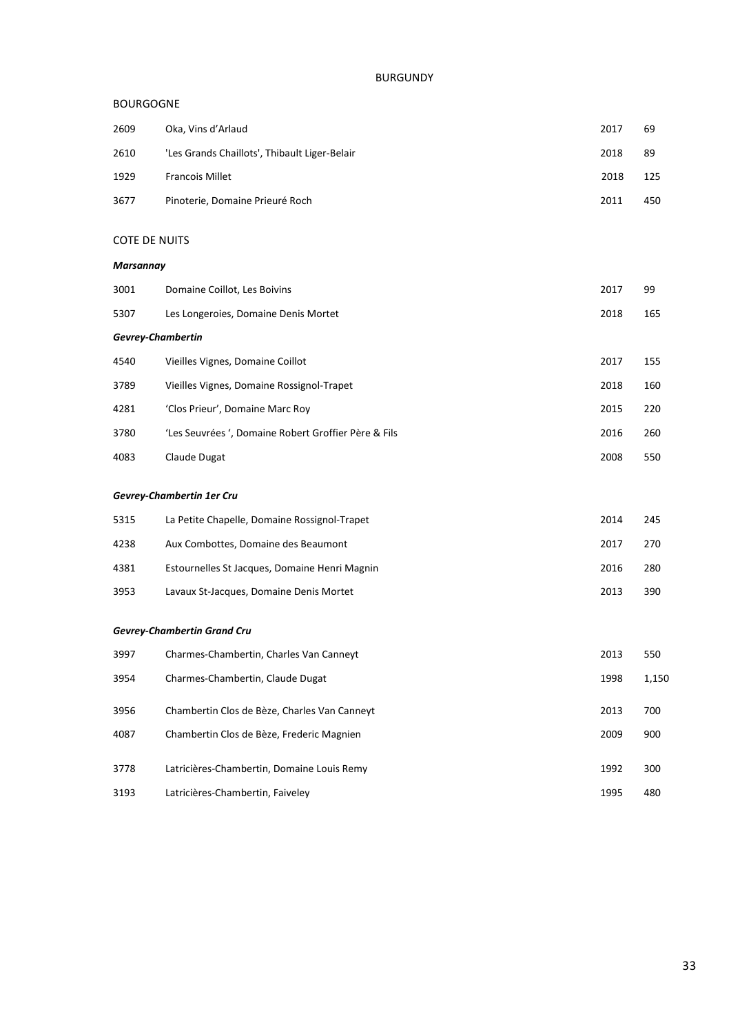#### BOURGOGNE

| 2609 | Oka, Vins d'Arlaud                            | 2017 | 69  |
|------|-----------------------------------------------|------|-----|
| 2610 | 'Les Grands Chaillots', Thibault Liger-Belair | 2018 | 89  |
| 1929 | <b>Francois Millet</b>                        | 2018 | 125 |
| 3677 | Pinoterie, Domaine Prieuré Roch               | 2011 | 450 |

#### COTE DE NUITS

#### *Marsannay*

| 3001                     | Domaine Coillot, Les Boivins                         | 2017 | 99  |  |
|--------------------------|------------------------------------------------------|------|-----|--|
| 5307                     | Les Longeroies, Domaine Denis Mortet                 | 2018 | 165 |  |
| <b>Gevrey-Chambertin</b> |                                                      |      |     |  |
| 4540                     | Vieilles Vignes, Domaine Coillot                     | 2017 | 155 |  |
| 3789                     | Vieilles Vignes, Domaine Rossignol-Trapet            | 2018 | 160 |  |
| 4281                     | 'Clos Prieur', Domaine Marc Roy                      | 2015 | 220 |  |
| 3780                     | 'Les Seuvrées ', Domaine Robert Groffier Père & Fils | 2016 | 260 |  |
| 4083                     | Claude Dugat                                         | 2008 | 550 |  |

#### *Gevrey-Chambertin 1er Cru*

| 5315 | La Petite Chapelle, Domaine Rossignol-Trapet  | 2014 | 245 |
|------|-----------------------------------------------|------|-----|
| 4238 | Aux Combottes, Domaine des Beaumont           | 2017 | 270 |
| 4381 | Estournelles St Jacques, Domaine Henri Magnin | 2016 | 280 |
| 3953 | Lavaux St-Jacques, Domaine Denis Mortet       | 2013 | 390 |

#### *Gevrey-Chambertin Grand Cru*

| 3997 | Charmes-Chambertin, Charles Van Canneyt      | 2013 | 550   |
|------|----------------------------------------------|------|-------|
| 3954 | Charmes-Chambertin, Claude Dugat             | 1998 | 1,150 |
| 3956 | Chambertin Clos de Bèze, Charles Van Canneyt | 2013 | 700   |
| 4087 | Chambertin Clos de Bèze, Frederic Magnien    | 2009 | 900   |
| 3778 | Latricières-Chambertin, Domaine Louis Remy   | 1992 | 300   |
| 3193 | Latricières-Chambertin, Faiveley             | 1995 | 480   |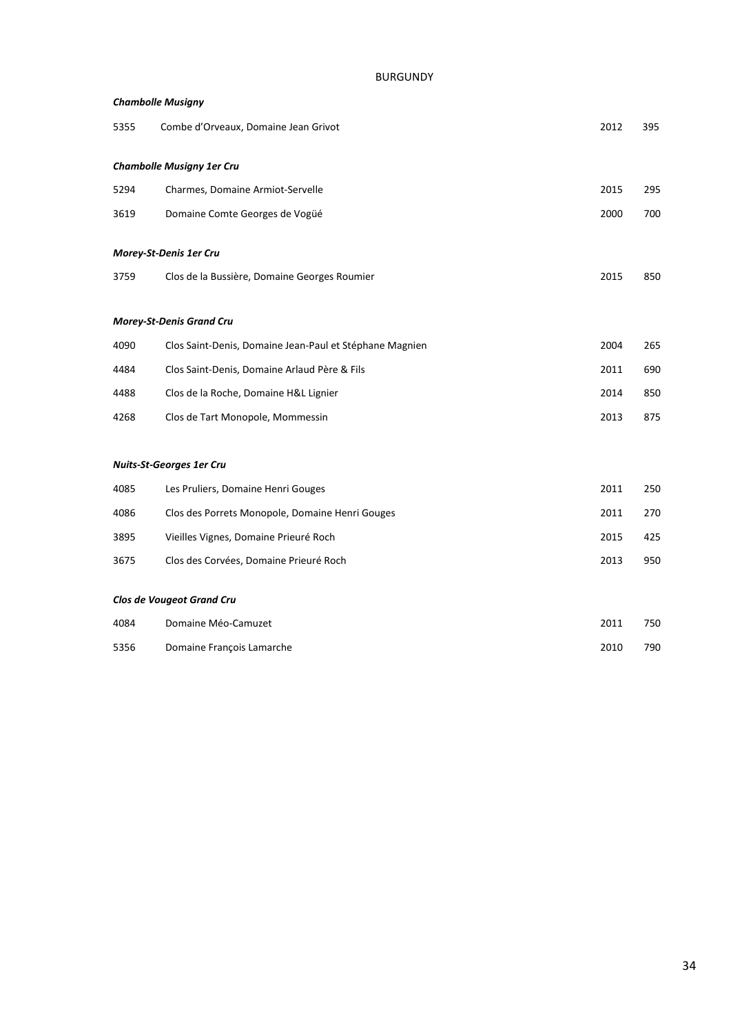| <b>Chambolle Musigny</b> |                                                         |      |     |  |
|--------------------------|---------------------------------------------------------|------|-----|--|
| 5355                     | Combe d'Orveaux, Domaine Jean Grivot                    | 2012 | 395 |  |
|                          | <b>Chambolle Musigny 1er Cru</b>                        |      |     |  |
| 5294                     | Charmes, Domaine Armiot-Servelle                        | 2015 | 295 |  |
| 3619                     | Domaine Comte Georges de Vogüé                          | 2000 | 700 |  |
|                          | Morey-St-Denis 1er Cru                                  |      |     |  |
| 3759                     | Clos de la Bussière, Domaine Georges Roumier            | 2015 | 850 |  |
|                          | <b>Morey-St-Denis Grand Cru</b>                         |      |     |  |
| 4090                     | Clos Saint-Denis, Domaine Jean-Paul et Stéphane Magnien | 2004 | 265 |  |
| 4484                     | Clos Saint-Denis, Domaine Arlaud Père & Fils            | 2011 | 690 |  |
| 4488                     | Clos de la Roche, Domaine H&L Lignier                   | 2014 | 850 |  |
| 4268                     | Clos de Tart Monopole, Mommessin                        | 2013 | 875 |  |
|                          | <b>Nuits-St-Georges 1er Cru</b>                         |      |     |  |
| 4085                     | Les Pruliers, Domaine Henri Gouges                      | 2011 | 250 |  |
| 4086                     | Clos des Porrets Monopole, Domaine Henri Gouges         | 2011 | 270 |  |
| 3895                     | Vieilles Vignes, Domaine Prieuré Roch                   | 2015 | 425 |  |
| 3675                     | Clos des Corvées, Domaine Prieuré Roch                  | 2013 | 950 |  |

#### *Clos de Vougeot Grand Cru*

| 4084 | Domaine Méo-Camuzet       | 2011 | 750 |
|------|---------------------------|------|-----|
| 5356 | Domaine François Lamarche | 2010 | 790 |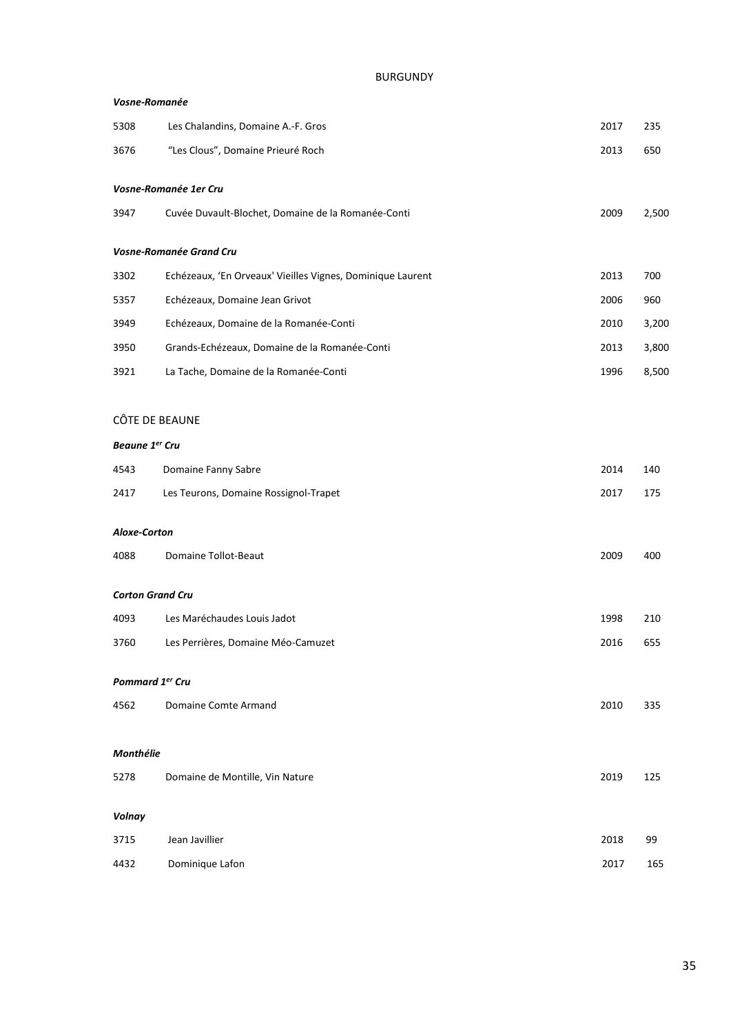| Vosne-Romanée           |                                                            |      |       |  |
|-------------------------|------------------------------------------------------------|------|-------|--|
| 5308                    | Les Chalandins, Domaine A.-F. Gros                         | 2017 | 235   |  |
| 3676                    | "Les Clous", Domaine Prieuré Roch                          | 2013 | 650   |  |
|                         | Vosne-Romanée 1er Cru                                      |      |       |  |
| 3947                    | Cuvée Duvault-Blochet, Domaine de la Romanée-Conti         | 2009 | 2,500 |  |
|                         | Vosne-Romanée Grand Cru                                    |      |       |  |
| 3302                    | Echézeaux, 'En Orveaux' Vieilles Vignes, Dominique Laurent | 2013 | 700   |  |
| 5357                    | Echézeaux, Domaine Jean Grivot                             | 2006 | 960   |  |
| 3949                    | Echézeaux, Domaine de la Romanée-Conti                     | 2010 | 3,200 |  |
| 3950                    | Grands-Echézeaux, Domaine de la Romanée-Conti              | 2013 | 3,800 |  |
| 3921                    | La Tache, Domaine de la Romanée-Conti                      | 1996 | 8,500 |  |
|                         |                                                            |      |       |  |
| CÔTE DE BEAUNE          |                                                            |      |       |  |
| <b>Beaune 1er Cru</b>   |                                                            |      |       |  |
| 4543                    | Domaine Fanny Sabre                                        | 2014 | 140   |  |
| 2417                    | Les Teurons, Domaine Rossignol-Trapet                      | 2017 | 175   |  |
| Aloxe-Corton            |                                                            |      |       |  |
| 4088                    | <b>Domaine Tollot-Beaut</b>                                | 2009 | 400   |  |
|                         |                                                            |      |       |  |
| <b>Corton Grand Cru</b> |                                                            |      |       |  |
| 4093                    | Les Maréchaudes Louis Jadot                                | 1998 | 210   |  |
| 3760                    | Les Perrières, Domaine Méo-Camuzet                         | 2016 | 655   |  |
| Pommard 1er Cru         |                                                            |      |       |  |
| 4562                    | Domaine Comte Armand                                       | 2010 | 335   |  |
|                         |                                                            |      |       |  |
| Monthélie               |                                                            |      |       |  |
| 5278                    | Domaine de Montille, Vin Nature                            | 2019 | 125   |  |
| Volnay                  |                                                            |      |       |  |
| 3715                    | Jean Javillier                                             | 2018 | 99    |  |
| 4432                    | Dominique Lafon                                            | 2017 | 165   |  |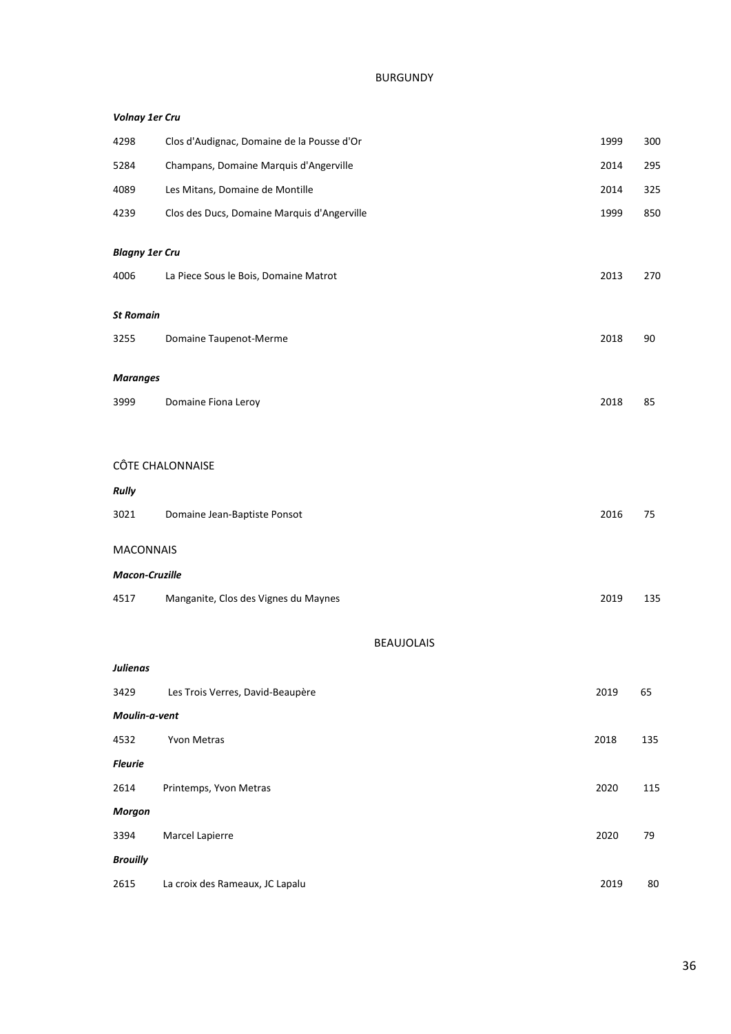| <b>Volnay 1er Cru</b> |                                             |      |     |
|-----------------------|---------------------------------------------|------|-----|
| 4298                  | Clos d'Audignac, Domaine de la Pousse d'Or  | 1999 | 300 |
| 5284                  | Champans, Domaine Marquis d'Angerville      | 2014 | 295 |
| 4089                  | Les Mitans, Domaine de Montille             | 2014 | 325 |
| 4239                  | Clos des Ducs, Domaine Marquis d'Angerville | 1999 | 850 |
| <b>Blagny 1er Cru</b> |                                             |      |     |
| 4006                  | La Piece Sous le Bois, Domaine Matrot       | 2013 | 270 |
| <b>St Romain</b>      |                                             |      |     |
| 3255                  | Domaine Taupenot-Merme                      | 2018 | 90  |
| <b>Maranges</b>       |                                             |      |     |
| 3999                  | Domaine Fiona Leroy                         | 2018 | 85  |
|                       |                                             |      |     |
|                       | CÔTE CHALONNAISE                            |      |     |
| <b>Rully</b>          |                                             |      |     |
| 3021                  | Domaine Jean-Baptiste Ponsot                | 2016 | 75  |
| <b>MACONNAIS</b>      |                                             |      |     |
| <b>Macon-Cruzille</b> |                                             |      |     |
| 4517                  | Manganite, Clos des Vignes du Maynes        | 2019 | 135 |
|                       | <b>BEAUJOLAIS</b>                           |      |     |
| <b>Julienas</b>       |                                             |      |     |
| 3429                  | Les Trois Verres, David-Beaupère            | 2019 | 65  |
| Moulin-a-vent         |                                             |      |     |
| 4532                  | Yvon Metras                                 | 2018 | 135 |
| <b>Fleurie</b>        |                                             |      |     |
| 2614                  | Printemps, Yvon Metras                      | 2020 | 115 |
| <b>Morgon</b>         |                                             |      |     |
| 3394                  | Marcel Lapierre                             | 2020 | 79  |
| <b>Brouilly</b>       |                                             |      |     |
| 2615                  | La croix des Rameaux, JC Lapalu             | 2019 | 80  |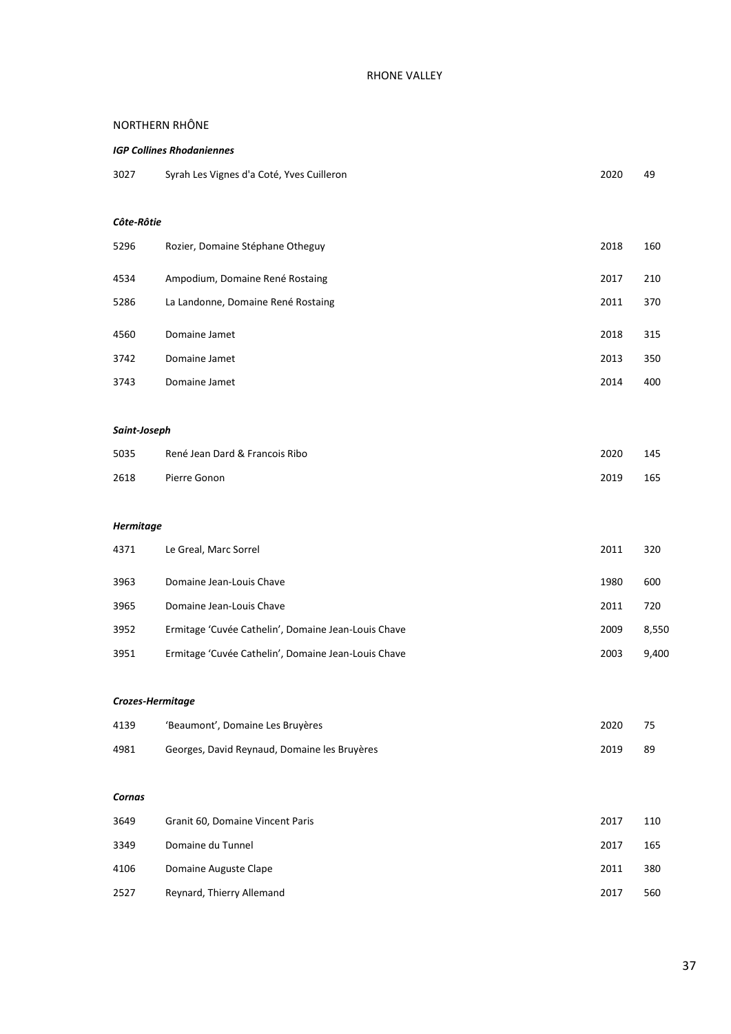#### NORTHERN RHÔNE

# *IGP Collines Rhodaniennes* Syrah Les Vignes d'a Coté, Yves Cuilleron 2020 49 *Côte-Rôtie* Rozier, Domaine Stéphane Otheguy 2018 160 Ampodium, Domaine René Rostaing 2017 210 La Landonne, Domaine René Rostaing 2011 370 Domaine Jamet 2018 315

| 3742 | Domaine Jamet | 2013 | 350 |
|------|---------------|------|-----|
| 3743 | Domaine Jamet | 2014 | 400 |

#### *Saint-Joseph*

| 5035 | René Jean Dard & Francois Ribo | 2020 | 145 |
|------|--------------------------------|------|-----|
| 2618 | Pierre Gonon                   | 2019 | 165 |

#### *Hermitage*

| 4371 | Le Greal, Marc Sorrel                               | 2011 | 320   |
|------|-----------------------------------------------------|------|-------|
| 3963 | Domaine Jean-Louis Chave                            | 1980 | 600   |
| 3965 | Domaine Jean-Louis Chave                            | 2011 | 720   |
| 3952 | Ermitage 'Cuvée Cathelin', Domaine Jean-Louis Chave | 2009 | 8,550 |
| 3951 | Ermitage 'Cuvée Cathelin', Domaine Jean-Louis Chave | 2003 | 9,400 |

#### *Crozes-Hermitage*

| 4139 | 'Beaumont', Domaine Les Bruyères             | 2020 | 75 |
|------|----------------------------------------------|------|----|
| 4981 | Georges, David Reynaud, Domaine les Bruyères | 2019 | 89 |

#### *Cornas*

| 3649 | Granit 60, Domaine Vincent Paris | 2017 | 110 |
|------|----------------------------------|------|-----|
| 3349 | Domaine du Tunnel                | 2017 | 165 |
| 4106 | Domaine Auguste Clape            | 2011 | 380 |
| 2527 | Reynard, Thierry Allemand        | 2017 | 560 |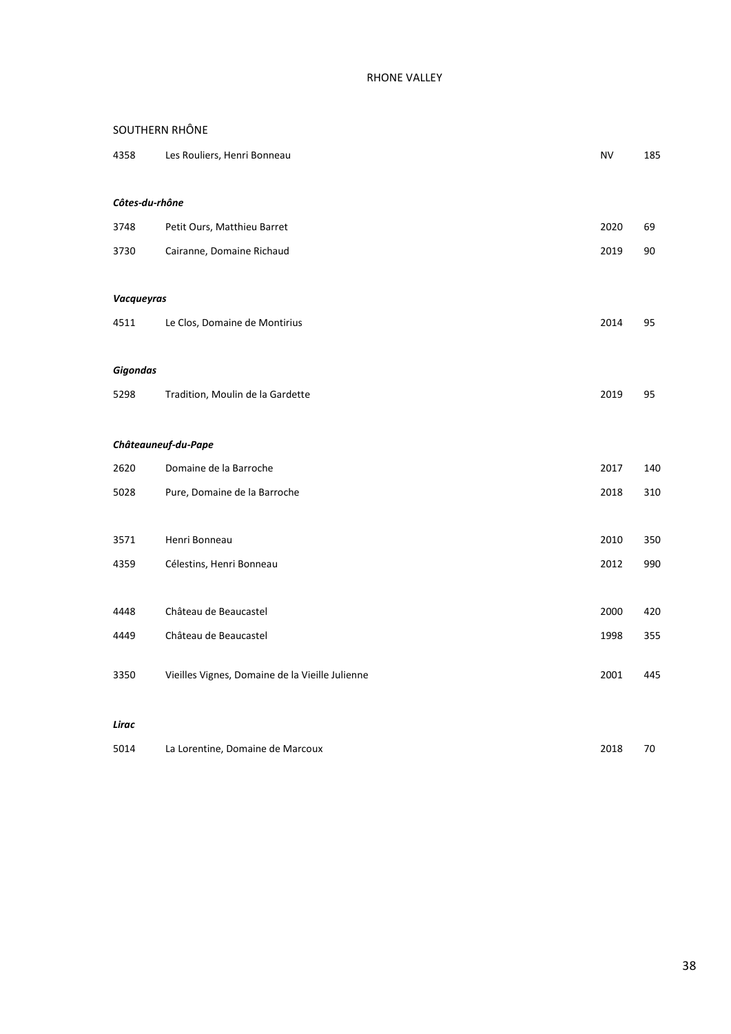# SOUTHERN RHÔNE

| 4358              | Les Rouliers, Henri Bonneau                     | <b>NV</b> | 185 |
|-------------------|-------------------------------------------------|-----------|-----|
| Côtes-du-rhône    |                                                 |           |     |
| 3748              | Petit Ours, Matthieu Barret                     | 2020      | 69  |
| 3730              | Cairanne, Domaine Richaud                       | 2019      | 90  |
| <b>Vacqueyras</b> |                                                 |           |     |
| 4511              | Le Clos, Domaine de Montirius                   | 2014      | 95  |
| <b>Gigondas</b>   |                                                 |           |     |
| 5298              | Tradition, Moulin de la Gardette                | 2019      | 95  |
|                   | Châteauneuf-du-Pape                             |           |     |
| 2620              | Domaine de la Barroche                          | 2017      | 140 |
| 5028              | Pure, Domaine de la Barroche                    | 2018      | 310 |
| 3571              | Henri Bonneau                                   | 2010      | 350 |
| 4359              | Célestins, Henri Bonneau                        | 2012      | 990 |
| 4448              | Château de Beaucastel                           | 2000      | 420 |
| 4449              | Château de Beaucastel                           | 1998      | 355 |
| 3350              | Vieilles Vignes, Domaine de la Vieille Julienne | 2001      | 445 |
| Lirac             |                                                 |           |     |
| 5014              | La Lorentine, Domaine de Marcoux                | 2018      | 70  |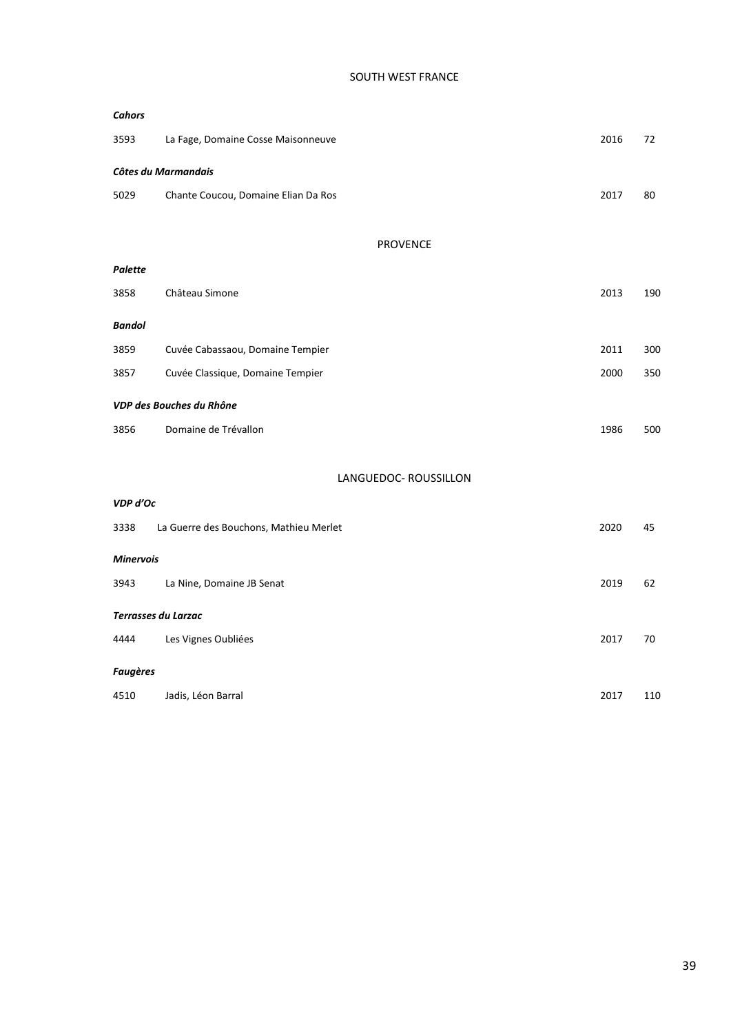#### SOUTH WEST FRANCE

| <b>Cahors</b>    |                                        |      |     |
|------------------|----------------------------------------|------|-----|
| 3593             | La Fage, Domaine Cosse Maisonneuve     | 2016 | 72  |
|                  | Côtes du Marmandais                    |      |     |
| 5029             | Chante Coucou, Domaine Elian Da Ros    | 2017 | 80  |
|                  | <b>PROVENCE</b>                        |      |     |
| Palette          |                                        |      |     |
| 3858             | Château Simone                         | 2013 | 190 |
| Bandol           |                                        |      |     |
| 3859             | Cuvée Cabassaou, Domaine Tempier       | 2011 | 300 |
| 3857             | Cuvée Classique, Domaine Tempier       | 2000 | 350 |
|                  | VDP des Bouches du Rhône               |      |     |
| 3856             | Domaine de Trévallon                   | 1986 | 500 |
|                  | LANGUEDOC- ROUSSILLON                  |      |     |
| VDP d'Oc         |                                        |      |     |
| 3338             | La Guerre des Bouchons, Mathieu Merlet | 2020 | 45  |
| <b>Minervois</b> |                                        |      |     |
| 3943             | La Nine, Domaine JB Senat              | 2019 | 62  |
|                  | <b>Terrasses du Larzac</b>             |      |     |
| 4444             | Les Vignes Oubliées                    | 2017 | 70  |
| <b>Faugères</b>  |                                        |      |     |

|  | 4510 Jadis, Léon Barral | 2017 | 110 |
|--|-------------------------|------|-----|
|--|-------------------------|------|-----|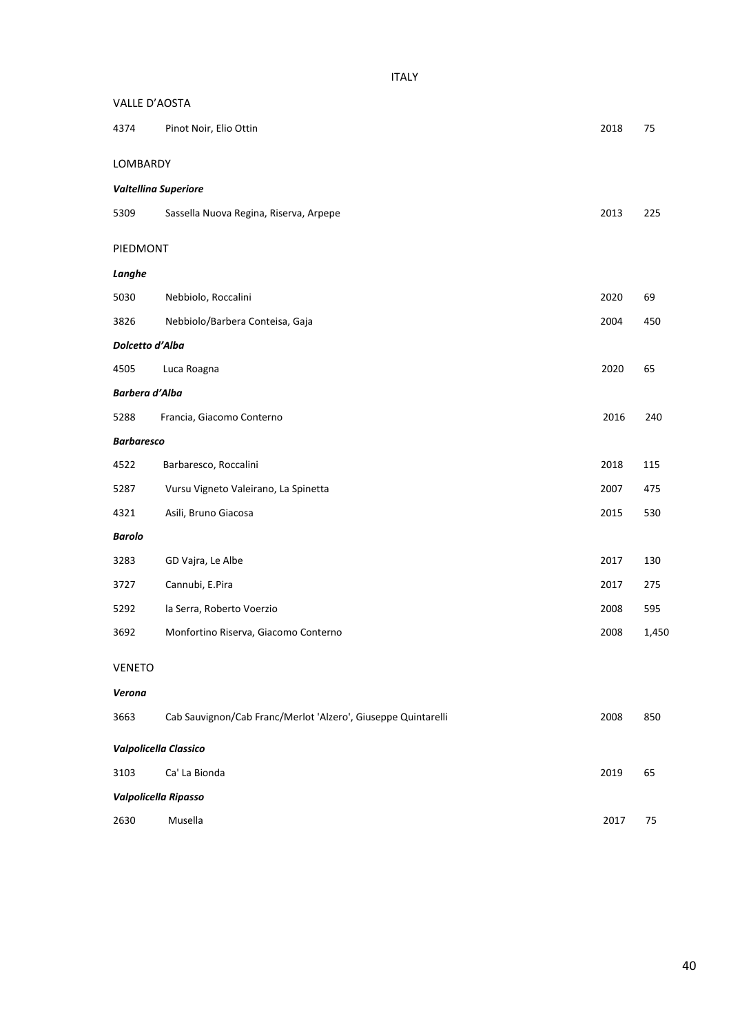| VALLE D'AOSTA     |                                                               |      |       |
|-------------------|---------------------------------------------------------------|------|-------|
| 4374              | Pinot Noir, Elio Ottin                                        | 2018 | 75    |
| LOMBARDY          |                                                               |      |       |
|                   | Valtellina Superiore                                          |      |       |
| 5309              | Sassella Nuova Regina, Riserva, Arpepe                        | 2013 | 225   |
| PIEDMONT          |                                                               |      |       |
| Langhe            |                                                               |      |       |
| 5030              | Nebbiolo, Roccalini                                           | 2020 | 69    |
| 3826              | Nebbiolo/Barbera Conteisa, Gaja                               | 2004 | 450   |
| Dolcetto d'Alba   |                                                               |      |       |
| 4505              | Luca Roagna                                                   | 2020 | 65    |
| Barbera d'Alba    |                                                               |      |       |
| 5288              | Francia, Giacomo Conterno                                     | 2016 | 240   |
| <b>Barbaresco</b> |                                                               |      |       |
| 4522              | Barbaresco, Roccalini                                         | 2018 | 115   |
| 5287              | Vursu Vigneto Valeirano, La Spinetta                          | 2007 | 475   |
| 4321              | Asili, Bruno Giacosa                                          | 2015 | 530   |
| <b>Barolo</b>     |                                                               |      |       |
| 3283              | GD Vajra, Le Albe                                             | 2017 | 130   |
| 3727              | Cannubi, E.Pira                                               | 2017 | 275   |
| 5292              | la Serra, Roberto Voerzio                                     | 2008 | 595   |
| 3692              | Monfortino Riserva, Giacomo Conterno                          | 2008 | 1,450 |
| <b>VENETO</b>     |                                                               |      |       |
| Verona            |                                                               |      |       |
| 3663              | Cab Sauvignon/Cab Franc/Merlot 'Alzero', Giuseppe Quintarelli | 2008 | 850   |
|                   | Valpolicella Classico                                         |      |       |
| 3103              | Ca' La Bionda                                                 | 2019 | 65    |
|                   | Valpolicella Ripasso                                          |      |       |
| 2630              | Musella                                                       | 2017 | 75    |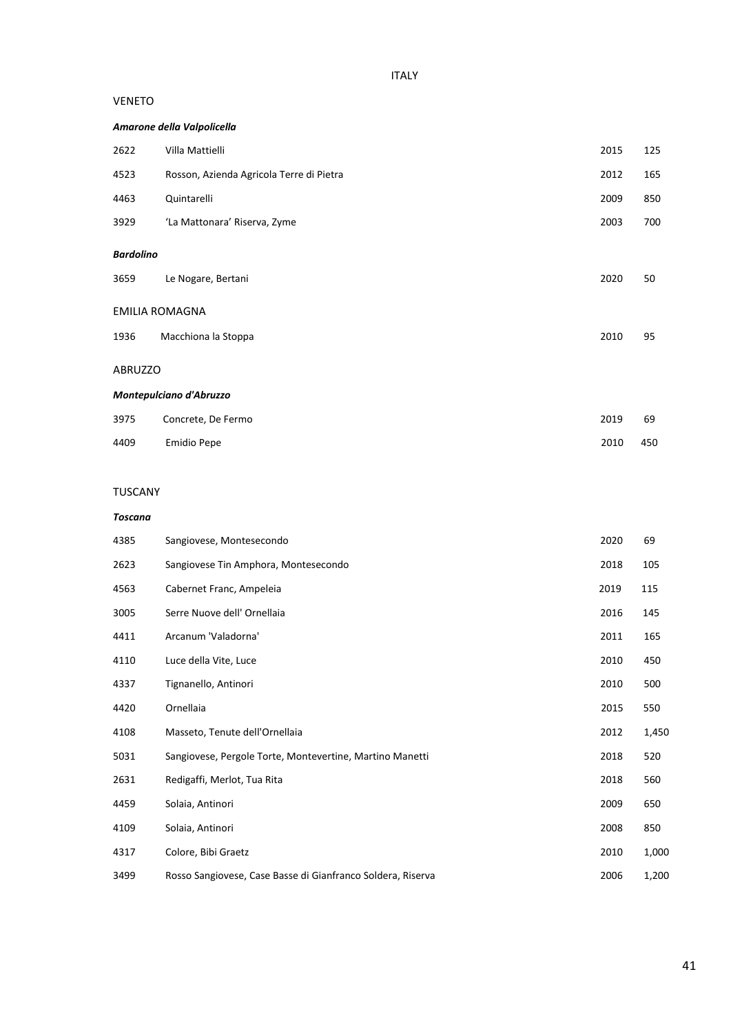#### VENETO

#### *Amarone della Valpolicella*

| 2622                     | Villa Mattielli                          | 2015 | 125 |
|--------------------------|------------------------------------------|------|-----|
| 4523                     | Rosson, Azienda Agricola Terre di Pietra | 2012 | 165 |
| 4463                     | Quintarelli                              | 2009 | 850 |
| 3929                     | 'La Mattonara' Riserva, Zyme             | 2003 | 700 |
| <b>Bardolino</b><br>3659 | Le Nogare, Bertani                       | 2020 | 50  |
| <b>EMILIA ROMAGNA</b>    |                                          |      |     |
| 1936                     | Macchiona la Stoppa                      | 2010 | 95  |
| ABRUZZO                  |                                          |      |     |
|                          | Montepulciano d'Abruzzo                  |      |     |
| 3975                     | Concrete, De Fermo                       | 2019 | 69  |
| 4409                     | Emidio Pepe                              | 2010 | 450 |
|                          |                                          |      |     |
| <b>TUSCANY</b>           |                                          |      |     |
| <b>Toscana</b>           |                                          |      |     |

| 4385 | Sangiovese, Montesecondo                                    | 2020 | 69    |
|------|-------------------------------------------------------------|------|-------|
| 2623 | Sangiovese Tin Amphora, Montesecondo                        | 2018 | 105   |
| 4563 | Cabernet Franc, Ampeleia                                    | 2019 | 115   |
| 3005 | Serre Nuove dell' Ornellaia                                 | 2016 | 145   |
| 4411 | Arcanum 'Valadorna'                                         | 2011 | 165   |
| 4110 | Luce della Vite, Luce                                       | 2010 | 450   |
| 4337 | Tignanello, Antinori                                        | 2010 | 500   |
| 4420 | Ornellaia                                                   | 2015 | 550   |
| 4108 | Masseto, Tenute dell'Ornellaia                              | 2012 | 1,450 |
| 5031 | Sangiovese, Pergole Torte, Montevertine, Martino Manetti    | 2018 | 520   |
| 2631 | Redigaffi, Merlot, Tua Rita                                 | 2018 | 560   |
| 4459 | Solaia, Antinori                                            | 2009 | 650   |
| 4109 | Solaia, Antinori                                            | 2008 | 850   |
| 4317 | Colore, Bibi Graetz                                         | 2010 | 1,000 |
| 3499 | Rosso Sangiovese, Case Basse di Gianfranco Soldera, Riserva | 2006 | 1,200 |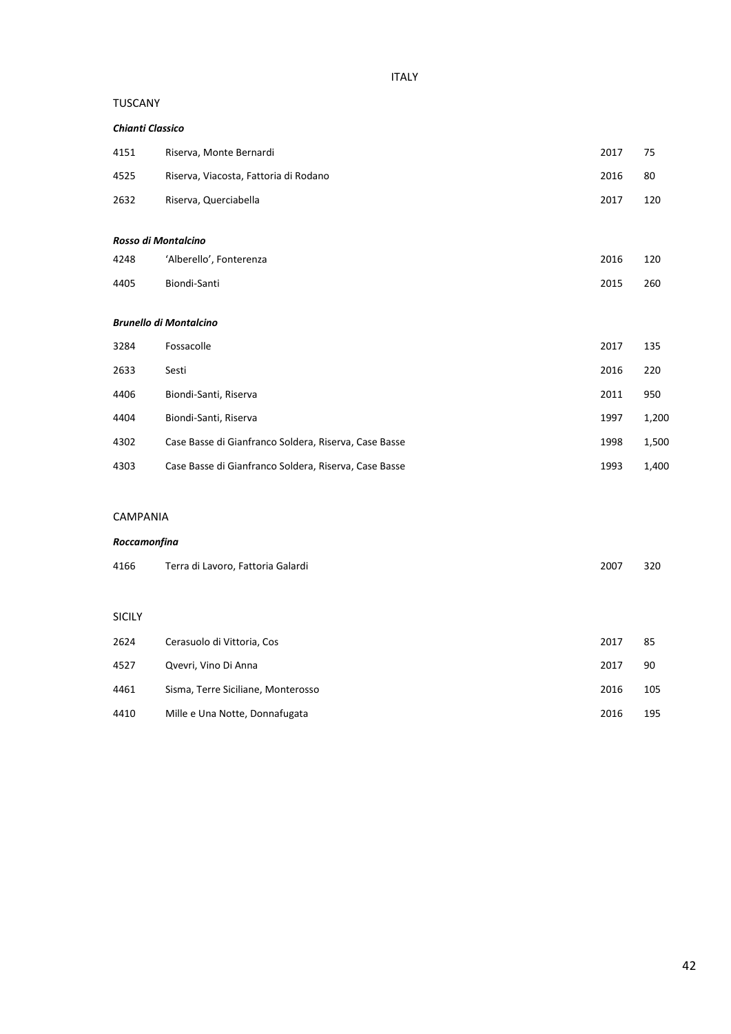# ITALY

#### TUSCANY

| <b>Chianti Classico</b> |                                                       |      |       |
|-------------------------|-------------------------------------------------------|------|-------|
| 4151                    | Riserva, Monte Bernardi                               | 2017 | 75    |
| 4525                    | Riserva, Viacosta, Fattoria di Rodano                 | 2016 | 80    |
| 2632                    | Riserva, Querciabella                                 | 2017 | 120   |
|                         |                                                       |      |       |
|                         | Rosso di Montalcino                                   |      |       |
| 4248                    | 'Alberello', Fonterenza                               | 2016 | 120   |
| 4405                    | Biondi-Santi                                          | 2015 | 260   |
|                         |                                                       |      |       |
|                         | <b>Brunello di Montalcino</b>                         |      |       |
| 3284                    | Fossacolle                                            | 2017 | 135   |
| 2633                    | Sesti                                                 | 2016 | 220   |
| 4406                    | Biondi-Santi, Riserva                                 | 2011 | 950   |
| 4404                    | Biondi-Santi, Riserva                                 | 1997 | 1,200 |
| 4302                    | Case Basse di Gianfranco Soldera, Riserva, Case Basse | 1998 | 1,500 |
| 4303                    | Case Basse di Gianfranco Soldera, Riserva, Case Basse | 1993 | 1,400 |

#### CAMPANIA

#### *Roccamonfina*

| 4166          | Terra di Lavoro, Fattoria Galardi  | 2007 | 320 |
|---------------|------------------------------------|------|-----|
|               |                                    |      |     |
| <b>SICILY</b> |                                    |      |     |
| 2624          | Cerasuolo di Vittoria, Cos         | 2017 | 85  |
| 4527          | Qvevri, Vino Di Anna               | 2017 | 90  |
| 4461          | Sisma, Terre Siciliane, Monterosso | 2016 | 105 |
| 4410          | Mille e Una Notte, Donnafugata     | 2016 | 195 |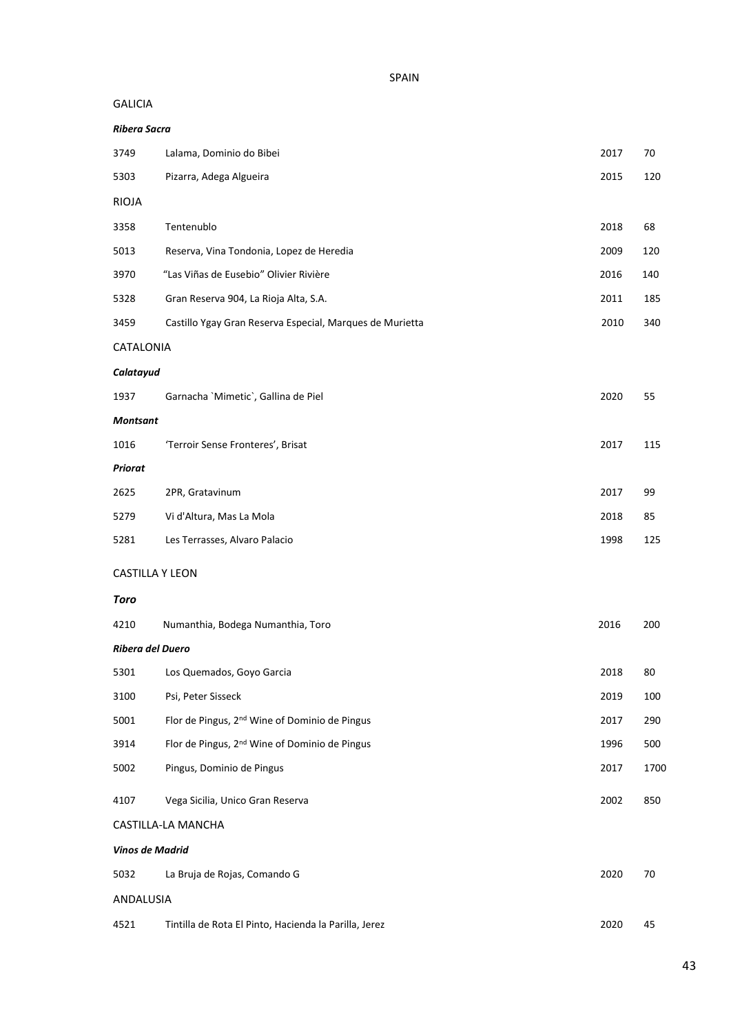SPAIN

#### GALICIA

| <b>Ribera Sacra</b>    |                                                           |      |      |
|------------------------|-----------------------------------------------------------|------|------|
| 3749                   | Lalama, Dominio do Bibei                                  | 2017 | 70   |
| 5303                   | Pizarra, Adega Algueira                                   | 2015 | 120  |
| <b>RIOJA</b>           |                                                           |      |      |
| 3358                   | Tentenublo                                                | 2018 | 68   |
| 5013                   | Reserva, Vina Tondonia, Lopez de Heredia                  | 2009 | 120  |
| 3970                   | "Las Viñas de Eusebio" Olivier Rivière                    | 2016 | 140  |
| 5328                   | Gran Reserva 904, La Rioja Alta, S.A.                     | 2011 | 185  |
| 3459                   | Castillo Ygay Gran Reserva Especial, Marques de Murietta  | 2010 | 340  |
| CATALONIA              |                                                           |      |      |
| Calatayud              |                                                           |      |      |
| 1937                   | Garnacha `Mimetic`, Gallina de Piel                       | 2020 | 55   |
| <b>Montsant</b>        |                                                           |      |      |
| 1016                   | 'Terroir Sense Fronteres', Brisat                         | 2017 | 115  |
| <b>Priorat</b>         |                                                           |      |      |
| 2625                   | 2PR, Gratavinum                                           | 2017 | 99   |
| 5279                   | Vi d'Altura, Mas La Mola                                  | 2018 | 85   |
| 5281                   | Les Terrasses, Alvaro Palacio                             | 1998 | 125  |
| <b>CASTILLA Y LEON</b> |                                                           |      |      |
| <b>Toro</b>            |                                                           |      |      |
| 4210                   | Numanthia, Bodega Numanthia, Toro                         | 2016 | 200  |
| Ribera del Duero       |                                                           |      |      |
| 5301                   | Los Quemados, Goyo Garcia                                 | 2018 | 80   |
| 3100                   | Psi, Peter Sisseck                                        | 2019 | 100  |
| 5001                   | Flor de Pingus, 2 <sup>nd</sup> Wine of Dominio de Pingus | 2017 | 290  |
| 3914                   | Flor de Pingus, 2 <sup>nd</sup> Wine of Dominio de Pingus | 1996 | 500  |
| 5002                   | Pingus, Dominio de Pingus                                 | 2017 | 1700 |
| 4107                   | Vega Sicilia, Unico Gran Reserva                          | 2002 | 850  |
|                        | CASTILLA-LA MANCHA                                        |      |      |
| Vinos de Madrid        |                                                           |      |      |
| 5032                   | La Bruja de Rojas, Comando G                              | 2020 | 70   |
| ANDALUSIA              |                                                           |      |      |
| 4521                   | Tintilla de Rota El Pinto, Hacienda la Parilla, Jerez     | 2020 | 45   |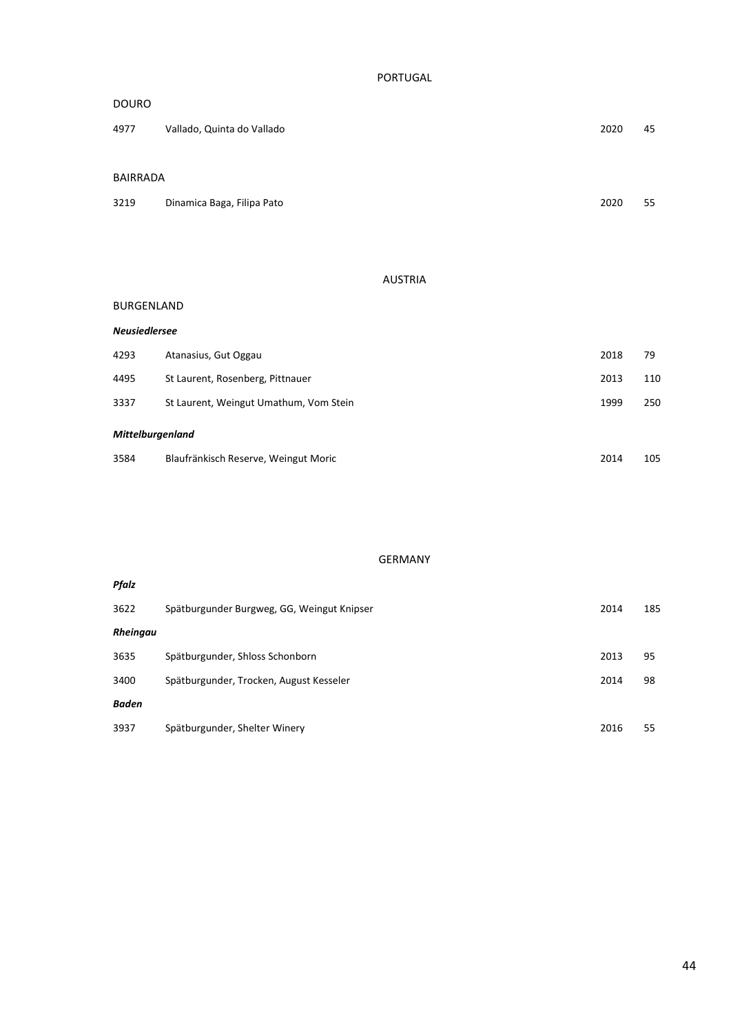PORTUGAL

| <b>DOURO</b>    |                            |      |    |
|-----------------|----------------------------|------|----|
| 4977            | Vallado, Quinta do Vallado | 2020 | 45 |
|                 |                            |      |    |
| <b>BAIRRADA</b> |                            |      |    |
| 3219            | Dinamica Baga, Filipa Pato | 2020 | 55 |

# AUSTRIA

#### BURGENLAND

| <b>Neusiedlersee</b>    |                                        |      |     |
|-------------------------|----------------------------------------|------|-----|
| 4293                    | Atanasius, Gut Oggau                   | 2018 | 79  |
| 4495                    | St Laurent, Rosenberg, Pittnauer       | 2013 | 110 |
| 3337                    | St Laurent, Weingut Umathum, Vom Stein | 1999 | 250 |
| <b>Mittelburgenland</b> |                                        |      |     |
| 3584                    | Blaufränkisch Reserve, Weingut Moric   | 2014 | 105 |

# GERMANY

| Pfalz        |                                            |      |     |
|--------------|--------------------------------------------|------|-----|
| 3622         | Spätburgunder Burgweg, GG, Weingut Knipser | 2014 | 185 |
| Rheingau     |                                            |      |     |
| 3635         | Spätburgunder, Shloss Schonborn            | 2013 | 95  |
| 3400         | Spätburgunder, Trocken, August Kesseler    | 2014 | 98  |
| <b>Baden</b> |                                            |      |     |
| 3937         | Spätburgunder, Shelter Winery              | 2016 | 55  |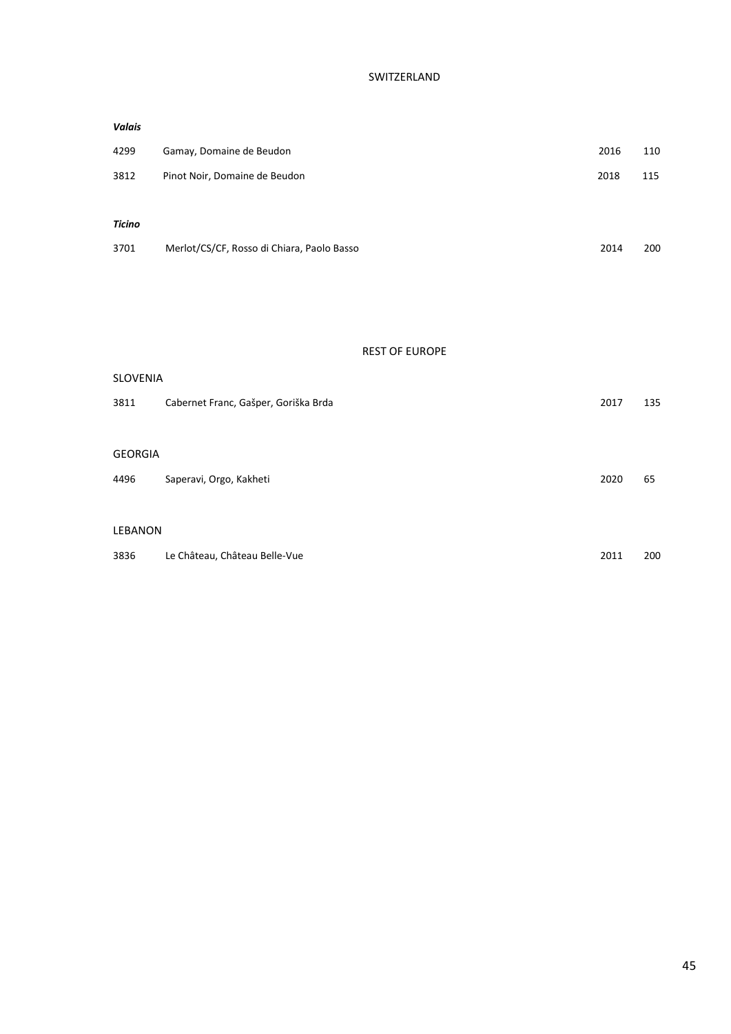# SWITZERLAND

| <b>Valais</b> |                                            |      |     |
|---------------|--------------------------------------------|------|-----|
| 4299          | Gamay, Domaine de Beudon                   | 2016 | 110 |
| 3812          | Pinot Noir, Domaine de Beudon<br>2018      |      | 115 |
|               |                                            |      |     |
| <b>Ticino</b> |                                            |      |     |
| 3701          | Merlot/CS/CF, Rosso di Chiara, Paolo Basso | 2014 | 200 |
|               |                                            |      |     |

#### REST OF EUROPE

| <b>SLOVENIA</b> |                                      |      |     |
|-----------------|--------------------------------------|------|-----|
| 3811            | Cabernet Franc, Gašper, Goriška Brda | 2017 | 135 |
|                 |                                      |      |     |
| <b>GEORGIA</b>  |                                      |      |     |
| 4496            | Saperavi, Orgo, Kakheti              | 2020 | 65  |
|                 |                                      |      |     |
| <b>LEBANON</b>  |                                      |      |     |
| 3836            | Le Château, Château Belle-Vue        | 2011 | 200 |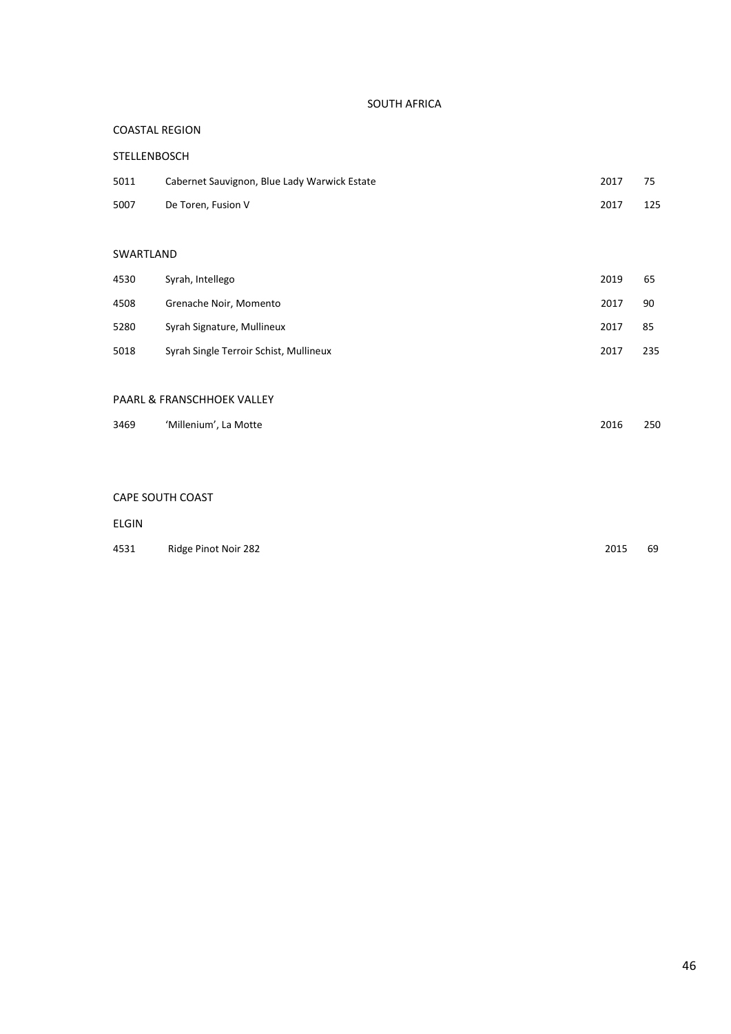#### SOUTH AFRICA

#### COASTAL REGION

| STELLENBOSCH |                                              |      |     |
|--------------|----------------------------------------------|------|-----|
| 5011         | Cabernet Sauvignon, Blue Lady Warwick Estate | 2017 | 75  |
| 5007         | De Toren, Fusion V                           | 2017 | 125 |

# SWARTLAND

| 4530 | Syrah, Intellego                       | 2019 | 65  |
|------|----------------------------------------|------|-----|
| 4508 | Grenache Noir, Momento                 | 2017 | 90  |
| 5280 | Syrah Signature, Mullineux             | 2017 | 85  |
| 5018 | Syrah Single Terroir Schist, Mullineux | 2017 | 235 |

#### PAARL & FRANSCHHOEK VALLEY

| 3469 | 'Millenium', La Motte | 2016 | 250 |
|------|-----------------------|------|-----|
|------|-----------------------|------|-----|

#### CAPE SOUTH COAST

#### ELGIN

| 4531 | Ridge Pinot Noir 282 | 2015 | 69 |
|------|----------------------|------|----|
|      |                      |      |    |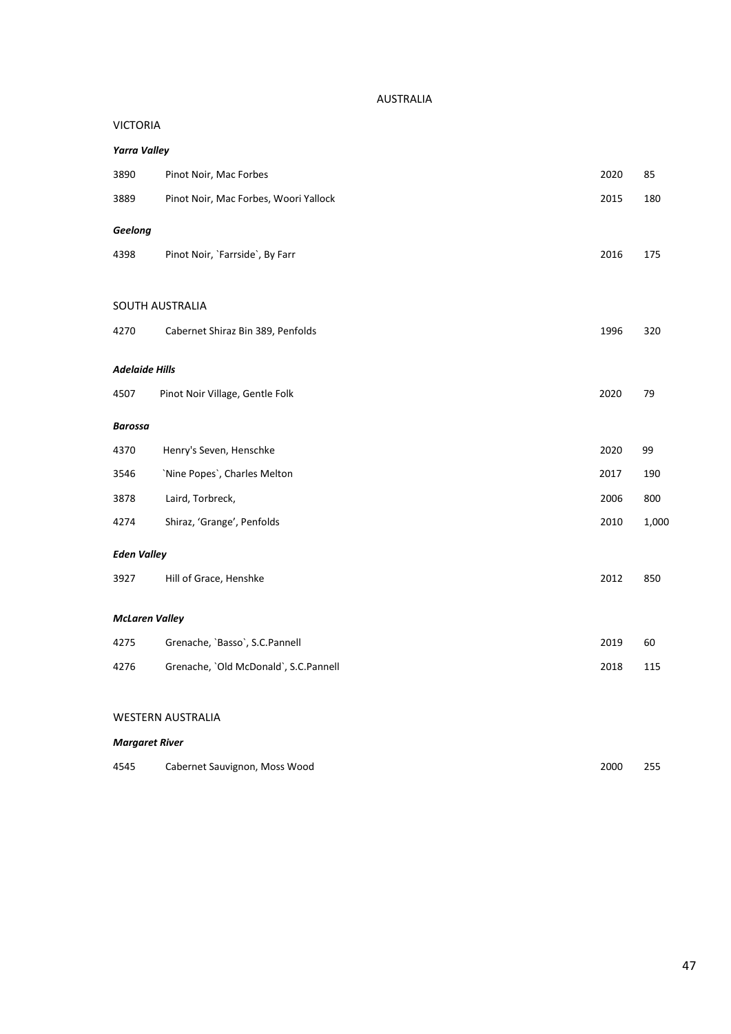#### AUSTRALIA

#### VICTORIA

| <b>Yarra Valley</b>   |                                       |      |       |
|-----------------------|---------------------------------------|------|-------|
| 3890                  | Pinot Noir, Mac Forbes                | 2020 | 85    |
| 3889                  | Pinot Noir, Mac Forbes, Woori Yallock | 2015 | 180   |
| Geelong               |                                       |      |       |
| 4398                  | Pinot Noir, `Farrside`, By Farr       | 2016 | 175   |
|                       | SOUTH AUSTRALIA                       |      |       |
|                       |                                       |      |       |
| 4270                  | Cabernet Shiraz Bin 389, Penfolds     | 1996 | 320   |
| Adelaide Hills        |                                       |      |       |
| 4507                  | Pinot Noir Village, Gentle Folk       | 2020 | 79    |
| Barossa               |                                       |      |       |
| 4370                  | Henry's Seven, Henschke               | 2020 | 99    |
| 3546                  | 'Nine Popes', Charles Melton          | 2017 | 190   |
| 3878                  | Laird, Torbreck,                      | 2006 | 800   |
| 4274                  | Shiraz, 'Grange', Penfolds            | 2010 | 1,000 |
| <b>Eden Valley</b>    |                                       |      |       |
| 3927                  | Hill of Grace, Henshke                | 2012 | 850   |
| McLaren Valley        |                                       |      |       |
| 4275                  | Grenache, `Basso`, S.C.Pannell        | 2019 | 60    |
| 4276                  | Grenache, `Old McDonald`, S.C.Pannell | 2018 | 115   |
|                       | <b>WESTERN AUSTRALIA</b>              |      |       |
| <b>Margaret River</b> |                                       |      |       |
|                       |                                       |      |       |

| 4545 | Cabernet Sauvignon, Moss Wood | 2000 | 255 |
|------|-------------------------------|------|-----|
|------|-------------------------------|------|-----|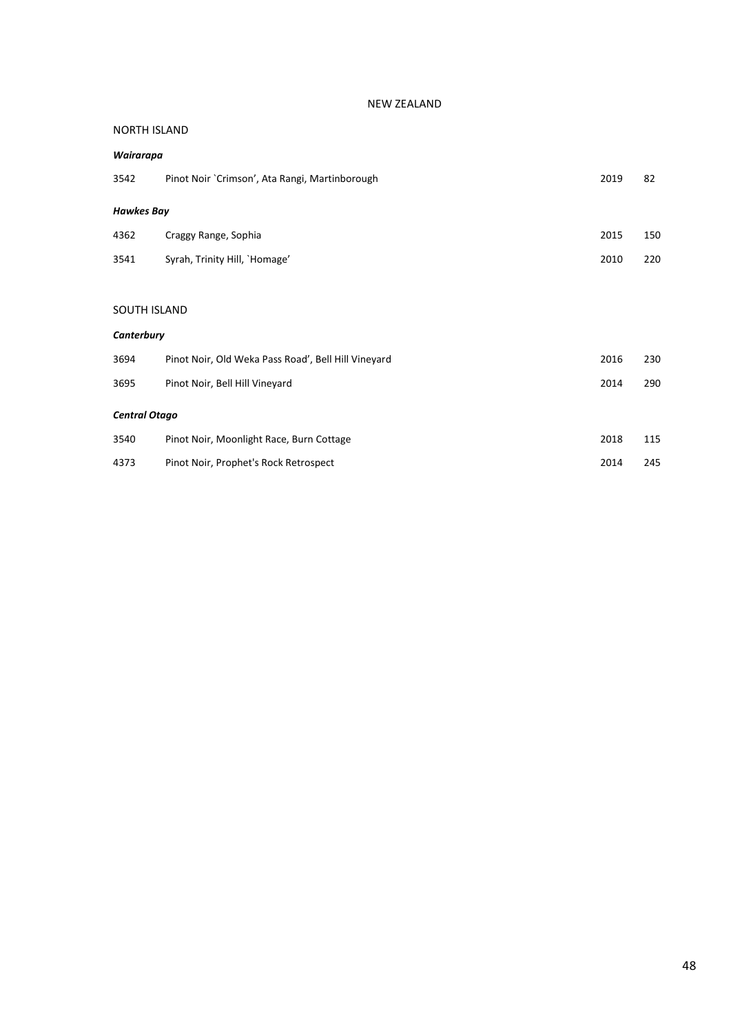#### NEW ZEALAND

#### NORTH ISLAND

| Wairarapa         |                                                     |      |     |  |  |
|-------------------|-----------------------------------------------------|------|-----|--|--|
| 3542              | Pinot Noir `Crimson', Ata Rangi, Martinborough      | 2019 | 82  |  |  |
| <b>Hawkes Bay</b> |                                                     |      |     |  |  |
| 4362              | Craggy Range, Sophia                                | 2015 | 150 |  |  |
| 3541              | Syrah, Trinity Hill, `Homage'                       | 2010 | 220 |  |  |
|                   |                                                     |      |     |  |  |
| SOUTH ISLAND      |                                                     |      |     |  |  |
| Canterbury        |                                                     |      |     |  |  |
| 3694              | Pinot Noir, Old Weka Pass Road', Bell Hill Vineyard | 2016 | 230 |  |  |
| 3695              | Pinot Noir, Bell Hill Vineyard                      | 2014 | 290 |  |  |
|                   | <b>Central Otago</b>                                |      |     |  |  |
| 3540              | Pinot Noir, Moonlight Race, Burn Cottage            | 2018 | 115 |  |  |
| 4373              | Pinot Noir, Prophet's Rock Retrospect               | 2014 | 245 |  |  |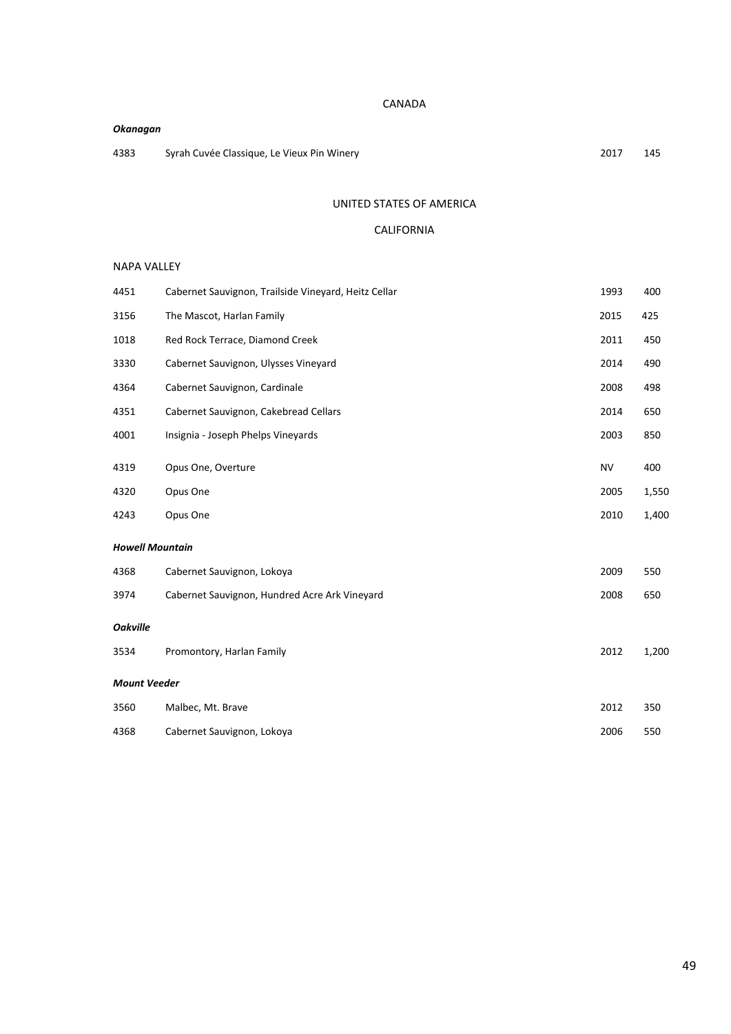#### CANADA

# *Okanagan*

Syrah Cuvée Classique, Le Vieux Pin Winery 2017 145

#### UNITED STATES OF AMERICA

# CALIFORNIA

#### NAPA VALLEY

| 4451                   | Cabernet Sauvignon, Trailside Vineyard, Heitz Cellar | 1993      | 400   |
|------------------------|------------------------------------------------------|-----------|-------|
| 3156                   | The Mascot, Harlan Family                            | 2015      | 425   |
| 1018                   | Red Rock Terrace, Diamond Creek                      | 2011      | 450   |
| 3330                   | Cabernet Sauvignon, Ulysses Vineyard                 | 2014      | 490   |
| 4364                   | Cabernet Sauvignon, Cardinale                        | 2008      | 498   |
| 4351                   | Cabernet Sauvignon, Cakebread Cellars                | 2014      | 650   |
| 4001                   | Insignia - Joseph Phelps Vineyards                   | 2003      | 850   |
| 4319                   | Opus One, Overture                                   | <b>NV</b> | 400   |
| 4320                   | Opus One                                             | 2005      | 1,550 |
| 4243                   | Opus One                                             | 2010      | 1,400 |
| <b>Howell Mountain</b> |                                                      |           |       |
| 4368                   | Cabernet Sauvignon, Lokoya                           | 2009      | 550   |
| 3974                   | Cabernet Sauvignon, Hundred Acre Ark Vineyard        | 2008      | 650   |
| <b>Oakville</b>        |                                                      |           |       |
| 3534                   | Promontory, Harlan Family                            | 2012      | 1,200 |
| <b>Mount Veeder</b>    |                                                      |           |       |
| 3560                   | Malbec, Mt. Brave                                    | 2012      | 350   |
| 4368                   | Cabernet Sauvignon, Lokoya                           | 2006      | 550   |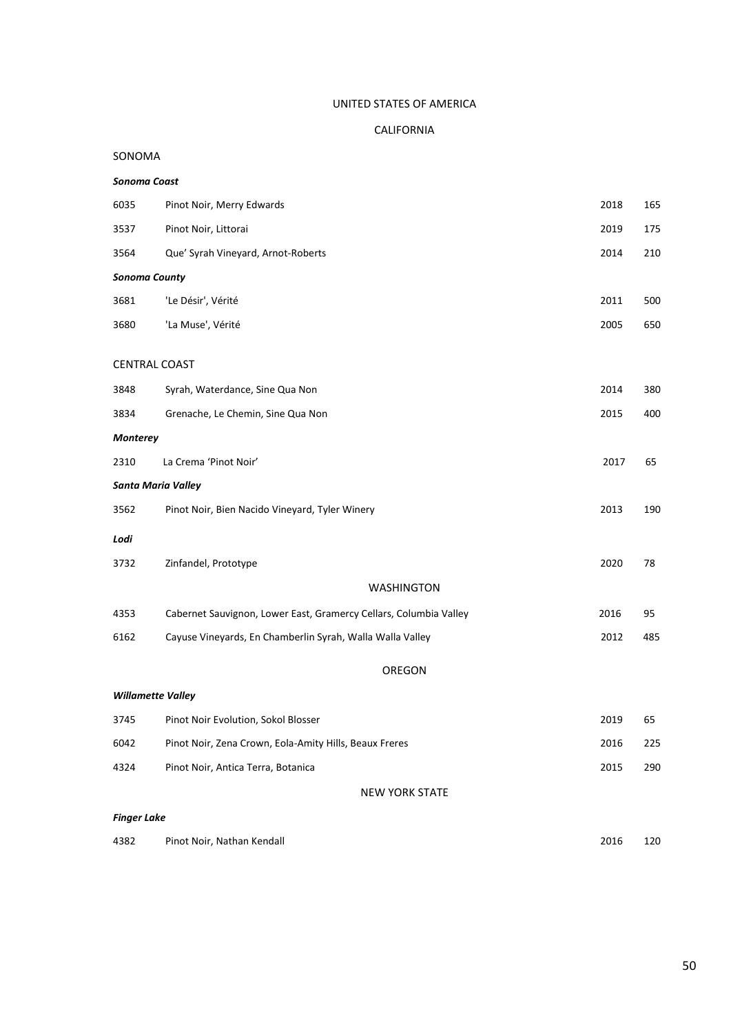# UNITED STATES OF AMERICA

# CALIFORNIA

# SONOMA

# *Sonoma Coast*

| 6035                      | Pinot Noir, Merry Edwards                                         | 2018 | 165 |
|---------------------------|-------------------------------------------------------------------|------|-----|
| 3537                      | Pinot Noir, Littorai                                              | 2019 | 175 |
| 3564                      | Que' Syrah Vineyard, Arnot-Roberts                                | 2014 | 210 |
| <b>Sonoma County</b>      |                                                                   |      |     |
| 3681                      | 'Le Désir', Vérité                                                | 2011 | 500 |
| 3680                      | 'La Muse', Vérité                                                 | 2005 | 650 |
| <b>CENTRAL COAST</b>      |                                                                   |      |     |
| 3848                      | Syrah, Waterdance, Sine Qua Non                                   | 2014 | 380 |
| 3834                      | Grenache, Le Chemin, Sine Qua Non                                 | 2015 | 400 |
| <b>Monterey</b>           |                                                                   |      |     |
| 2310                      | La Crema 'Pinot Noir'                                             | 2017 | 65  |
| <b>Santa Maria Valley</b> |                                                                   |      |     |
| 3562                      | Pinot Noir, Bien Nacido Vineyard, Tyler Winery                    | 2013 | 190 |
| Lodi                      |                                                                   |      |     |
| 3732                      | Zinfandel, Prototype                                              | 2020 | 78  |
|                           | <b>WASHINGTON</b>                                                 |      |     |
| 4353                      | Cabernet Sauvignon, Lower East, Gramercy Cellars, Columbia Valley | 2016 | 95  |
| 6162                      | Cayuse Vineyards, En Chamberlin Syrah, Walla Walla Valley         | 2012 | 485 |
|                           | OREGON                                                            |      |     |
| <b>Willamette Valley</b>  |                                                                   |      |     |
| 3745                      | Pinot Noir Evolution, Sokol Blosser                               | 2019 | 65  |
| 6042                      | Pinot Noir, Zena Crown, Eola-Amity Hills, Beaux Freres            | 2016 | 225 |
| 4324                      | Pinot Noir, Antica Terra, Botanica                                | 2015 | 290 |

NEW YORK STATE

# *Finger Lake*

| 4382<br>Pinot Noir, Nathan Kendall<br>2016 | 120 |
|--------------------------------------------|-----|
|--------------------------------------------|-----|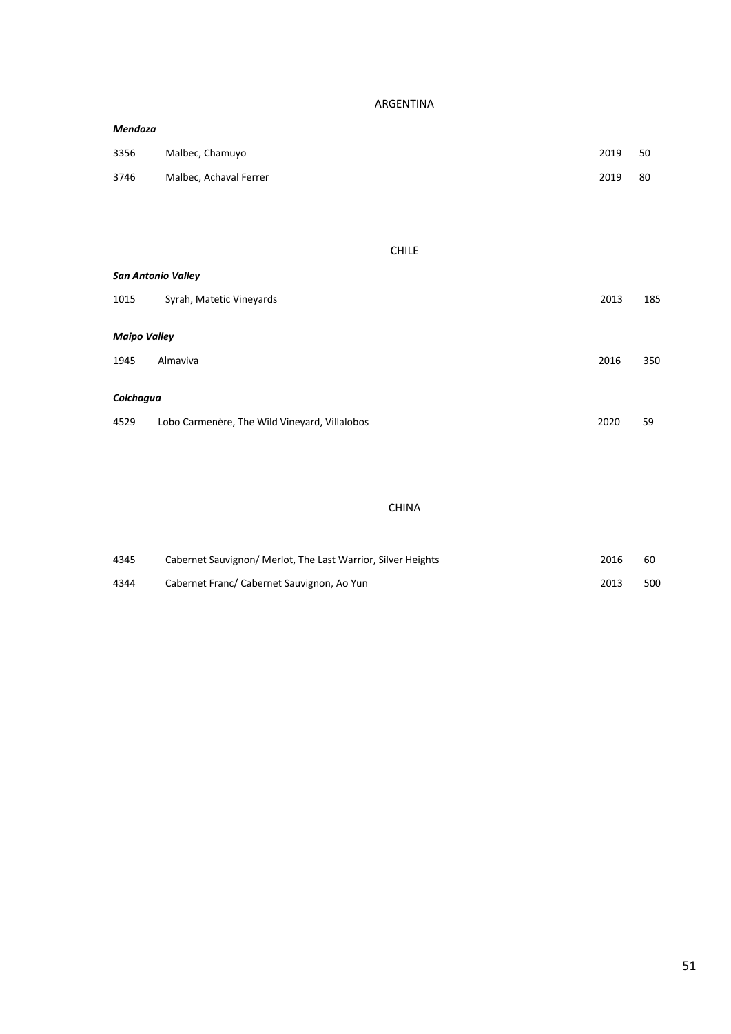ARGENTINA

| Mendoza             |                                               |              |      |     |
|---------------------|-----------------------------------------------|--------------|------|-----|
| 3356                | Malbec, Chamuyo                               |              | 2019 | 50  |
| 3746                | Malbec, Achaval Ferrer                        |              | 2019 | 80  |
|                     |                                               |              |      |     |
|                     |                                               |              |      |     |
|                     |                                               | <b>CHILE</b> |      |     |
|                     | <b>San Antonio Valley</b>                     |              |      |     |
| 1015                | Syrah, Matetic Vineyards                      |              | 2013 | 185 |
| <b>Maipo Valley</b> |                                               |              |      |     |
| 1945                | Almaviva                                      |              | 2016 | 350 |
|                     |                                               |              |      |     |
| Colchagua           |                                               |              |      |     |
| 4529                | Lobo Carmenère, The Wild Vineyard, Villalobos |              | 2020 | 59  |

# CHINA

| 4345 | Cabernet Sauvignon/ Merlot, The Last Warrior, Silver Heights | 2016 | 60  |
|------|--------------------------------------------------------------|------|-----|
| 4344 | Cabernet Franc/ Cabernet Sauvignon, Ao Yun                   | 2013 | 500 |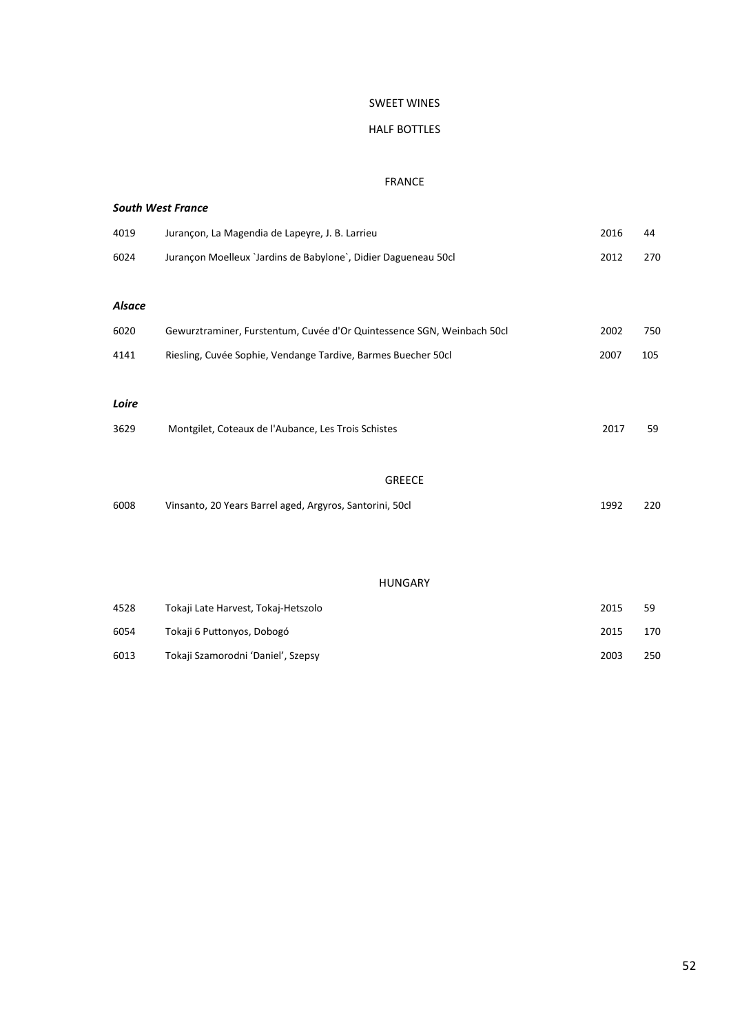#### SWEET WINES

# HALF BOTTLES

#### FRANCE

|               | <b>South West France</b>                                               |      |     |
|---------------|------------------------------------------------------------------------|------|-----|
| 4019          | Jurançon, La Magendia de Lapeyre, J. B. Larrieu                        | 2016 | 44  |
| 6024          | Jurançon Moelleux `Jardins de Babylone`, Didier Dagueneau 50cl         | 2012 | 270 |
|               |                                                                        |      |     |
| <b>Alsace</b> |                                                                        |      |     |
| 6020          | Gewurztraminer, Furstentum, Cuvée d'Or Quintessence SGN, Weinbach 50cl | 2002 | 750 |
| 4141          | Riesling, Cuvée Sophie, Vendange Tardive, Barmes Buecher 50cl          | 2007 | 105 |
|               |                                                                        |      |     |
| Loire         |                                                                        |      |     |
| 3629          | Montgilet, Coteaux de l'Aubance, Les Trois Schistes                    | 2017 | 59  |
|               |                                                                        |      |     |
|               | <b>GREECE</b>                                                          |      |     |
| 6008          | Vinsanto, 20 Years Barrel aged, Argyros, Santorini, 50cl               | 1992 | 220 |
|               |                                                                        |      |     |
|               |                                                                        |      |     |

#### HUNGARY

| 4528 | Tokaji Late Harvest, Tokaj-Hetszolo | 2015 | 59  |
|------|-------------------------------------|------|-----|
| 6054 | Tokaji 6 Puttonyos, Dobogó          | 2015 | 170 |
| 6013 | Tokaji Szamorodni 'Daniel', Szepsy  | 2003 | 250 |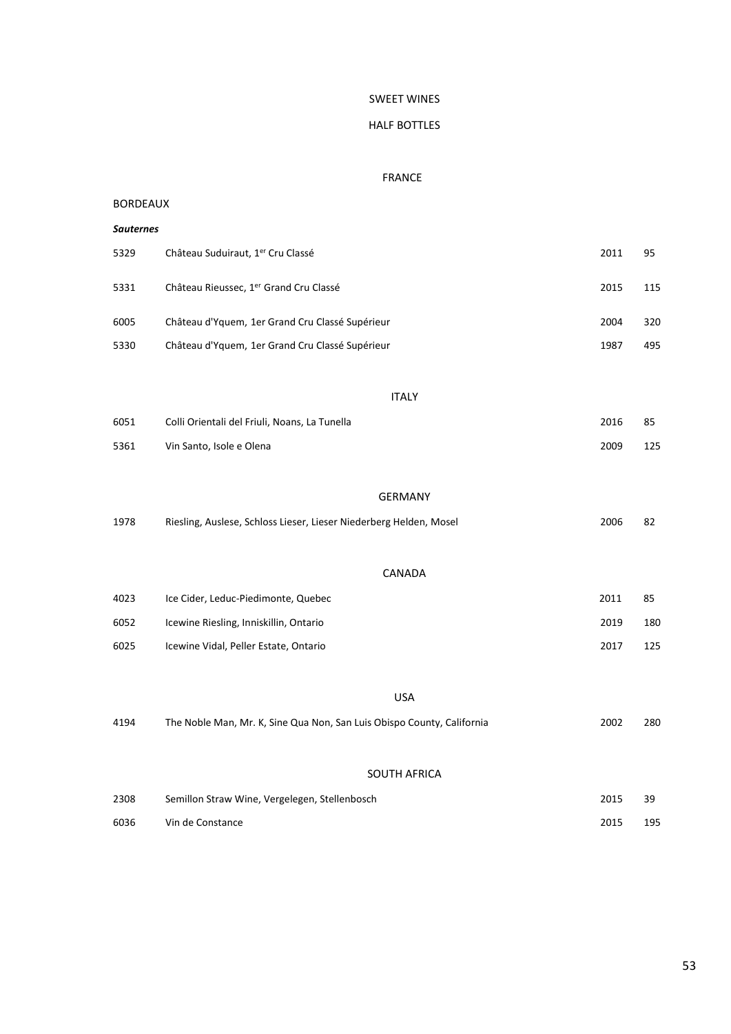#### SWEET WINES

#### HALF BOTTLES

#### FRANCE

#### BORDEAUX

| Sauternes |                                                                    |      |     |
|-----------|--------------------------------------------------------------------|------|-----|
| 5329      | Château Suduiraut, 1er Cru Classé                                  | 2011 | 95  |
| 5331      | Château Rieussec, 1er Grand Cru Classé                             | 2015 | 115 |
| 6005      | Château d'Yquem, 1er Grand Cru Classé Supérieur                    | 2004 | 320 |
| 5330      | Château d'Yquem, 1er Grand Cru Classé Supérieur                    | 1987 | 495 |
|           |                                                                    |      |     |
|           | <b>ITALY</b>                                                       |      |     |
| 6051      | Colli Orientali del Friuli, Noans, La Tunella                      | 2016 | 85  |
| 5361      | Vin Santo, Isole e Olena                                           | 2009 | 125 |
|           |                                                                    |      |     |
|           | <b>GERMANY</b>                                                     |      |     |
| 1978      | Riesling, Auslese, Schloss Lieser, Lieser Niederberg Helden, Mosel | 2006 | 82  |
|           |                                                                    |      |     |
|           | CANADA                                                             |      |     |
| 4023      | Ice Cider, Leduc-Piedimonte, Quebec                                | 2011 | 85  |
| 6052      | Icewine Riesling, Inniskillin, Ontario                             | 2019 | 180 |
| 6025      | Icewine Vidal, Peller Estate, Ontario                              | 2017 | 125 |
|           |                                                                    |      |     |
|           |                                                                    |      |     |

#### USA

| 4194 | The Noble Man, Mr. K, Sine Qua Non, San Luis Obispo County, California | 2002 | 280 |
|------|------------------------------------------------------------------------|------|-----|
|      | <b>SOUTH AFRICA</b>                                                    |      |     |
| 2308 | Semillon Straw Wine, Vergelegen, Stellenbosch                          | 2015 | 39  |
| 6036 | Vin de Constance                                                       | 2015 | 195 |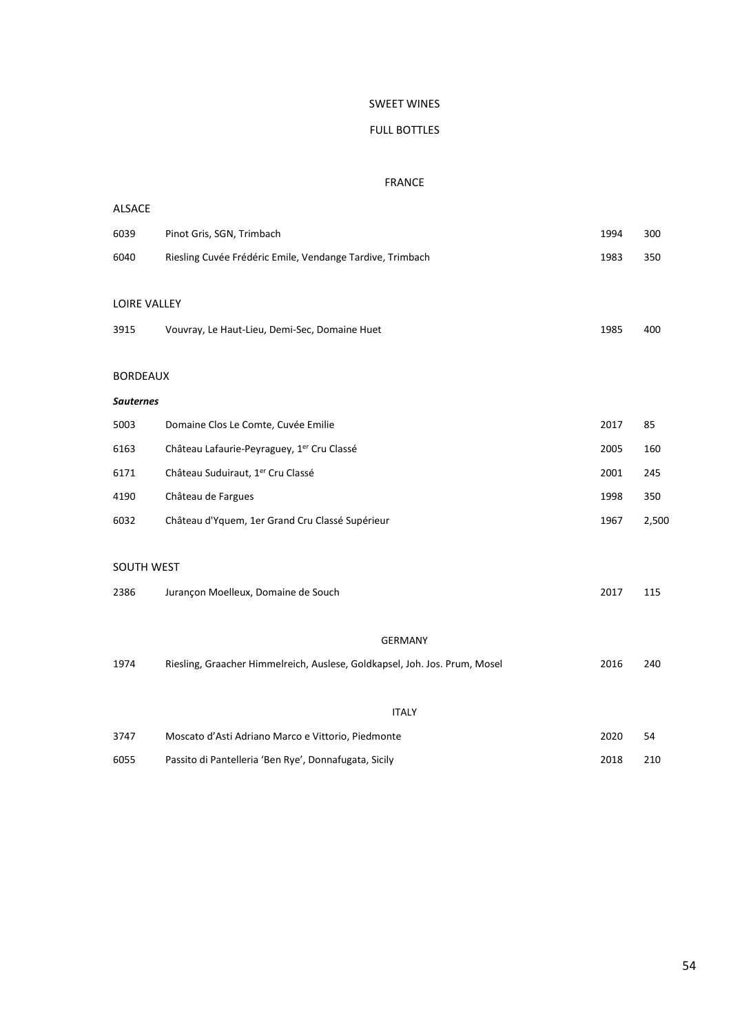#### SWEET WINES

# FULL BOTTLES

#### FRANCE

| <b>ALSACE</b>       |                                                                            |      |       |  |  |
|---------------------|----------------------------------------------------------------------------|------|-------|--|--|
| 6039                | Pinot Gris, SGN, Trimbach                                                  | 1994 | 300   |  |  |
| 6040                | Riesling Cuvée Frédéric Emile, Vendange Tardive, Trimbach                  | 1983 | 350   |  |  |
|                     |                                                                            |      |       |  |  |
| <b>LOIRE VALLEY</b> |                                                                            |      |       |  |  |
| 3915                | Vouvray, Le Haut-Lieu, Demi-Sec, Domaine Huet                              | 1985 | 400   |  |  |
| <b>BORDEAUX</b>     |                                                                            |      |       |  |  |
| <b>Sauternes</b>    |                                                                            |      |       |  |  |
| 5003                | Domaine Clos Le Comte, Cuvée Emilie                                        | 2017 | 85    |  |  |
| 6163                | Château Lafaurie-Peyraguey, 1 <sup>er</sup> Cru Classé                     | 2005 | 160   |  |  |
| 6171                | Château Suduiraut, 1er Cru Classé                                          | 2001 | 245   |  |  |
| 4190                | Château de Fargues                                                         | 1998 | 350   |  |  |
| 6032                | Château d'Yquem, 1er Grand Cru Classé Supérieur                            | 1967 | 2,500 |  |  |
|                     |                                                                            |      |       |  |  |
| SOUTH WEST          |                                                                            |      |       |  |  |
| 2386                | Jurançon Moelleux, Domaine de Souch                                        | 2017 | 115   |  |  |
|                     | <b>GERMANY</b>                                                             |      |       |  |  |
| 1974                | Riesling, Graacher Himmelreich, Auslese, Goldkapsel, Joh. Jos. Prum, Mosel | 2016 | 240   |  |  |
|                     |                                                                            |      |       |  |  |
| <b>ITALY</b>        |                                                                            |      |       |  |  |
| 3747                | Moscato d'Asti Adriano Marco e Vittorio, Piedmonte                         | 2020 | 54    |  |  |
| 6055                | Passito di Pantelleria 'Ben Rye', Donnafugata, Sicily                      | 2018 | 210   |  |  |
|                     |                                                                            |      |       |  |  |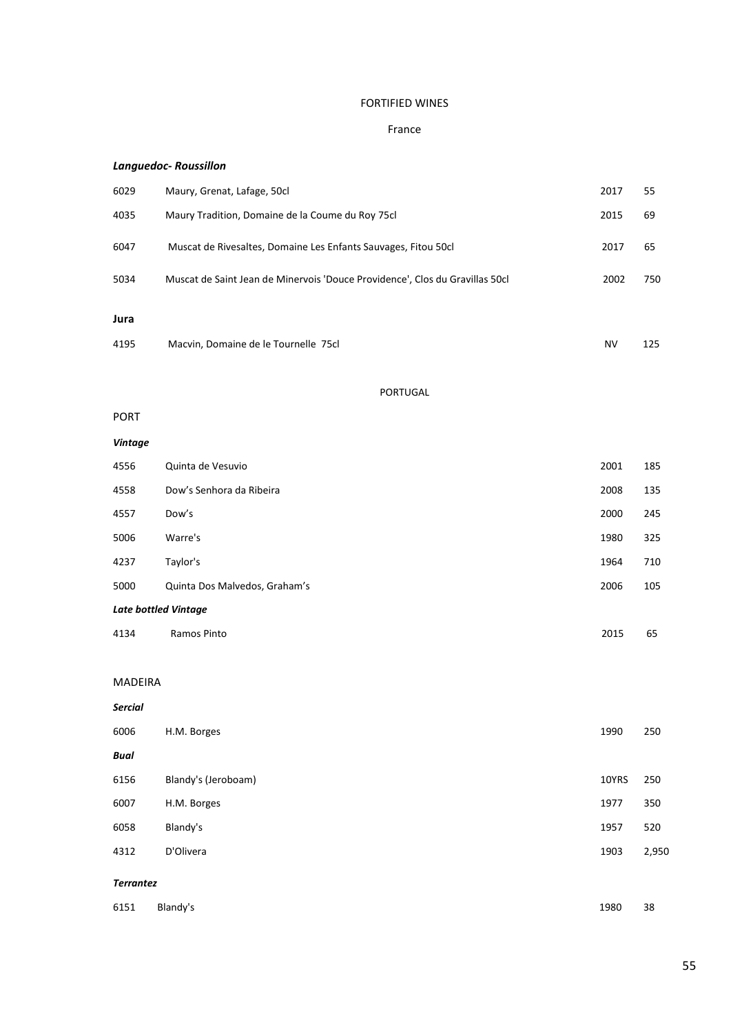# FORTIFIED WINES

# France

# *Languedoc- Roussillon*

| 6029 | Maury, Grenat, Lafage, 50cl                                                  | 2017      | 55  |
|------|------------------------------------------------------------------------------|-----------|-----|
| 4035 | Maury Tradition, Domaine de la Coume du Roy 75cl                             | 2015      | 69  |
| 6047 | Muscat de Rivesaltes, Domaine Les Enfants Sauvages, Fitou 50cl               | 2017      | 65  |
| 5034 | Muscat de Saint Jean de Minervois 'Douce Providence', Clos du Gravillas 50cl | 2002      | 750 |
| Jura |                                                                              |           |     |
| 4195 | Macvin, Domaine de le Tournelle 75cl                                         | <b>NV</b> | 125 |

PORTUGAL

#### PORT

| Vintage                     |                               |      |     |  |
|-----------------------------|-------------------------------|------|-----|--|
| 4556                        | Quinta de Vesuvio             | 2001 | 185 |  |
| 4558                        | Dow's Senhora da Ribeira      | 2008 | 135 |  |
| 4557                        | Dow's                         | 2000 | 245 |  |
| 5006                        | Warre's                       | 1980 | 325 |  |
| 4237                        | Taylor's                      | 1964 | 710 |  |
| 5000                        | Quinta Dos Malvedos, Graham's | 2006 | 105 |  |
| <b>Late bottled Vintage</b> |                               |      |     |  |

4134 Ramos Pinto 2015 65

#### MADEIRA

| <b>Sercial</b>   |                     |                          |               |  |
|------------------|---------------------|--------------------------|---------------|--|
| 6006             | H.M. Borges         | 1990                     | 250           |  |
| <b>Bual</b>      |                     |                          |               |  |
| 6156             | Blandy's (Jeroboam) | 10YRS                    | 250           |  |
| 6007             | H.M. Borges         | 1977                     | 350           |  |
| 6058             | Blandy's            | 1957                     | 520           |  |
| 4312             | D'Olivera           | 1903                     | 2,950         |  |
| <b>Terrantez</b> |                     |                          |               |  |
|                  |                     | $\overline{\phantom{a}}$ | $\sim$ $\sim$ |  |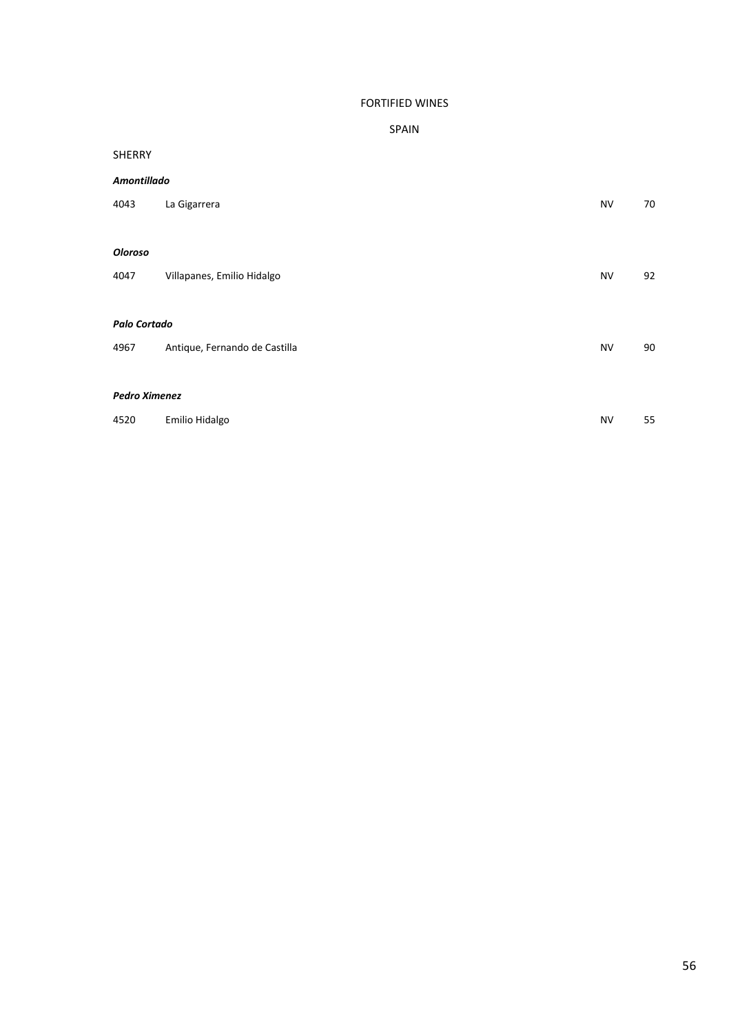# FORTIFIED WINES

# SPAIN

#### SHERRY

#### *Amontillado*

| 4043                                                        | La Gigarrera               | <b>NV</b> | 70 |
|-------------------------------------------------------------|----------------------------|-----------|----|
| <b>Oloroso</b><br>4047                                      | Villapanes, Emilio Hidalgo | <b>NV</b> | 92 |
| Palo Cortado<br>Antique, Fernando de Castilla<br>4967       |                            | <b>NV</b> | 90 |
| <b>Pedro Ximenez</b><br>Emilio Hidalgo<br>4520<br><b>NV</b> |                            |           | 55 |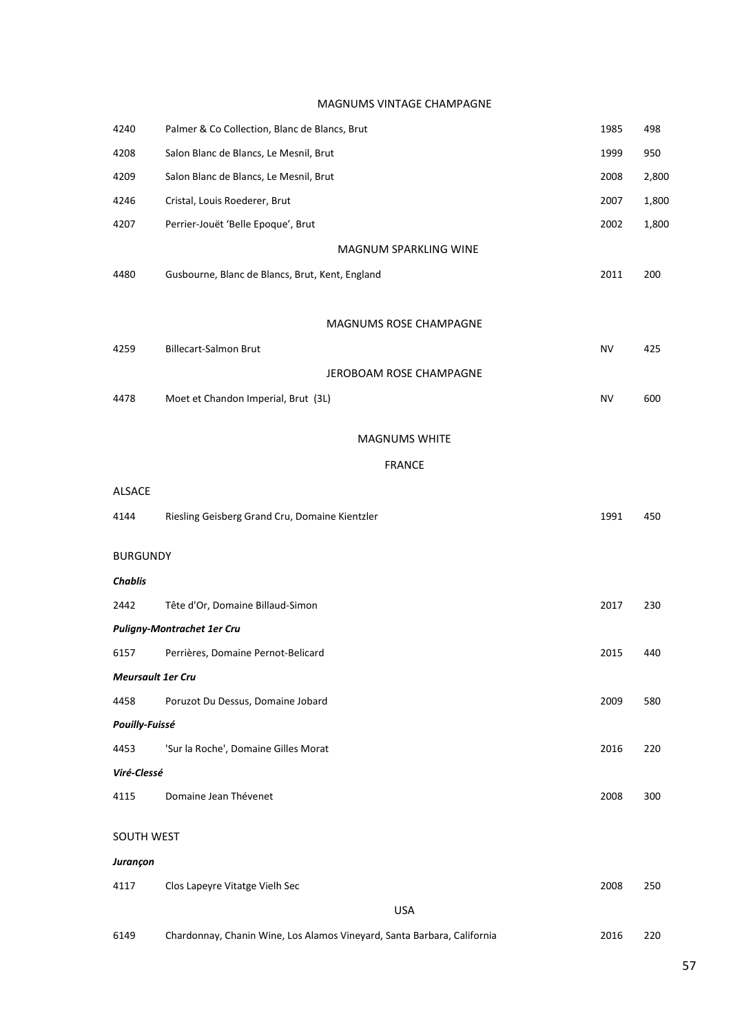MAGNUMS VINTAGE CHAMPAGNE

| 4240                     | Palmer & Co Collection, Blanc de Blancs, Brut                           | 1985      | 498   |
|--------------------------|-------------------------------------------------------------------------|-----------|-------|
| 4208                     | Salon Blanc de Blancs, Le Mesnil, Brut                                  | 1999      | 950   |
| 4209                     | Salon Blanc de Blancs, Le Mesnil, Brut                                  | 2008      | 2,800 |
| 4246                     | Cristal, Louis Roederer, Brut                                           | 2007      | 1,800 |
| 4207                     | Perrier-Jouët 'Belle Epoque', Brut                                      | 2002      | 1,800 |
|                          | MAGNUM SPARKLING WINE                                                   |           |       |
| 4480                     | Gusbourne, Blanc de Blancs, Brut, Kent, England                         | 2011      | 200   |
|                          |                                                                         |           |       |
|                          | MAGNUMS ROSE CHAMPAGNE                                                  |           |       |
| 4259                     | <b>Billecart-Salmon Brut</b>                                            | <b>NV</b> | 425   |
|                          | JEROBOAM ROSE CHAMPAGNE                                                 |           |       |
| 4478                     | Moet et Chandon Imperial, Brut (3L)                                     | <b>NV</b> | 600   |
|                          | <b>MAGNUMS WHITE</b>                                                    |           |       |
|                          | <b>FRANCE</b>                                                           |           |       |
| <b>ALSACE</b>            |                                                                         |           |       |
| 4144                     | Riesling Geisberg Grand Cru, Domaine Kientzler                          | 1991      | 450   |
|                          |                                                                         |           |       |
| <b>BURGUNDY</b>          |                                                                         |           |       |
| <b>Chablis</b>           |                                                                         |           |       |
| 2442                     | Tête d'Or, Domaine Billaud-Simon                                        | 2017      | 230   |
|                          | <b>Puligny-Montrachet 1er Cru</b>                                       |           |       |
| 6157                     | Perrières, Domaine Pernot-Belicard                                      | 2015      | 440   |
| <b>Meursault 1er Cru</b> |                                                                         |           |       |
| 4458                     | Poruzot Du Dessus, Domaine Jobard                                       | 2009      | 580   |
| Pouilly-Fuissé           |                                                                         |           |       |
| 4453                     | 'Sur la Roche', Domaine Gilles Morat                                    | 2016      | 220   |
| Viré-Clessé              |                                                                         |           |       |
| 4115                     | Domaine Jean Thévenet                                                   | 2008      | 300   |
| SOUTH WEST               |                                                                         |           |       |
| Jurançon                 |                                                                         |           |       |
| 4117                     | Clos Lapeyre Vitatge Vielh Sec                                          | 2008      | 250   |
|                          | <b>USA</b>                                                              |           |       |
| 6149                     | Chardonnay, Chanin Wine, Los Alamos Vineyard, Santa Barbara, California | 2016      | 220   |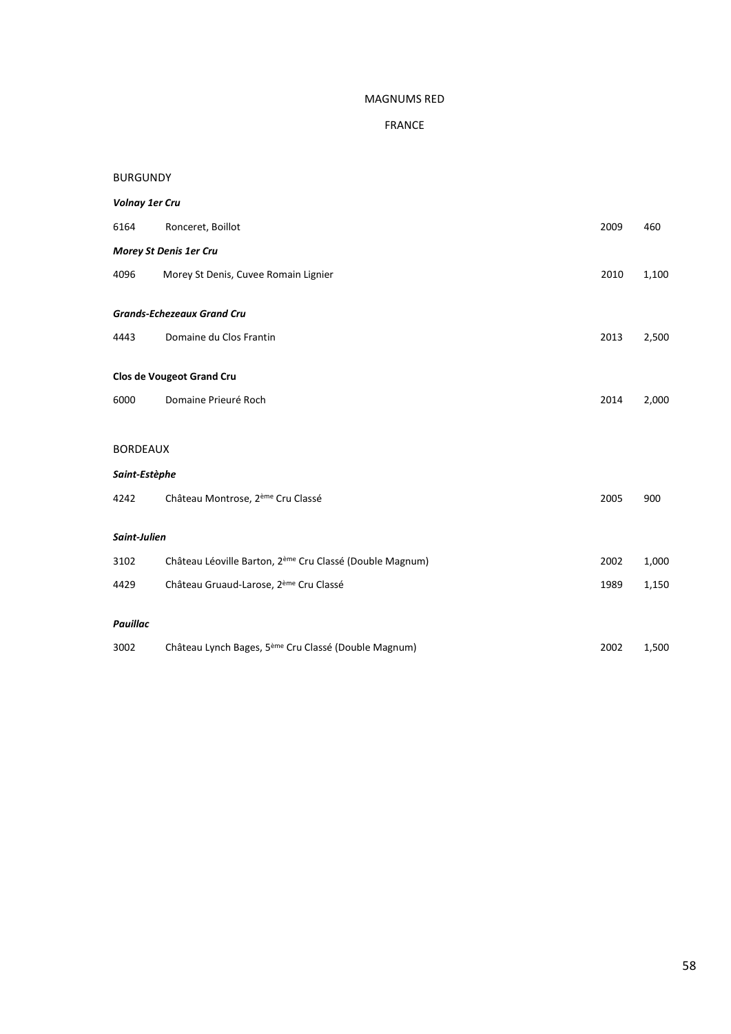#### MAGNUMS RED

# FRANCE

| <b>BURGUNDY</b>       |                                                                      |      |       |  |
|-----------------------|----------------------------------------------------------------------|------|-------|--|
| <b>Volnay 1er Cru</b> |                                                                      |      |       |  |
| 6164                  | Ronceret, Boillot                                                    | 2009 | 460   |  |
|                       | Morey St Denis 1er Cru                                               |      |       |  |
| 4096                  | Morey St Denis, Cuvee Romain Lignier                                 | 2010 | 1,100 |  |
|                       | <b>Grands-Echezeaux Grand Cru</b>                                    |      |       |  |
| 4443                  | Domaine du Clos Frantin                                              | 2013 | 2,500 |  |
|                       | <b>Clos de Vougeot Grand Cru</b>                                     |      |       |  |
| 6000                  | Domaine Prieuré Roch                                                 | 2014 | 2,000 |  |
|                       |                                                                      |      |       |  |
| <b>BORDEAUX</b>       |                                                                      |      |       |  |
| Saint-Estèphe         |                                                                      |      |       |  |
| 4242                  | Château Montrose, 2 <sup>ème</sup> Cru Classé                        | 2005 | 900   |  |
| Saint-Julien          |                                                                      |      |       |  |
| 3102                  | Château Léoville Barton, 2 <sup>ème</sup> Cru Classé (Double Magnum) | 2002 | 1,000 |  |
| 4429                  | Château Gruaud-Larose, 2 <sup>ème</sup> Cru Classé                   | 1989 | 1,150 |  |
| Pauillac              |                                                                      |      |       |  |
| 3002                  | Château Lynch Bages, 5 <sup>ème</sup> Cru Classé (Double Magnum)     | 2002 | 1,500 |  |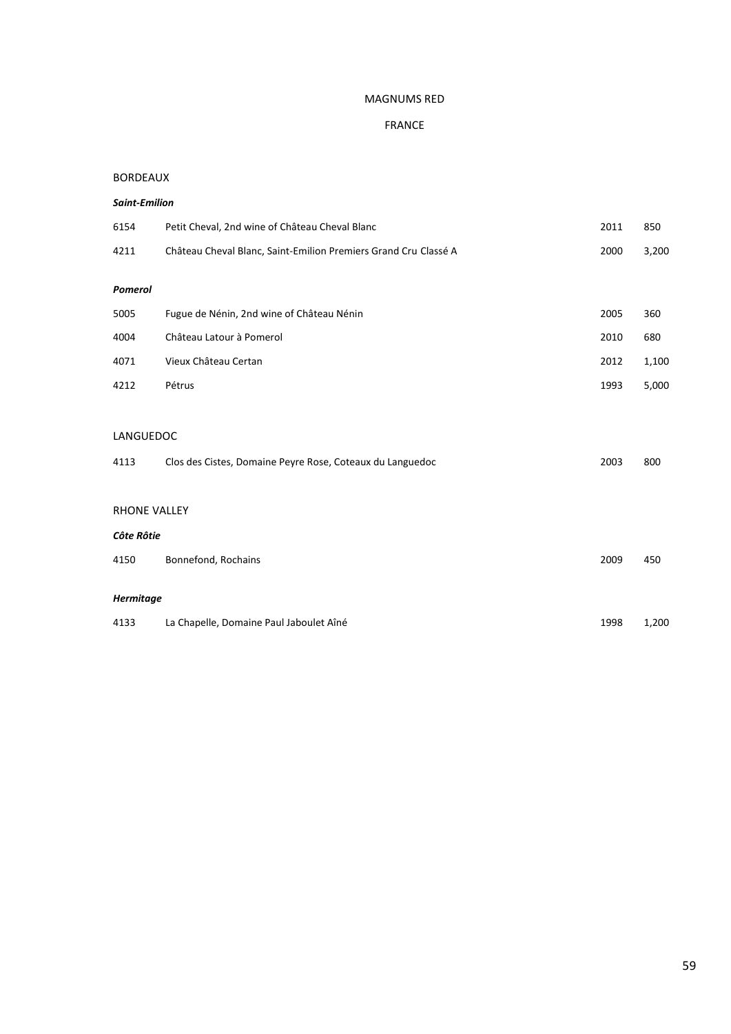#### MAGNUMS RED

# FRANCE

#### BORDEAUX

#### *Saint-Emilion*

| 6154                | Petit Cheval, 2nd wine of Château Cheval Blanc                  | 2011 | 850   |  |  |
|---------------------|-----------------------------------------------------------------|------|-------|--|--|
| 4211                | Château Cheval Blanc, Saint-Emilion Premiers Grand Cru Classé A | 2000 | 3,200 |  |  |
| <b>Pomerol</b>      |                                                                 |      |       |  |  |
| 5005                | Fugue de Nénin, 2nd wine of Château Nénin                       | 2005 | 360   |  |  |
| 4004                | Château Latour à Pomerol                                        | 2010 | 680   |  |  |
| 4071                | Vieux Château Certan                                            | 2012 | 1,100 |  |  |
| 4212                | Pétrus                                                          | 1993 | 5,000 |  |  |
|                     |                                                                 |      |       |  |  |
| LANGUEDOC           |                                                                 |      |       |  |  |
| 4113                | Clos des Cistes, Domaine Peyre Rose, Coteaux du Languedoc       | 2003 | 800   |  |  |
|                     |                                                                 |      |       |  |  |
| <b>RHONE VALLEY</b> |                                                                 |      |       |  |  |
| Côte Rôtie          |                                                                 |      |       |  |  |
| 4150                | Bonnefond, Rochains                                             | 2009 | 450   |  |  |
| Hermitage           |                                                                 |      |       |  |  |

4133 La Chapelle, Domaine Paul Jaboulet Aîné 1998 1,200